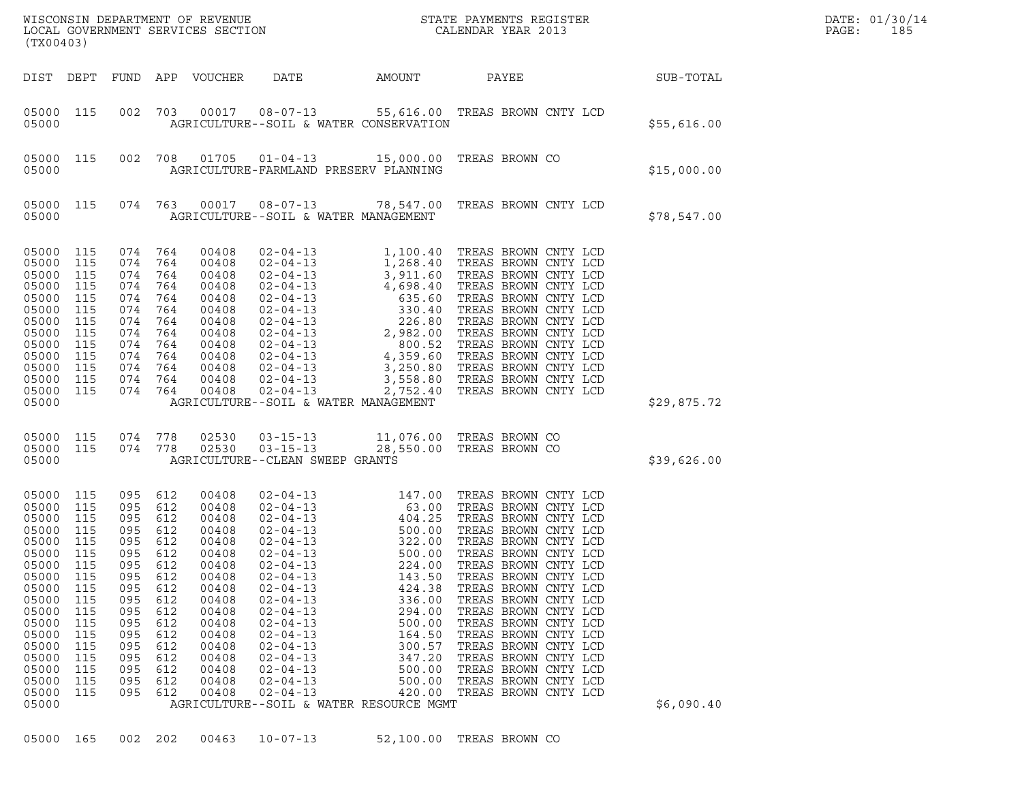| (TX00403)                                                                                                                                                               |                                                                                                                            |                                                                                                                            |                                                                                                                            |                                                                                                                                                                |                                                                                                                                                                                                                                                                                                                                                                                               |                                                                                                                                                                                 | $\tt WISCONSIM DEPARTMENT OF REVENUE$ $\tt WISCONSIM EN THE RISTERLOCAL GOVERNMENT SERVICES SECTION CALENDAR YEAR 2013$                                                                                                                                                                                                                                                                                                                      |             | DATE: 01/30/14<br>PAGE:<br>185 |
|-------------------------------------------------------------------------------------------------------------------------------------------------------------------------|----------------------------------------------------------------------------------------------------------------------------|----------------------------------------------------------------------------------------------------------------------------|----------------------------------------------------------------------------------------------------------------------------|----------------------------------------------------------------------------------------------------------------------------------------------------------------|-----------------------------------------------------------------------------------------------------------------------------------------------------------------------------------------------------------------------------------------------------------------------------------------------------------------------------------------------------------------------------------------------|---------------------------------------------------------------------------------------------------------------------------------------------------------------------------------|----------------------------------------------------------------------------------------------------------------------------------------------------------------------------------------------------------------------------------------------------------------------------------------------------------------------------------------------------------------------------------------------------------------------------------------------|-------------|--------------------------------|
| DIST DEPT                                                                                                                                                               |                                                                                                                            | FUND APP                                                                                                                   |                                                                                                                            | VOUCHER                                                                                                                                                        | DATE                                                                                                                                                                                                                                                                                                                                                                                          | AMOUNT                                                                                                                                                                          | PAYEE                                                                                                                                                                                                                                                                                                                                                                                                                                        | SUB-TOTAL   |                                |
| 05000 115<br>05000                                                                                                                                                      |                                                                                                                            | 002                                                                                                                        | 703                                                                                                                        | 00017                                                                                                                                                          | AGRICULTURE--SOIL & WATER CONSERVATION                                                                                                                                                                                                                                                                                                                                                        |                                                                                                                                                                                 | 08-07-13 55,616.00 TREAS BROWN CNTY LCD                                                                                                                                                                                                                                                                                                                                                                                                      | \$55,616.00 |                                |
| 05000 115<br>05000                                                                                                                                                      |                                                                                                                            | 002                                                                                                                        | 708                                                                                                                        | 01705                                                                                                                                                          | AGRICULTURE-FARMLAND PRESERV PLANNING                                                                                                                                                                                                                                                                                                                                                         |                                                                                                                                                                                 | 01-04-13 15,000.00 TREAS BROWN CO                                                                                                                                                                                                                                                                                                                                                                                                            | \$15,000.00 |                                |
| 05000 115<br>05000                                                                                                                                                      |                                                                                                                            | 074 763                                                                                                                    |                                                                                                                            |                                                                                                                                                                | AGRICULTURE--SOIL & WATER MANAGEMENT                                                                                                                                                                                                                                                                                                                                                          |                                                                                                                                                                                 | 00017  08-07-13  78,547.00 TREAS BROWN CNTY LCD                                                                                                                                                                                                                                                                                                                                                                                              | \$78,547.00 |                                |
| 05000<br>05000<br>05000<br>05000<br>05000<br>05000<br>05000<br>05000<br>05000<br>05000<br>05000<br>05000<br>05000 115<br>05000                                          | 115<br>115<br>115<br>115<br>115<br>115<br>115<br>115<br>115<br>115<br>115<br>115                                           | 074<br>074<br>074<br>074<br>074<br>074<br>074<br>074<br>074<br>074<br>074<br>074<br>074 764                                | 764<br>764<br>764<br>764<br>764<br>764<br>764<br>764<br>764<br>764<br>764<br>764                                           | 00408<br>00408<br>00408<br>00408<br>00408<br>00408<br>00408<br>00408<br>00408<br>00408<br>00408<br>00408<br>00408                                              | $02 - 04 - 13$<br>$02 - 04 - 13$<br>AGRICULTURE--SOIL & WATER MANAGEMENT                                                                                                                                                                                                                                                                                                                      | 1,100.40<br>2,752.40                                                                                                                                                            | TREAS BROWN CNTY LCD<br>TREAS BROWN CNTY LCD                                                                                                                                                                                                                                                                                                                                                                                                 | \$29,875.72 |                                |
| 05000<br>05000 115<br>05000                                                                                                                                             | 115                                                                                                                        | 074 778<br>074 778                                                                                                         |                                                                                                                            | 02530<br>02530                                                                                                                                                 | $03 - 15 - 13$<br>$03 - 15 - 13$<br>AGRICULTURE--CLEAN SWEEP GRANTS                                                                                                                                                                                                                                                                                                                           |                                                                                                                                                                                 | 11,076.00 TREAS BROWN CO<br>28,550.00 TREAS BROWN CO                                                                                                                                                                                                                                                                                                                                                                                         | \$39,626.00 |                                |
| 05000<br>05000<br>05000<br>05000<br>05000<br>05000<br>05000<br>05000<br>05000<br>05000<br>05000<br>05000<br>05000<br>05000<br>05000<br>05000<br>05000<br>05000<br>05000 | 115<br>115<br>115<br>115<br>115<br>115<br>115<br>115<br>115<br>115<br>115<br>115<br>115<br>115<br>115<br>115<br>115<br>115 | 095<br>095<br>095<br>095<br>095<br>095<br>095<br>095<br>095<br>095<br>095<br>095<br>095<br>095<br>095<br>095<br>095<br>095 | 612<br>612<br>612<br>612<br>612<br>612<br>612<br>612<br>612<br>612<br>612<br>612<br>612<br>612<br>612<br>612<br>612<br>612 | 00408<br>00408<br>00408<br>00408<br>00408<br>00408<br>00408<br>00408<br>00408<br>00408<br>00408<br>00408<br>00408<br>00408<br>00408<br>00408<br>00408<br>00408 | $02 - 04 - 13$<br>$02 - 04 - 13$<br>$02 - 04 - 13$<br>$02 - 04 - 13$<br>$02 - 04 - 13$<br>$02 - 04 - 13$<br>$02 - 04 - 13$<br>$02 - 04 - 13$<br>$02 - 04 - 13$<br>$02 - 04 - 13$<br>$02 - 04 - 13$<br>$02 - 04 - 13$<br>$02 - 04 - 13$<br>$02 - 04 - 13$<br>$02 - 04 - 13$<br>$02 - 04 - 13$<br>$02 - 04 - 13$<br>$02 - 04 - 13$<br>$02 - 04 - 13$<br>AGRICULTURE--SOIL & WATER RESOURCE MGMT | 147.00<br>63.00<br>404.25<br>500.00<br>322.00<br>500.00<br>224.00<br>143.50<br>424.38<br>336.00<br>294.00<br>500.00<br>164.50<br>300.57<br>347.20<br>500.00<br>500.00<br>420.00 | TREAS BROWN CNTY LCD<br>TREAS BROWN CNTY LCD<br>TREAS BROWN CNTY LCD<br>TREAS BROWN CNTY LCD<br>TREAS BROWN CNTY LCD<br>TREAS BROWN CNTY LCD<br>TREAS BROWN CNTY LCD<br>TREAS BROWN CNTY LCD<br>TREAS BROWN CNTY LCD<br>TREAS BROWN CNTY LCD<br>TREAS BROWN CNTY LCD<br>TREAS BROWN CNTY LCD<br>TREAS BROWN CNTY LCD<br>TREAS BROWN CNTY LCD<br>TREAS BROWN CNTY LCD<br>TREAS BROWN CNTY LCD<br>TREAS BROWN CNTY LCD<br>TREAS BROWN CNTY LCD | \$6,090.40  |                                |
| 05000                                                                                                                                                                   | 165                                                                                                                        | 002                                                                                                                        | 202                                                                                                                        | 00463                                                                                                                                                          | $10 - 07 - 13$                                                                                                                                                                                                                                                                                                                                                                                |                                                                                                                                                                                 | 52,100.00 TREAS BROWN CO                                                                                                                                                                                                                                                                                                                                                                                                                     |             |                                |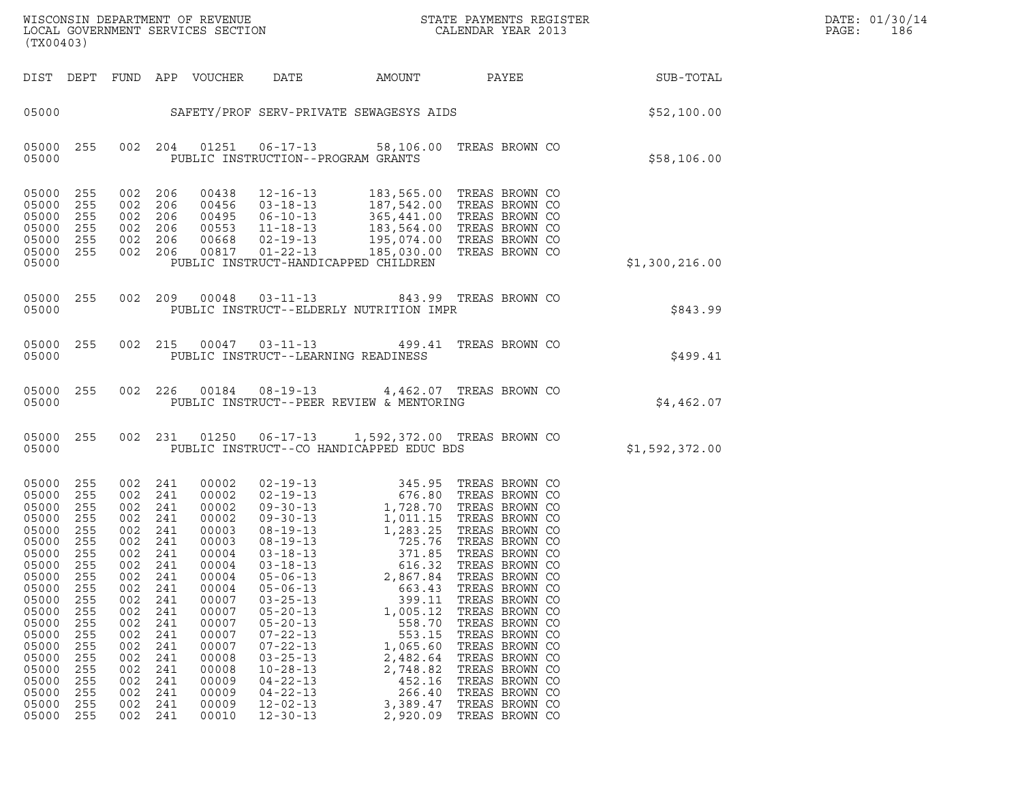|       | DATE: 01/30/14 |
|-------|----------------|
| PAGE: | 186            |

| (TX00403)                                                                                                                                                                                 |                                                                                                                                                 |                                                                                                                                                 |                                                                                                                                                 |                                                                                                                                                                                           |                                                                                                                                                                                                                                                                                                                | $\tt WISCONSIM DEPARTMENT OF REVENUE$ $\tt WISCONSIM EN THE BAYMENTS REGISTERLOCAL GOVERNMENT SERVICES SECTION CALENDAR YEAR 2013$                                                                                                                                                                                                                         |                                                                                                                                                                                                                                                                                              |                | DATE: 01/30/14<br>PAGE:<br>186 |
|-------------------------------------------------------------------------------------------------------------------------------------------------------------------------------------------|-------------------------------------------------------------------------------------------------------------------------------------------------|-------------------------------------------------------------------------------------------------------------------------------------------------|-------------------------------------------------------------------------------------------------------------------------------------------------|-------------------------------------------------------------------------------------------------------------------------------------------------------------------------------------------|----------------------------------------------------------------------------------------------------------------------------------------------------------------------------------------------------------------------------------------------------------------------------------------------------------------|------------------------------------------------------------------------------------------------------------------------------------------------------------------------------------------------------------------------------------------------------------------------------------------------------------------------------------------------------------|----------------------------------------------------------------------------------------------------------------------------------------------------------------------------------------------------------------------------------------------------------------------------------------------|----------------|--------------------------------|
| DIST DEPT                                                                                                                                                                                 |                                                                                                                                                 |                                                                                                                                                 |                                                                                                                                                 | FUND APP VOUCHER                                                                                                                                                                          | DATE                                                                                                                                                                                                                                                                                                           | AMOUNT                                                                                                                                                                                                                                                                                                                                                     | PAYEE                                                                                                                                                                                                                                                                                        | SUB-TOTAL      |                                |
| 05000                                                                                                                                                                                     |                                                                                                                                                 |                                                                                                                                                 |                                                                                                                                                 |                                                                                                                                                                                           |                                                                                                                                                                                                                                                                                                                | SAFETY/PROF SERV-PRIVATE SEWAGESYS AIDS                                                                                                                                                                                                                                                                                                                    |                                                                                                                                                                                                                                                                                              | \$52,100.00    |                                |
| 05000<br>05000                                                                                                                                                                            | 255                                                                                                                                             |                                                                                                                                                 | 002 204                                                                                                                                         | 01251                                                                                                                                                                                     | $06 - 17 - 13$                                                                                                                                                                                                                                                                                                 | PUBLIC INSTRUCTION--PROGRAM GRANTS                                                                                                                                                                                                                                                                                                                         | 58,106.00 TREAS BROWN CO                                                                                                                                                                                                                                                                     | \$58,106.00    |                                |
| 05000<br>05000<br>05000<br>05000<br>05000<br>05000<br>05000                                                                                                                               | 255<br>255<br>255<br>255<br>255<br>255                                                                                                          | 002<br>002<br>002<br>002<br>002<br>002                                                                                                          | 206<br>206<br>206<br>206<br>206<br>206                                                                                                          | 00438<br>00456<br>00495<br>00553<br>00668<br>00817                                                                                                                                        | $12 - 16 - 13$<br>$03 - 18 - 13$<br>$06 - 10 - 13$<br>$11 - 18 - 13$<br>$02 - 19 - 13$<br>$01 - 22 - 13$                                                                                                                                                                                                       | PUBLIC INSTRUCT-HANDICAPPED CHILDREN                                                                                                                                                                                                                                                                                                                       | 183,565.00 TREAS BROWN CO<br>187,542.00 TREAS BROWN CO<br>365,441.00 TREAS BROWN CO<br>183,564.00 TREAS BROWN CO<br>195,074.00 TREAS BROWN CO<br>185,030.00 TREAS BROWN CO                                                                                                                   | \$1,300,216.00 |                                |
| 05000<br>05000                                                                                                                                                                            | 255                                                                                                                                             | 002                                                                                                                                             | 209                                                                                                                                             | 00048                                                                                                                                                                                     | $03 - 11 - 13$                                                                                                                                                                                                                                                                                                 | PUBLIC INSTRUCT--ELDERLY NUTRITION IMPR                                                                                                                                                                                                                                                                                                                    | 843.99 TREAS BROWN CO                                                                                                                                                                                                                                                                        | \$843.99       |                                |
| 05000<br>05000                                                                                                                                                                            | 255                                                                                                                                             | 002                                                                                                                                             | 215                                                                                                                                             | 00047                                                                                                                                                                                     | $03 - 11 - 13$                                                                                                                                                                                                                                                                                                 | PUBLIC INSTRUCT--LEARNING READINESS                                                                                                                                                                                                                                                                                                                        | 499.41 TREAS BROWN CO                                                                                                                                                                                                                                                                        | \$499.41       |                                |
| 05000<br>05000                                                                                                                                                                            | 255                                                                                                                                             | 002                                                                                                                                             | 226                                                                                                                                             | 00184                                                                                                                                                                                     | 08-19-13                                                                                                                                                                                                                                                                                                       | 4,462.07 TREAS BROWN CO<br>PUBLIC INSTRUCT--PEER REVIEW & MENTORING                                                                                                                                                                                                                                                                                        |                                                                                                                                                                                                                                                                                              | \$4,462.07     |                                |
| 05000<br>05000                                                                                                                                                                            | 255                                                                                                                                             |                                                                                                                                                 | 002 231                                                                                                                                         | 01250                                                                                                                                                                                     | $06 - 17 - 13$                                                                                                                                                                                                                                                                                                 | 1,592,372.00 TREAS BROWN CO<br>PUBLIC INSTRUCT--CO HANDICAPPED EDUC BDS                                                                                                                                                                                                                                                                                    |                                                                                                                                                                                                                                                                                              | \$1,592,372.00 |                                |
| 05000<br>05000<br>05000<br>05000<br>05000<br>05000<br>05000<br>05000<br>05000<br>05000<br>05000<br>05000<br>05000<br>05000<br>05000<br>05000<br>05000<br>05000<br>05000<br>05000<br>05000 | 255<br>255<br>255<br>255<br>255<br>255<br>255<br>255<br>255<br>255<br>255<br>255<br>255<br>255<br>255<br>255<br>255<br>255<br>255<br>255<br>255 | 002<br>002<br>002<br>002<br>002<br>002<br>002<br>002<br>002<br>002<br>002<br>002<br>002<br>002<br>002<br>002<br>002<br>002<br>002<br>002<br>002 | 241<br>241<br>241<br>241<br>241<br>241<br>241<br>241<br>241<br>241<br>241<br>241<br>241<br>241<br>241<br>241<br>241<br>241<br>241<br>241<br>241 | 00002<br>00002<br>00002<br>00002<br>00003<br>00003<br>00004<br>00004<br>00004<br>00004<br>00007<br>00007<br>00007<br>00007<br>00007<br>00008<br>00008<br>00009<br>00009<br>00009<br>00010 | $02 - 19 - 13$<br>$08 - 19 - 13$<br>$03 - 18 - 13$<br>$03 - 18 - 13$<br>$05 - 06 - 13$<br>$05 - 06 - 13$<br>$03 - 25 - 13$<br>$05 - 20 - 13$<br>$05 - 20 - 13$<br>$07 - 22 - 13$<br>$07 - 22 - 13$<br>$03 - 25 - 13$<br>$10 - 28 - 13$<br>$04 - 22 - 13$<br>$04 - 22 - 13$<br>$12 - 02 - 13$<br>$12 - 30 - 13$ | 345.95<br>02-19-13 676.80 TREAS BROWN CO<br>09-30-13 1,728.70 TREAS BROWN CO<br>09-30-13 1,011.15 TREAS BROWN CO<br>08-19-13 1,283.25 TREAS BROWN CO<br>08-19-13 725.76 TREAS BROWN CO<br>371.85<br>616.32<br>2,867.84<br>663.43<br>399.11<br>1,005.12<br>558.70<br>553.15<br>1,065.60<br>2,482.64<br>2,748.82<br>452.16<br>266.40<br>3,389.47<br>2,920.09 | TREAS BROWN CO<br>TREAS BROWN CO<br>TREAS BROWN CO<br>TREAS BROWN CO<br>TREAS BROWN CO<br>TREAS BROWN CO<br>TREAS BROWN CO<br>TREAS BROWN CO<br>TREAS BROWN CO<br>TREAS BROWN CO<br>TREAS BROWN CO<br>TREAS BROWN CO<br>TREAS BROWN CO<br>TREAS BROWN CO<br>TREAS BROWN CO<br>TREAS BROWN CO |                |                                |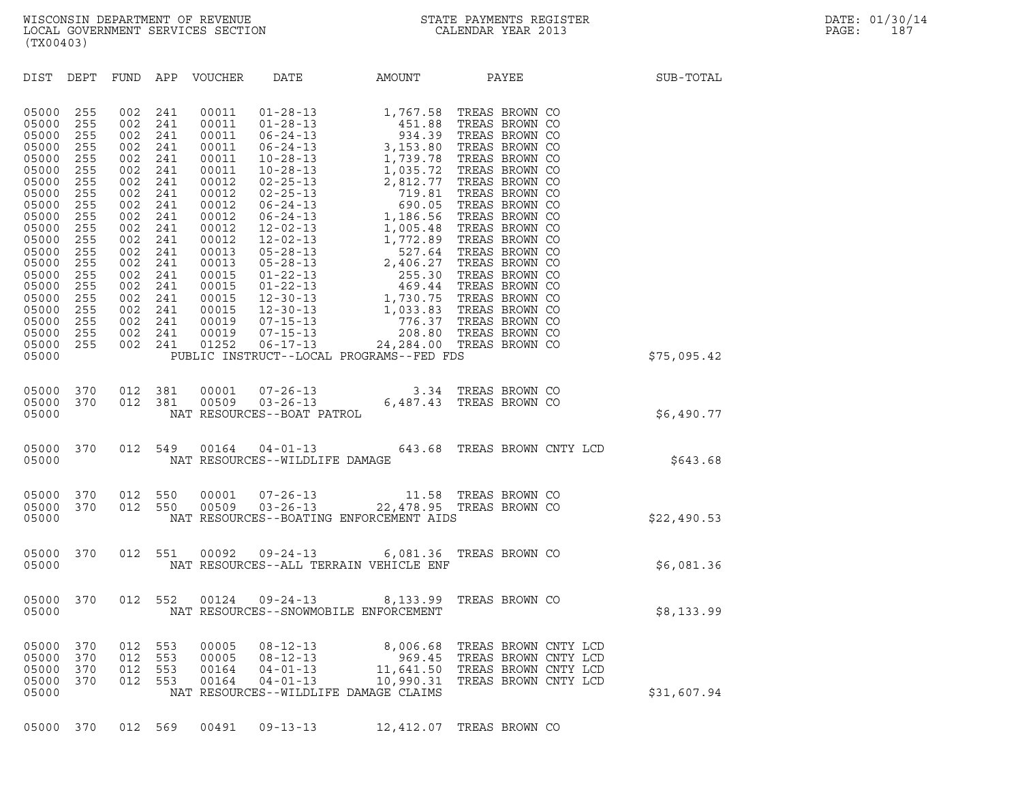| (TX00403)                                                                                                                                                                                                                                                                                                                    |                                                                                                                                                                                                                                                                                      |                                                                                                                                                                                  |                                                                                                                             |                                                |                                                                                                        |             |
|------------------------------------------------------------------------------------------------------------------------------------------------------------------------------------------------------------------------------------------------------------------------------------------------------------------------------|--------------------------------------------------------------------------------------------------------------------------------------------------------------------------------------------------------------------------------------------------------------------------------------|----------------------------------------------------------------------------------------------------------------------------------------------------------------------------------|-----------------------------------------------------------------------------------------------------------------------------|------------------------------------------------|--------------------------------------------------------------------------------------------------------|-------------|
| DIST DEPT                                                                                                                                                                                                                                                                                                                    | FUND                                                                                                                                                                                                                                                                                 | APP VOUCHER                                                                                                                                                                      | DATE                                                                                                                        |                                                | AMOUNT PAYEE                                                                                           | SUB-TOTAL   |
| 05000<br>255<br>255<br>05000<br>05000<br>255<br>255<br>05000<br>255<br>05000<br>255<br>05000<br>05000<br>255<br>255<br>05000<br>05000<br>255<br>255<br>05000<br>255<br>05000<br>255<br>05000<br>05000<br>255<br>255<br>05000<br>05000<br>255<br>255<br>05000<br>255<br>05000<br>05000<br>255<br>05000<br>255<br>255<br>05000 | 002<br>241<br>002<br>241<br>002<br>241<br>002<br>241<br>002<br>241<br>002<br>241<br>002<br>241<br>002<br>241<br>002<br>241<br>002<br>241<br>002<br>241<br>002<br>241<br>002<br>241<br>002<br>241<br>002<br>241<br>002<br>241<br>002<br>241<br>002<br>241<br>002<br>241<br>002<br>241 | 00011<br>00011<br>00011<br>00011<br>00011<br>00011<br>00012<br>00012<br>00012<br>00012<br>00012<br>00012<br>00013<br>00013<br>00015<br>00015<br>00015<br>00015<br>00019<br>00019 |                                                                                                                             |                                                |                                                                                                        |             |
| 05000<br>255<br>05000                                                                                                                                                                                                                                                                                                        | 002<br>241                                                                                                                                                                                                                                                                           | 01252                                                                                                                                                                            |                                                                                                                             | PUBLIC INSTRUCT--LOCAL PROGRAMS--FED FDS       |                                                                                                        | \$75,095.42 |
| 05000<br>370<br>370<br>05000<br>05000                                                                                                                                                                                                                                                                                        | 012<br>381<br>012<br>381                                                                                                                                                                                                                                                             | 00001<br>00509                                                                                                                                                                   | NAT RESOURCES--BOAT PATROL                                                                                                  | $07 - 26 - 13$<br>$03 - 26 - 13$<br>$6,487.43$ | TREAS BROWN CO<br>TREAS BROWN CO                                                                       | \$6,490.77  |
| 370<br>05000<br>05000                                                                                                                                                                                                                                                                                                        | 012<br>549                                                                                                                                                                                                                                                                           | 00164                                                                                                                                                                            | NAT RESOURCES--WILDLIFE DAMAGE                                                                                              |                                                | 04-01-13 643.68 TREAS BROWN CNTY LCD                                                                   | \$643.68    |
| 05000<br>370<br>05000<br>370<br>05000                                                                                                                                                                                                                                                                                        | 012<br>550<br>550<br>012                                                                                                                                                                                                                                                             |                                                                                                                                                                                  |                                                                                                                             | NAT RESOURCES--BOATING ENFORCEMENT AIDS        | 00001 07-26-13 11.58 TREAS BROWN CO<br>00509 03-26-13 22,478.95 TREAS BROWN CO                         | \$22,490.53 |
| 05000<br>370<br>05000                                                                                                                                                                                                                                                                                                        | 012<br>551                                                                                                                                                                                                                                                                           | 00092                                                                                                                                                                            |                                                                                                                             | NAT RESOURCES--ALL TERRAIN VEHICLE ENF         | 09-24-13 6,081.36 TREAS BROWN CO                                                                       | \$6,081.36  |
| 05000<br>370<br>05000                                                                                                                                                                                                                                                                                                        | 012<br>552                                                                                                                                                                                                                                                                           | 00124                                                                                                                                                                            | NAT RESOURCES--SNOWMOBILE ENFORCEMENT                                                                                       | $09 - 24 - 13$ 8, 133.99                       | TREAS BROWN CO                                                                                         | \$8,133.99  |
| 05000<br>370<br>05000<br>370<br>05000<br>370<br>05000<br>370<br>05000                                                                                                                                                                                                                                                        | 012<br>553<br>012<br>553<br>012<br>553<br>012<br>553                                                                                                                                                                                                                                 | 00005<br>00005<br>00164<br>00164                                                                                                                                                 | $08 - 12 - 13$<br>$08 - 12 - 13$<br>$00 - 12 - 13$<br>04 - 01 - 13<br>04 - 01 - 13<br>NAT RESOURCES--WILDLIFE DAMAGE CLAIMS | 8,006.68<br>969.45<br>10,990.31                | TREAS BROWN CNTY LCD<br>TREAS BROWN CNTY LCD<br>11,641.50 TREAS BROWN CNTY LCD<br>TREAS BROWN CNTY LCD | \$31,607.94 |

05000 370 012 569 00491 09-13-13 12,412.07 TREAS BROWN CO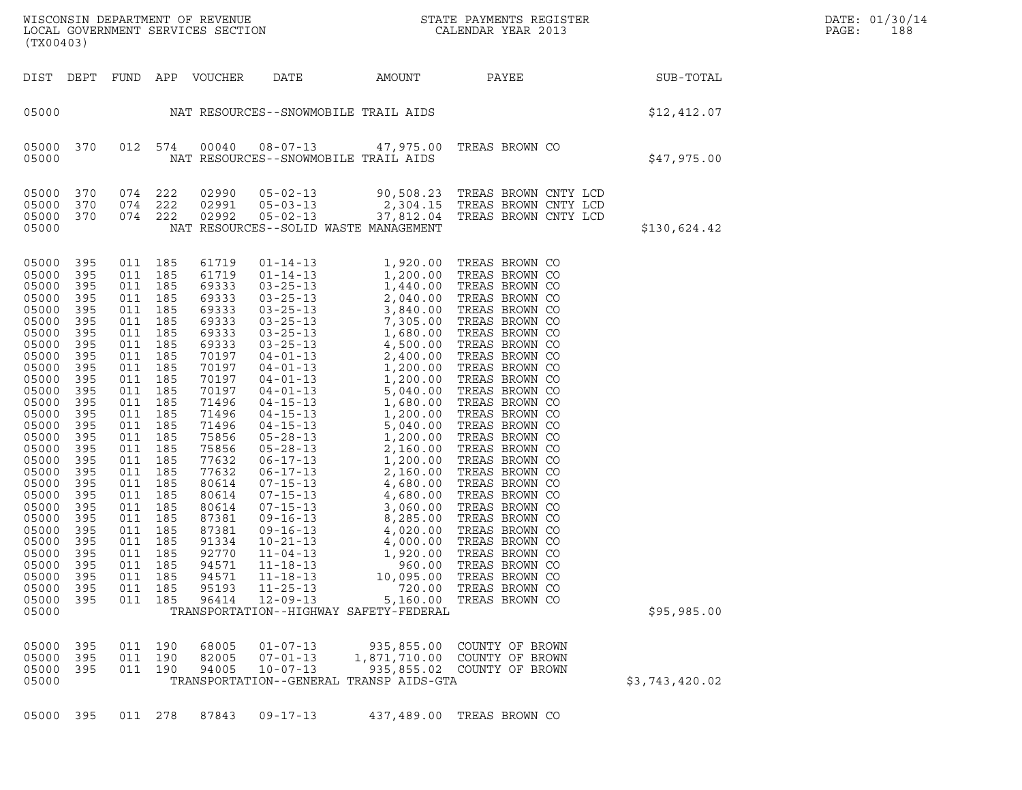| DATE: | 01/30/14 |
|-------|----------|
| PAGE: | 188      |

WISCONSIN DEPARTMENT OF REVENUE<br>LOCAL GOVERNMENT SERVICES SECTION STATE PAYMENTS REGISTER SECONDER STATE PASSES OF SAMENTS REGISTER<br>DOCAL GOVERNMENT SERVICES SECTION SECONDER SERVICES SECONDAR VEAR 2013 WISCONSIN DEPARTMENT OF REVENUE<br>LOCAL GOVERNMENT SERVICES SECTION PARA PROPERTY STATE PAYMENTS REGISTER PAGE: PAGE: 188<br>(TX00403) (TX00403) DIST DEPT FUND APP VOUCHER DATE AMOUNT PAYEE SUB-TOTAL 05000 NAT RESOURCES--SNOWMOBILE TRAIL AIDS \$12,412.07 05000 370 012 574 00040 08-07-13 47,975.00 TREAS BROWN CO <sup>05000</sup> NAT RESOURCES--SNOWMOBILE TRAIL AIDS \$47,975.00 05000 370 074 222 02990 05-02-13 90,508.23 TREAS BROWN CNTY LCD 05000 370 074 222 02991 05-03-13 2,304.15 TREAS BROWN CNTY LCD 05000 370 074 222 02990 05-02-13 90,508.23 TREAS BROWN CNTY LCD<br>05000 370 074 222 02991 05-03-13 2,304.15 TREAS BROWN CNTY LCD<br>05000 370 074 222 02992 05-02-13 37,812.04 TREAS BROWN CNTY LCD<br>05000 NAT RESOURCES--SOLID WAST 05000 370 074 222 02990 05-02-13 90,508.23 TREAS BROWN CNTY LCD<br>05000 370 074 222 02991 05-03-13 2,304.15 TREAS BROWN CNTY LCD<br>05000 370 074 222 02992 05-02-13 37,812.04 TREAS BROWN CNTY LCD<br>05000 05000 395 011 185 61719 01-14-13 1,920.00 TREAS BROWN CO 05000 395 011 185 61719 01-14-13 1,920.00 TREAS BROWN CO<br>05000 395 011 185 61719 01-14-13 1,200.00 TREAS BROWN CO<br>05000 395 011 185 69333 03-25-13 1,440.00 TREAS BROWN CO 05000 395 011 185 61719 01-14-13 1,920.00 TREAS BROWN CO<br>05000 395 011 185 61719 01-14-13 1,200.00 TREAS BROWN CO<br>05000 395 011 185 69333 03-25-13 1,440.00 TREAS BROWN CO<br>05000 395 011 185 69333 03-25-13 2,040.00 TREAS BRO 05000 395 011 185 61719 01-14-13 1,920.00 TREAS BROWN CO<br>05000 395 011 185 61719 01-14-13 1,200.00 TREAS BROWN CO<br>05000 395 011 185 69333 03-25-13 2,040.00 TREAS BROWN CO<br>05000 395 011 185 69333 03-25-13 2,040.00 TREAS BRO 05000 395 011 185 61719 01-14-13 1,200.00 TREAS BROWN CO<br>05000 395 011 185 69333 03-25-13 1,440.00 TREAS BROWN CO<br>05000 395 011 185 69333 03-25-13 3,840.00 TREAS BROWN CO<br>05000 395 011 185 69333 03-25-13 3,840.00 TREAS BRO 05000 395 011 185 69333 03-25-13 1,440.00 TREAS BROWN CO<br>05000 395 011 185 69333 03-25-13 2,040.00 TREAS BROWN CO<br>05000 395 011 185 69333 03-25-13 3,840.00 TREAS BROWN CO<br>05000 395 011 185 69333 03-25-13 7,305.00 TREAS BRO 05000 395 011 185 69333 03-25-13 2,040.00 TREAS BROWN CO<br>05000 395 011 185 69333 03-25-13 3,840.00 TREAS BROWN CO<br>05000 395 011 185 69333 03-25-13 7,305.00 TREAS BROWN CO<br>05000 395 011 185 69333 03-25-13 1,680.00 TREAS BRO 05000 395 011 185 69333 03-25-13 3,840.00 TREAS BROWN CO<br>05000 395 011 185 69333 03-25-13 7,305.00 TREAS BROWN CO<br>05000 395 011 185 69333 03-25-13 1,680.00 TREAS BROWN CO<br>05000 395 011 185 69333 03-25-13 4,500.00 TREAS BRO 05000 395 011 185 69333 03-25-13 7,305.00 TREAS BROWN CO<br>05000 395 011 185 69333 03-25-13 1,680.00 TREAS BROWN CO<br>05000 395 011 185 69333 03-25-13 4,500.00 TREAS BROWN CO<br>05000 395 011 185 70197 04-01-13 2,400.00 TREAS BRO 05000 395 011 185 69333 03-25-13 1,680.00 TREAS BROWN CO<br>05000 395 011 185 69333 03-25-13 4,500.00 TREAS BROWN CO<br>05000 395 011 185 70197 04-01-13 1,200.00 TREAS BROWN CO<br>05000 395 011 185 70197 04-01-13 1,200.00 TREAS BRO 05000 395 011 185 69333 03-25-13 4,500.00 TREAS BROWN CO<br>05000 395 011 185 70197 04-01-13 2,400.00 TREAS BROWN CO<br>05000 395 011 185 70197 04-01-13 1,200.00 TREAS BROWN CO<br>05000 395 011 185 70197 04-01-13 1,200.00 TREAS BRO 05000 395 011 185 70197 04-01-13 2,400.00 TREAS BROWN CO<br>05000 395 011 185 70197 04-01-13 1,200.00 TREAS BROWN CO<br>05000 395 011 185 70197 04-01-13 1,200.00 TREAS BROWN CO<br>05000 395 011 185 71496 04-01-13 5,040.00 TREAS BRO 05000 395 011 185 70197 04-01-13 1,200.00 TREAS BROWN CO<br>05000 395 011 185 70197 04-01-13 1,200.00 TREAS BROWN CO<br>05000 395 011 185 70197 04-01-13 5,040.00 TREAS BROWN CO<br>05000 395 011 185 71496 04-15-13 1,680.00 TREAS BRO 05000 395 011 185 70197 04-01-13 1,200.00 TREAS BROWN CO<br>05000 395 011 185 70197 04-01-13 5,040.00 TREAS BROWN CO<br>05000 395 011 185 71496 04-15-13 1,680.00 TREAS BROWN CO<br>05000 395 011 185 71496 04-15-13 1,200.00 TREAS BRO 05000 395 011 185 70197 04-01-13 5,040.00 TREAS BROWN CO<br>05000 395 011 185 71496 04-15-13 1,680.00 TREAS BROWN CO<br>05000 395 011 185 71496 04-15-13 1,200.00 TREAS BROWN CO<br>05000 395 011 185 75856 05-28-13 1,200.00 TREAS BRO 05000 395 011 185 71496 04-15-13 1,680.00 TREAS BROWN CO<br>05000 395 011 185 71496 04-15-13 1,200.00 TREAS BROWN CO<br>05000 395 011 185 71496 04-15-13 5,040.00 TREAS BROWN CO<br>05000 395 011 185 75856 05-28-13 1,200.00 TREAS BRO 05000 395 011 185 71496 04-15-13 1,200.00 TREAS BROWN CO<br>05000 395 011 185 71496 04-15-13 5,040.00 TREAS BROWN CO<br>05000 395 011 185 75856 05-28-13 2,160.00 TREAS BROWN CO<br>05000 395 011 185 77632 06-17-13 1,200.00 TREAS BRO 05000 395 011 185 71496 04-15-13 5,040.00 TREAS BROWN CO<br>05000 395 011 185 75856 05-28-13 1,200.00 TREAS BROWN CO<br>05000 395 011 185 75856 05-28-13 2,160.00 TREAS BROWN CO<br>05000 395 011 185 77632 06-17-13 1,200.00 TREAS BRO 05000 395 011 185 75856 05-28-13 1,200.00 TREAS BROWN CO<br>05000 395 011 185 75856 05-28-13 2,160.00 TREAS BROWN CO<br>05000 395 011 185 77632 06-17-13 2,160.00 TREAS BROWN CO<br>05000 395 011 185 77632 06-17-13 2,160.00 TREAS BRO 05000 395 011 185 75856 05-28-13 2,160.00 TREAS BROWN CO<br>05000 395 011 185 77632 06-17-13 1,200.00 TREAS BROWN CO<br>05000 395 011 185 77632 06-17-13 2,160.00 TREAS BROWN CO<br>05000 395 011 185 80614 07-15-13 4,680.00 TREAS BRO 05000 395 011 185 77632 06-17-13 1,200.00 TREAS BROWN CO<br>05000 395 011 185 77632 06-17-13 2,160.00 TREAS BROWN CO<br>05000 395 011 185 80614 07-15-13 4,680.00 TREAS BROWN CO<br>05000 395 011 185 80614 07-15-13 4,680.00 TREAS BRO 05000 395 011 185 77632 06-17-13 2,160.00 TREAS BROWN CO<br>05000 395 011 185 80614 07-15-13 4,680.00 TREAS BROWN CO<br>05000 395 011 185 80614 07-15-13 4,680.00 TREAS BROWN CO<br>05000 395 011 185 87381 09-16-13 8,285.00 TREAS BRO 05000 395 011 185 80614 07-15-13 4,680.00 TREAS BROWN CO<br>05000 395 011 185 80614 07-15-13 4,680.00 TREAS BROWN CO<br>05000 395 011 185 80614 07-15-13 3,060.00 TREAS BROWN CO<br>05000 395 011 185 87381 09-16-13 8,285.00 TREAS BRO 05000 395 011 185 80614 07-15-13 4,680.00 TREAS BROWN CO<br>05000 395 011 185 80614 07-15-13 3,060.00 TREAS BROWN CO<br>05000 395 011 185 87381 09-16-13 4,020.00 TREAS BROWN CO<br>05000 395 011 185 91334 10-21-13 4,000.00 TREAS BRO 05000 395 011 185 80614 07-15-13 3,060.00 TREAS BROWN CO<br>05000 395 011 185 87381 09-16-13 8,285.00 TREAS BROWN CO<br>05000 395 011 185 87381 09-16-13 4,020.00 TREAS BROWN CO<br>05000 395 011 185 92770 11-04-13 1.920.00 TREAS BRO 05000 395 011 185 87381 09-16-13 8,285.00 TREAS BROWN CO<br>05000 395 011 185 87381 09-16-13 4,020.00 TREAS BROWN CO<br>05000 395 011 185 91334 10-21-13 4,000.00 TREAS BROWN CO<br>05000 395 011 185 94571 11-18-13 960.00 TREAS BROWN 05000 395 011 185 87381 09-16-13 4,020.00 TREAS BROWN CO<br>05000 395 011 185 91334 10-21-13 4,000.00 TREAS BROWN CO<br>05000 395 011 185 92770 11-04-13 1,920.00 TREAS BROWN CO<br>05000 395 011 185 94571 11-18-13 10.095.00 TREAS BR 05000 395 011 185 91334 10-21-13 4,000.00 TREAS BROWN CO<br>05000 395 011 185 92770 11-04-13 1,920.00 TREAS BROWN CO<br>05000 395 011 185 94571 11-18-13 960.00 TREAS BROWN CO<br>05000 395 011 185 95193 11-25-13 720.00 TREAS BROWN C 05000 395 011 185 92770 11-04-13 1,920.00 TREAS BROWN CO<br>05000 395 011 185 94571 11-18-13 960.00 TREAS BROWN CO<br>05000 395 011 185 94571 11-18-13 10,095.00 TREAS BROWN CO<br>05000 395 011 185 96414 12-09-13 5.160.00 TREAS BROW 05000 395 011 185 94571 11-18-13 060.00 TREAS BROWN CO<br>05000 395 011 185 94571 11-18-13 10,095.00 TREAS BROWN CO<br>05000 395 011 185 95414 12-09-13 5,160.00 TREAS BROWN CO<br>05000 05000 TRANSPORTATION--HIGHWAY SAFETY-FEDERAL <sup>05000</sup> TRANSPORTATION--HIGHWAY SAFETY-FEDERAL \$95,985.00 05000 395 011 190 68005 01-07-13 935,855.00 COUNTY OF BROWN 05000 395 011 190 68005 01-07-13 935,855.00 COUNTY.OF BROWN<br>05000 395 011 190 82005 07-01-13 1,871,710.00 COUNTY.OF BROWN<br>05000 395 011 190 94005 10-07-13 935,855.02 COUNTY.OF BROWN 05000 395 011 190 68005 01-07-13 935,855.00 COUNTY OF BROWN<br>05000 395 011 190 82005 07-01-13 1,871,710.00 COUNTY OF BROWN<br>05000 395 011 190 94005 10-07-13 935,855.02 COUNTY OF BROWN<br>05000 TRANSPORTATION--GENERAL TRANSP AID 05000 395 011 190 68005 01-07-13 935,855.00 COUNTY. OF BROWN<br>05000 395 011 190 82005 07-01-13 1,871,710.00 COUNTY. OF BROWN<br>05000 395 011 190 94005 10-07-13 935,855.02 COUNTY. OF BROWN \$3,743,420.02<br>05000 05000 333 C11 TRANSPORTATION--GENERAL TRANSP'AIDS-GTA (\$3,743,420.02)<br>05000 395 011 278 87843 09-17-13 437,489.00 TREAS BROWN CO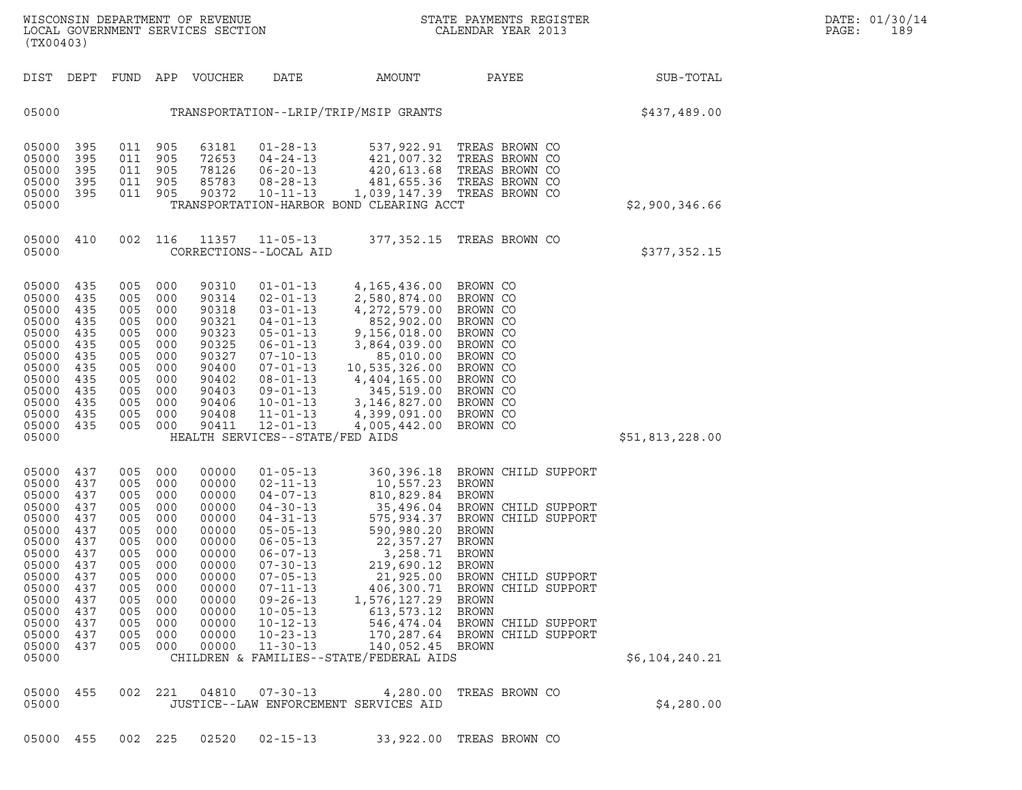| (TX00403)                                                                                                                                             |                                                                                                              |                                                                                                              |                                                                                                              |                                                                                                                                              |                                                                                                                                                                                                                                                                                              |                                                                                                                                                                                                                                                  |                                                                                                                                                                                                                                                                                                                 |                 |  |
|-------------------------------------------------------------------------------------------------------------------------------------------------------|--------------------------------------------------------------------------------------------------------------|--------------------------------------------------------------------------------------------------------------|--------------------------------------------------------------------------------------------------------------|----------------------------------------------------------------------------------------------------------------------------------------------|----------------------------------------------------------------------------------------------------------------------------------------------------------------------------------------------------------------------------------------------------------------------------------------------|--------------------------------------------------------------------------------------------------------------------------------------------------------------------------------------------------------------------------------------------------|-----------------------------------------------------------------------------------------------------------------------------------------------------------------------------------------------------------------------------------------------------------------------------------------------------------------|-----------------|--|
| DIST                                                                                                                                                  | DEPT                                                                                                         | FUND                                                                                                         | APP                                                                                                          | VOUCHER                                                                                                                                      | DATE                                                                                                                                                                                                                                                                                         | AMOUNT                                                                                                                                                                                                                                           | PAYEE                                                                                                                                                                                                                                                                                                           | SUB-TOTAL       |  |
| 05000                                                                                                                                                 |                                                                                                              |                                                                                                              |                                                                                                              |                                                                                                                                              | TRANSPORTATION--LRIP/TRIP/MSIP GRANTS                                                                                                                                                                                                                                                        |                                                                                                                                                                                                                                                  |                                                                                                                                                                                                                                                                                                                 | \$437,489.00    |  |
| 05000<br>05000<br>05000<br>05000<br>05000<br>05000                                                                                                    | 395<br>395<br>395<br>395<br>395                                                                              | 011<br>011<br>011<br>011<br>011                                                                              | 905<br>905<br>905<br>905<br>905                                                                              | 63181<br>72653<br>78126<br>85783<br>90372                                                                                                    | $01 - 28 - 13$<br>$04 - 24 - 13$<br>$06 - 20 - 13$<br>$08 - 28 - 13$<br>$10 - 11 - 13$                                                                                                                                                                                                       | 537,922.91<br>421,007.32<br>420,613.68<br>481,655.36<br>TRANSPORTATION-HARBOR BOND CLEARING ACCT                                                                                                                                                 | TREAS BROWN CO<br>TREAS BROWN CO<br>TREAS BROWN CO<br>TREAS BROWN CO<br>1,039,147.39 TREAS BROWN CO                                                                                                                                                                                                             | \$2,900,346.66  |  |
| 05000<br>05000                                                                                                                                        | 410                                                                                                          | 002                                                                                                          | 116                                                                                                          | 11357                                                                                                                                        | $11 - 05 - 13$<br>CORRECTIONS--LOCAL AID                                                                                                                                                                                                                                                     | 377,352.15                                                                                                                                                                                                                                       | TREAS BROWN CO                                                                                                                                                                                                                                                                                                  | \$377,352.15    |  |
| 05000<br>05000<br>05000<br>05000<br>05000<br>05000<br>05000<br>05000<br>05000<br>05000<br>05000<br>05000<br>05000<br>05000                            | 435<br>435<br>435<br>435<br>435<br>435<br>435<br>435<br>435<br>435<br>435<br>435<br>435                      | 005<br>005<br>005<br>005<br>005<br>005<br>005<br>005<br>005<br>005<br>005<br>005<br>005                      | 000<br>000<br>000<br>000<br>000<br>000<br>000<br>000<br>000<br>000<br>000<br>000<br>000                      | 90310<br>90314<br>90318<br>90321<br>90323<br>90325<br>90327<br>90400<br>90402<br>90403<br>90406<br>90408<br>90411                            | $01 - 01 - 13$<br>$02 - 01 - 13$<br>$03 - 01 - 13$<br>$04 - 01 - 13$<br>$05 - 01 - 13$<br>$06 - 01 - 13$<br>$07 - 10 - 13$<br>$07 - 01 - 13$<br>$08 - 01 - 13$<br>$09 - 01 - 13$<br>$10 - 01 - 13$<br>$11 - 01 - 13$<br>$12 - 01 - 13$<br>HEALTH SERVICES--STATE/FED AIDS                    | 4, 165, 436.00<br>2,580,874.00<br>4, 272, 579.00<br>852,902.00<br>9,156,018.00<br>3,864,039.00<br>85,010.00<br>10,535,326.00<br>4,404,165.00<br>345,519.00<br>3,146,827.00<br>4,399,091.00<br>4,005,442.00                                       | BROWN CO<br>BROWN CO<br>BROWN CO<br>BROWN CO<br>BROWN CO<br>BROWN CO<br>BROWN CO<br>BROWN CO<br>BROWN CO<br>BROWN CO<br>BROWN CO<br>BROWN CO<br>BROWN CO                                                                                                                                                        | \$51,813,228.00 |  |
| 05000<br>05000<br>05000<br>05000<br>05000<br>05000<br>05000<br>05000<br>05000<br>05000<br>05000<br>05000<br>05000<br>05000<br>05000<br>05000<br>05000 | 437<br>437<br>437<br>437<br>437<br>437<br>437<br>437<br>437<br>437<br>437<br>437<br>437<br>437<br>437<br>437 | 005<br>005<br>005<br>005<br>005<br>005<br>005<br>005<br>005<br>005<br>005<br>005<br>005<br>005<br>005<br>005 | 000<br>000<br>000<br>000<br>000<br>000<br>000<br>000<br>000<br>000<br>000<br>000<br>000<br>000<br>000<br>000 | 00000<br>00000<br>00000<br>00000<br>00000<br>00000<br>00000<br>00000<br>00000<br>00000<br>00000<br>00000<br>00000<br>00000<br>00000<br>00000 | $01 - 05 - 13$<br>$02 - 11 - 13$<br>$04 - 07 - 13$<br>$04 - 30 - 13$<br>$04 - 31 - 13$<br>$05 - 05 - 13$<br>$06 - 05 - 13$<br>$06 - 07 - 13$<br>$07 - 30 - 13$<br>$07 - 05 - 13$<br>$07 - 11 - 13$<br>$09 - 26 - 13$<br>$10 - 05 - 13$<br>$10 - 12 - 13$<br>$10 - 23 - 13$<br>$11 - 30 - 13$ | 360, 396.18<br>10,557.23<br>810,829.84<br>35,496.04<br>575,934.37<br>590,980.20<br>22,357.27<br>3,258.71<br>219,690.12<br>21,925.00<br>406,300.71<br>1,576,127.29<br>613, 573. 12<br>140,052.45 BROWN<br>CHILDREN & FAMILIES--STATE/FEDERAL AIDS | BROWN CHILD SUPPORT<br><b>BROWN</b><br><b>BROWN</b><br>BROWN CHILD SUPPORT<br>BROWN<br>CHILD SUPPORT<br><b>BROWN</b><br><b>BROWN</b><br><b>BROWN</b><br>BROWN<br>BROWN CHILD SUPPORT<br>BROWN CHILD SUPPORT<br><b>BROWN</b><br><b>BROWN</b><br>546,474.04 BROWN CHILD SUPPORT<br>170,287.64 BROWN CHILD SUPPORT | \$6,104,240.21  |  |
| 05000<br>05000                                                                                                                                        | 455                                                                                                          | 002                                                                                                          | 221                                                                                                          | 04810                                                                                                                                        | $07 - 30 - 13$<br>JUSTICE--LAW ENFORCEMENT SERVICES AID                                                                                                                                                                                                                                      | 4,280.00                                                                                                                                                                                                                                         | TREAS BROWN CO                                                                                                                                                                                                                                                                                                  | \$4,280.00      |  |
|                                                                                                                                                       |                                                                                                              |                                                                                                              |                                                                                                              |                                                                                                                                              |                                                                                                                                                                                                                                                                                              |                                                                                                                                                                                                                                                  |                                                                                                                                                                                                                                                                                                                 |                 |  |

05000 455 002 225 02520 02-15-13 33,922.00 TREAS BROWN CO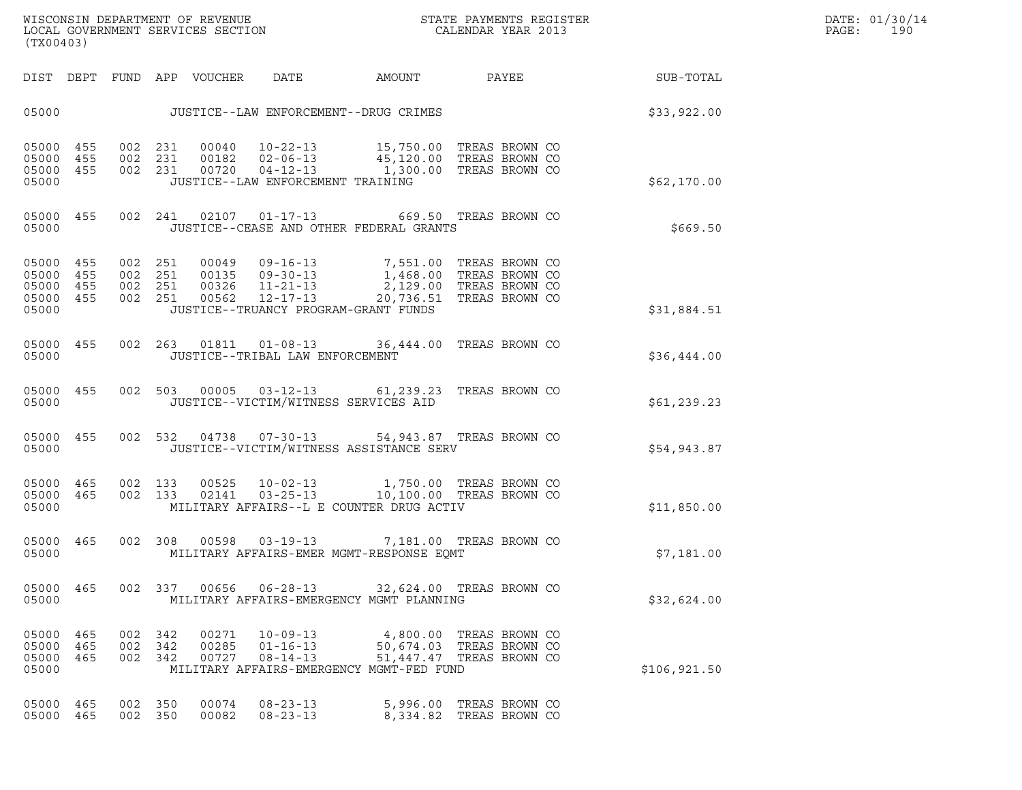| (TX00403)                                                 |                   |                               |         |                            |                                                    | ${\tt WISCOONSIM\ DEPARTMENT\ OF\ REVENUE}\qquad \qquad {\tt STATE\ PAYMENTS\ REGISTER\ LOCAL\ GOVERNMENT\ SERVICES\ SECTION\qquad \qquad {\tt CALENDAR\ YEAR\ 2013}$                                                                                                                                                                |                                                                                 |                 | DATE: 01/30/14<br>$\mathtt{PAGE}$ :<br>190 |  |
|-----------------------------------------------------------|-------------------|-------------------------------|---------|----------------------------|----------------------------------------------------|--------------------------------------------------------------------------------------------------------------------------------------------------------------------------------------------------------------------------------------------------------------------------------------------------------------------------------------|---------------------------------------------------------------------------------|-----------------|--------------------------------------------|--|
|                                                           |                   |                               |         | DIST DEPT FUND APP VOUCHER | DATE                                               | <b>AMOUNT</b>                                                                                                                                                                                                                                                                                                                        |                                                                                 | PAYEE SUB-TOTAL |                                            |  |
|                                                           |                   |                               |         |                            |                                                    | 05000 JUSTICE--LAW ENFORCEMENT--DRUG CRIMES                                                                                                                                                                                                                                                                                          |                                                                                 |                 | \$33,922.00                                |  |
| 05000 455<br>05000 455<br>05000 455<br>05000              |                   |                               |         |                            | JUSTICE--LAW ENFORCEMENT TRAINING                  | 002 231 00040 10-22-13 15,750.00 TREAS BROWN CO<br>002 231 00182 02-06-13 45,120.00 TREAS BROWN CO<br>002 231 00720 04-12-13 1,300.00 TREAS BROWN CO                                                                                                                                                                                 |                                                                                 |                 | \$62,170.00                                |  |
| 05000 455<br>05000                                        |                   |                               |         |                            |                                                    | 002  241  02107  01-17-13  669.50  TREAS BROWN CO<br>JUSTICE--CEASE AND OTHER FEDERAL GRANTS                                                                                                                                                                                                                                         |                                                                                 |                 | \$669.50                                   |  |
| 05000 455<br>05000 455<br>05000 455<br>05000 455<br>05000 |                   |                               |         |                            | JUSTICE--TRUANCY PROGRAM-GRANT FUNDS               | $\begin{array}{cccc} 002 & 251 & 00049 & 09\text{--}16\text{--}13 & 7,551.00 & \text{TREAS BROWN CO} \\ 002 & 251 & 00135 & 09\text{--}30\text{--}13 & 1,468.00 & \text{TREAS BROWN CO} \\ 002 & 251 & 00326 & 11\text{--}21\text{--}13 & 2,129.00 & \text{TREAS BROWN CO} \\ 002 & 251 & 00562 & 12\text{--}17\text{--}13 & 20,736$ |                                                                                 |                 | \$31,884.51                                |  |
| 05000 455<br>05000                                        |                   |                               |         |                            | JUSTICE--TRIBAL LAW ENFORCEMENT                    | 002  263  01811  01-08-13  36,444.00 TREAS BROWN CO                                                                                                                                                                                                                                                                                  |                                                                                 |                 | \$36,444.00                                |  |
| 05000 455<br>05000                                        |                   |                               |         |                            | JUSTICE--VICTIM/WITNESS SERVICES AID               | 002 503 00005 03-12-13 61,239.23 TREAS BROWN CO                                                                                                                                                                                                                                                                                      |                                                                                 |                 | \$61, 239.23                               |  |
| 05000 455<br>05000                                        |                   |                               |         |                            |                                                    | 002 532 04738 07-30-13 54,943.87 TREAS BROWN CO<br>JUSTICE--VICTIM/WITNESS ASSISTANCE SERV                                                                                                                                                                                                                                           |                                                                                 |                 | \$54,943.87                                |  |
| 05000 465 002 133<br>05000 465<br>05000                   |                   | 002 133                       |         |                            |                                                    | 00525  10-02-13  1,750.00 TREAS BROWN CO<br>02141  03-25-13  10,100.00 TREAS BROWN CO<br>MILITARY AFFAIRS--L E COUNTER DRUG ACTIV                                                                                                                                                                                                    |                                                                                 |                 | \$11,850.00                                |  |
| 05000 465<br>05000                                        |                   |                               |         |                            |                                                    | 002 308 00598 03-19-13 7,181.00 TREAS BROWN CO<br>MILITARY AFFAIRS-EMER MGMT-RESPONSE EQMT                                                                                                                                                                                                                                           |                                                                                 |                 | \$7,181.00                                 |  |
| 05000 465<br>05000                                        |                   |                               | 002 337 | 00656                      | $06 - 28 - 13$                                     | MILITARY AFFAIRS-EMERGENCY MGMT PLANNING                                                                                                                                                                                                                                                                                             | 32,624.00 TREAS BROWN CO                                                        |                 | \$32,624.00                                |  |
| 05000<br>05000<br>05000<br>05000                          | 465<br>465<br>465 | 002 342<br>002 342<br>002 342 |         | 00271<br>00285<br>00727    | $10 - 09 - 13$<br>$01 - 16 - 13$<br>$08 - 14 - 13$ | MILITARY AFFAIRS-EMERGENCY MGMT-FED FUND                                                                                                                                                                                                                                                                                             | 4,800.00 TREAS BROWN CO<br>50,674.03 TREAS BROWN CO<br>51,447.47 TREAS BROWN CO |                 | \$106, 921.50                              |  |
| 05000<br>05000                                            | 465<br>465        | 002<br>002 350                | 350     | 00074<br>00082             | $08 - 23 - 13$<br>$08 - 23 - 13$                   |                                                                                                                                                                                                                                                                                                                                      | 5,996.00 TREAS BROWN CO<br>8,334.82 TREAS BROWN CO                              |                 |                                            |  |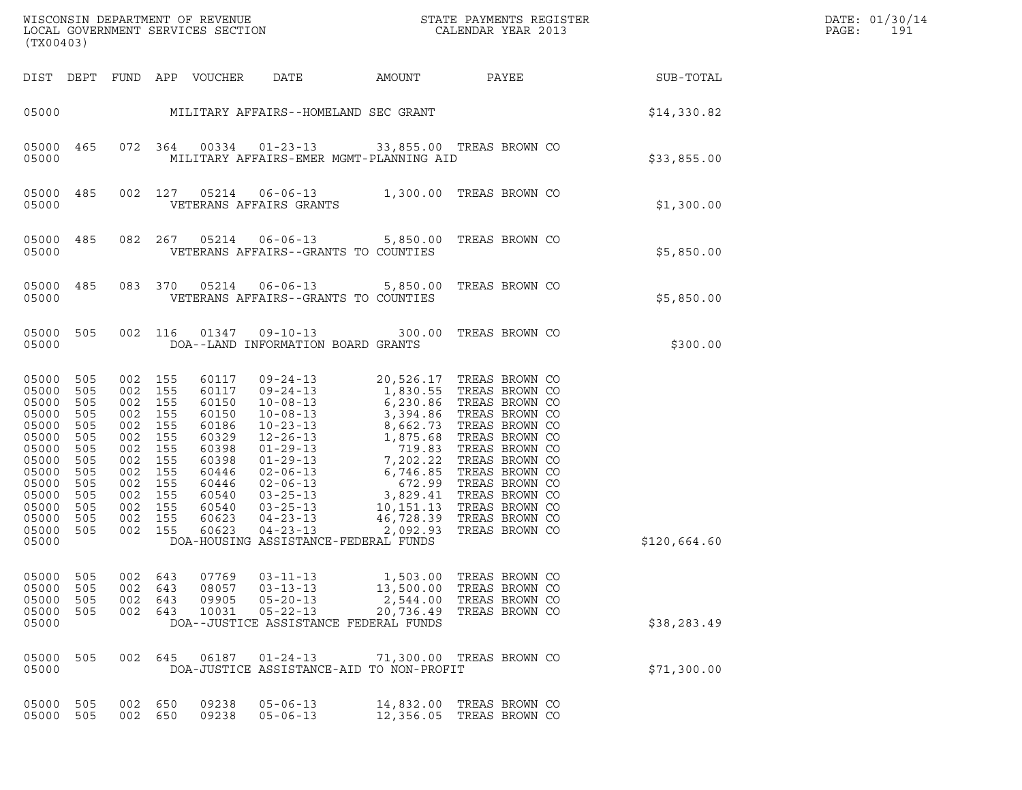| (TX00403)                                                                                                                           |                                                                                                |                                                                                                            |                                                                           |                                                                                                                            |                                                                                                                                                                                                                                                                                                                    |                                                |                                                                                         |              | DATE: 01/30/14<br>PAGE:<br>191 |
|-------------------------------------------------------------------------------------------------------------------------------------|------------------------------------------------------------------------------------------------|------------------------------------------------------------------------------------------------------------|---------------------------------------------------------------------------|----------------------------------------------------------------------------------------------------------------------------|--------------------------------------------------------------------------------------------------------------------------------------------------------------------------------------------------------------------------------------------------------------------------------------------------------------------|------------------------------------------------|-----------------------------------------------------------------------------------------|--------------|--------------------------------|
|                                                                                                                                     |                                                                                                |                                                                                                            |                                                                           | DIST DEPT FUND APP VOUCHER                                                                                                 | DATE                                                                                                                                                                                                                                                                                                               |                                                | AMOUNT PAYEE SUB-TOTAL                                                                  |              |                                |
|                                                                                                                                     |                                                                                                |                                                                                                            |                                                                           |                                                                                                                            | 05000 MILITARY AFFAIRS--HOMELAND SEC GRANT                                                                                                                                                                                                                                                                         |                                                |                                                                                         | \$14,330.82  |                                |
| 05000<br>05000                                                                                                                      | 465                                                                                            | 072 364                                                                                                    |                                                                           |                                                                                                                            | 00334  01-23-13  33,855.00  TREAS BROWN CO<br>MILITARY AFFAIRS-EMER MGMT-PLANNING AID                                                                                                                                                                                                                              |                                                |                                                                                         | \$33,855.00  |                                |
| 05000<br>05000                                                                                                                      | 485                                                                                            | 002 127                                                                                                    |                                                                           | 05214                                                                                                                      | 06-06-13 1,300.00 TREAS BROWN CO<br>VETERANS AFFAIRS GRANTS                                                                                                                                                                                                                                                        |                                                |                                                                                         | \$1,300.00   |                                |
| 05000<br>05000                                                                                                                      | 485                                                                                            | 082 267                                                                                                    |                                                                           | 05214                                                                                                                      | VETERANS AFFAIRS--GRANTS TO COUNTIES                                                                                                                                                                                                                                                                               |                                                | 06-06-13 5,850.00 TREAS BROWN CO                                                        | \$5,850.00   |                                |
| 05000<br>05000                                                                                                                      | 485                                                                                            | 083 370                                                                                                    |                                                                           | 05214                                                                                                                      | VETERANS AFFAIRS--GRANTS TO COUNTIES                                                                                                                                                                                                                                                                               |                                                | 06-06-13 5,850.00 TREAS BROWN CO                                                        | \$5,850.00   |                                |
| 05000<br>05000                                                                                                                      | 505                                                                                            | 002 116                                                                                                    |                                                                           | 01347                                                                                                                      | $09 - 10 - 13$<br>DOA--LAND INFORMATION BOARD GRANTS                                                                                                                                                                                                                                                               | 300.00                                         | TREAS BROWN CO                                                                          | \$300.00     |                                |
| 05000<br>05000<br>05000<br>05000<br>05000<br>05000<br>05000<br>05000<br>05000<br>05000<br>05000<br>05000<br>05000<br>05000<br>05000 | 505<br>505<br>505<br>505<br>505<br>505<br>505<br>505<br>505<br>505<br>505<br>505<br>505<br>505 | 002 155<br>002 155<br>002<br>002<br>002<br>002<br>002<br>002<br>002<br>002<br>002<br>002<br>002<br>002 155 | 155<br>155<br>155<br>155<br>155<br>155<br>155<br>155<br>155<br>155<br>155 | 60117<br>60117<br>60150<br>60150<br>60186<br>60329<br>60398<br>60398<br>60446<br>60446<br>60540<br>60540<br>60623<br>60623 | 09-24-13<br>09-24-13<br>1,830.55 TREAS BROWN CO<br>10-08-13<br>3,394.86 TREAS BROWN CO<br>10-08-13<br>3,394.86 TREAS BROWN CO<br>10-23-13<br>8,662.73 TREAS BROWN CO<br>01-29-13<br>7,202.22 TREAS BROWN CO<br>02-06-13<br>6,746.85 TREAS BROWN CO<br>02<br>$04 - 23 - 13$<br>DOA-HOUSING ASSISTANCE-FEDERAL FUNDS | 2,092.93                                       | 09-24-13 20,526.17 TREAS BROWN CO<br>09-24-13 1,830.55 TREAS BROWN CO<br>TREAS BROWN CO | \$120,664.60 |                                |
| 05000<br>05000<br>05000<br>05000<br>05000                                                                                           | 505<br>505<br>505<br>505                                                                       | 002<br>002<br>002<br>002 643                                                                               | 643<br>643<br>643                                                         | 07769<br>08057<br>09905<br>10031                                                                                           | $03 - 11 - 13$<br>$03 - 13 - 13$<br>$05 - 20 - 13$<br>$05 - 22 - 13$<br>DOA--JUSTICE ASSISTANCE FEDERAL FUNDS                                                                                                                                                                                                      | 1,503.00<br>13,500.00<br>2,544.00<br>20,736.49 | TREAS BROWN CO<br>TREAS BROWN CO<br>TREAS BROWN CO<br>TREAS BROWN CO                    | \$38,283.49  |                                |
| 05000<br>05000                                                                                                                      | 505                                                                                            | 002                                                                                                        | 645                                                                       | 06187                                                                                                                      | $01 - 24 - 13$<br>DOA-JUSTICE ASSISTANCE-AID TO NON-PROFIT                                                                                                                                                                                                                                                         |                                                | 71,300.00 TREAS BROWN CO                                                                | \$71,300.00  |                                |
| 05000<br>05000 505                                                                                                                  | 505                                                                                            | 002<br>002 650                                                                                             | 650                                                                       | 09238<br>09238                                                                                                             | $05 - 06 - 13$<br>$05 - 06 - 13$                                                                                                                                                                                                                                                                                   | 14,832.00                                      | TREAS BROWN CO<br>12,356.05 TREAS BROWN CO                                              |              |                                |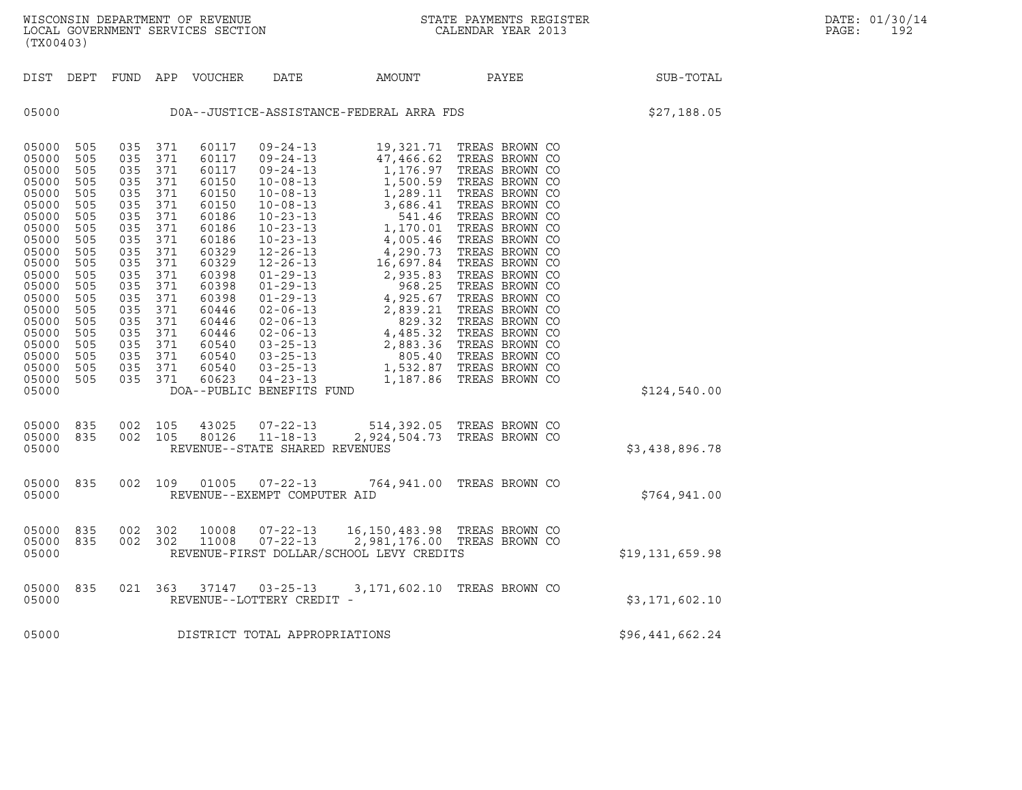| (TX00403)                                                                                                                                                                                          |                                                                                                                                                 |                                                                                                                                                 |                                                                                                                                                 |                                                                                                                                                                                           |                                                                                                                                                                                                                                                                                                                                                                                                                     |                                                                                                                                                                                                                                         |                                                                                                                                                                                                                                                                                                                                                                                                 |                 |
|----------------------------------------------------------------------------------------------------------------------------------------------------------------------------------------------------|-------------------------------------------------------------------------------------------------------------------------------------------------|-------------------------------------------------------------------------------------------------------------------------------------------------|-------------------------------------------------------------------------------------------------------------------------------------------------|-------------------------------------------------------------------------------------------------------------------------------------------------------------------------------------------|---------------------------------------------------------------------------------------------------------------------------------------------------------------------------------------------------------------------------------------------------------------------------------------------------------------------------------------------------------------------------------------------------------------------|-----------------------------------------------------------------------------------------------------------------------------------------------------------------------------------------------------------------------------------------|-------------------------------------------------------------------------------------------------------------------------------------------------------------------------------------------------------------------------------------------------------------------------------------------------------------------------------------------------------------------------------------------------|-----------------|
| DIST                                                                                                                                                                                               | DEPT                                                                                                                                            | FUND                                                                                                                                            | APP                                                                                                                                             | VOUCHER                                                                                                                                                                                   | <b>DATE</b>                                                                                                                                                                                                                                                                                                                                                                                                         | AMOUNT                                                                                                                                                                                                                                  | PAYEE                                                                                                                                                                                                                                                                                                                                                                                           | SUB-TOTAL       |
| 05000                                                                                                                                                                                              |                                                                                                                                                 |                                                                                                                                                 |                                                                                                                                                 |                                                                                                                                                                                           |                                                                                                                                                                                                                                                                                                                                                                                                                     | DOA--JUSTICE-ASSISTANCE-FEDERAL ARRA FDS                                                                                                                                                                                                |                                                                                                                                                                                                                                                                                                                                                                                                 | \$27,188.05     |
| 05000<br>05000<br>05000<br>05000<br>05000<br>05000<br>05000<br>05000<br>05000<br>05000<br>05000<br>05000<br>05000<br>05000<br>05000<br>05000<br>05000<br>05000<br>05000<br>05000<br>05000<br>05000 | 505<br>505<br>505<br>505<br>505<br>505<br>505<br>505<br>505<br>505<br>505<br>505<br>505<br>505<br>505<br>505<br>505<br>505<br>505<br>505<br>505 | 035<br>035<br>035<br>035<br>035<br>035<br>035<br>035<br>035<br>035<br>035<br>035<br>035<br>035<br>035<br>035<br>035<br>035<br>035<br>035<br>035 | 371<br>371<br>371<br>371<br>371<br>371<br>371<br>371<br>371<br>371<br>371<br>371<br>371<br>371<br>371<br>371<br>371<br>371<br>371<br>371<br>371 | 60117<br>60117<br>60117<br>60150<br>60150<br>60150<br>60186<br>60186<br>60186<br>60329<br>60329<br>60398<br>60398<br>60398<br>60446<br>60446<br>60446<br>60540<br>60540<br>60540<br>60623 | $09 - 24 - 13$<br>$09 - 24 - 13$<br>$09 - 24 - 13$<br>$10 - 08 - 13$<br>$10 - 08 - 13$<br>$10 - 08 - 13$<br>$10 - 23 - 13$<br>$10 - 23 - 13$<br>$10 - 23 - 13$<br>$12 - 26 - 13$<br>$12 - 26 - 13$<br>$01 - 29 - 13$<br>$01 - 29 - 13$<br>$01 - 29 - 13$<br>$02 - 06 - 13$<br>$02 - 06 - 13$<br>$02 - 06 - 13$<br>$03 - 25 - 13$<br>$03 - 25 - 13$<br>$03 - 25 - 13$<br>$04 - 23 - 13$<br>DOA--PUBLIC BENEFITS FUND | 19,321.71<br>47,466.62<br>1,176.97<br>1,500.59<br>1,289.11<br>3,686.41<br>541.46<br>1,170.01<br>4,005.46<br>4,290.73<br>16,697.84<br>2,935.83<br>968.25<br>4,925.67<br>2,839.21<br>829.32<br>4,485.32<br>2,883.36<br>805.40<br>1,187.86 | TREAS BROWN CO<br>TREAS BROWN CO<br>TREAS BROWN CO<br>TREAS BROWN CO<br>TREAS BROWN CO<br>TREAS BROWN CO<br>TREAS BROWN CO<br>TREAS BROWN CO<br>TREAS BROWN CO<br>TREAS BROWN CO<br>TREAS BROWN CO<br>TREAS BROWN CO<br>TREAS BROWN CO<br>TREAS BROWN CO<br>TREAS BROWN CO<br>TREAS BROWN CO<br>TREAS BROWN CO<br>TREAS BROWN CO<br>TREAS BROWN CO<br>1,532.87 TREAS BROWN CO<br>TREAS BROWN CO | \$124,540.00    |
| 05000<br>05000<br>05000                                                                                                                                                                            | 835<br>835                                                                                                                                      | 002<br>002                                                                                                                                      | 105<br>105                                                                                                                                      | 43025<br>80126                                                                                                                                                                            | $07 - 22 - 13$<br>$11 - 18 - 13$<br>REVENUE--STATE SHARED REVENUES                                                                                                                                                                                                                                                                                                                                                  | 514,392.05 TREAS BROWN CO<br>2,924,504.73                                                                                                                                                                                               | TREAS BROWN CO                                                                                                                                                                                                                                                                                                                                                                                  | \$3,438,896.78  |
| 05000<br>05000                                                                                                                                                                                     | 835                                                                                                                                             | 002                                                                                                                                             | 109                                                                                                                                             | 01005                                                                                                                                                                                     | $07 - 22 - 13$<br>REVENUE--EXEMPT COMPUTER AID                                                                                                                                                                                                                                                                                                                                                                      | 764,941.00                                                                                                                                                                                                                              | TREAS BROWN CO                                                                                                                                                                                                                                                                                                                                                                                  | \$764,941.00    |
| 05000<br>05000<br>05000                                                                                                                                                                            | 835<br>835                                                                                                                                      | 002<br>002                                                                                                                                      | 302<br>302                                                                                                                                      | 10008<br>11008                                                                                                                                                                            | $07 - 22 - 13$<br>$07 - 22 - 13$                                                                                                                                                                                                                                                                                                                                                                                    | 16,150,483.98 TREAS BROWN CO<br>2,981,176.00 TREAS BROWN CO<br>REVENUE-FIRST DOLLAR/SCHOOL LEVY CREDITS                                                                                                                                 |                                                                                                                                                                                                                                                                                                                                                                                                 | \$19,131,659.98 |
| 05000<br>05000                                                                                                                                                                                     | 835                                                                                                                                             | 021                                                                                                                                             | 363                                                                                                                                             | 37147                                                                                                                                                                                     | $03 - 25 - 13$<br>REVENUE--LOTTERY CREDIT -                                                                                                                                                                                                                                                                                                                                                                         |                                                                                                                                                                                                                                         | 3,171,602.10 TREAS BROWN CO                                                                                                                                                                                                                                                                                                                                                                     | \$3,171,602.10  |
| 05000                                                                                                                                                                                              |                                                                                                                                                 |                                                                                                                                                 |                                                                                                                                                 |                                                                                                                                                                                           | DISTRICT TOTAL APPROPRIATIONS                                                                                                                                                                                                                                                                                                                                                                                       |                                                                                                                                                                                                                                         |                                                                                                                                                                                                                                                                                                                                                                                                 | \$96,441,662.24 |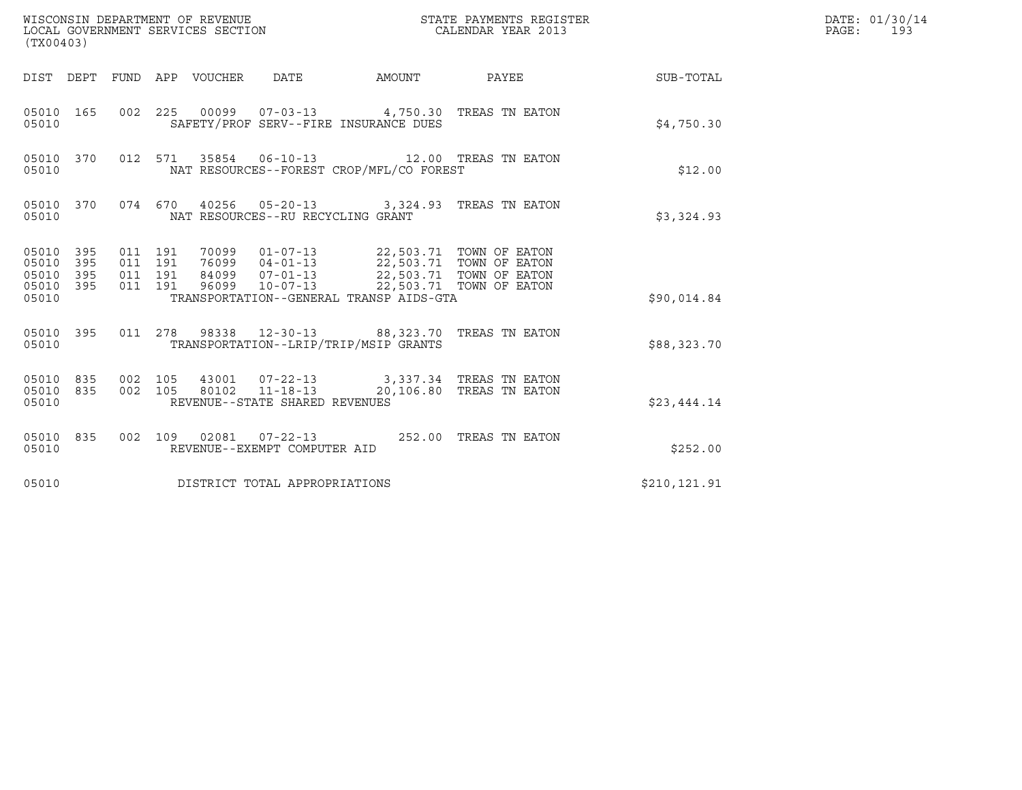| (TX00403)                                             |     |                               |         |                                 |                                                  |                                                                                                    | $\tt WISCONSIM DEPARTMENT OF REVENUE$ $\tt STATE$ PAYMENTS REGISTER LOCAL GOVERNMENT SERVICES SECTION $\tt CALENDAR$ YEAR 2013 |              | DATE: 01/30/14<br>PAGE: 193 |
|-------------------------------------------------------|-----|-------------------------------|---------|---------------------------------|--------------------------------------------------|----------------------------------------------------------------------------------------------------|--------------------------------------------------------------------------------------------------------------------------------|--------------|-----------------------------|
|                                                       |     |                               |         | DIST DEPT FUND APP VOUCHER DATE |                                                  | AMOUNT PAYEE                                                                                       |                                                                                                                                | SUB-TOTAL    |                             |
| 05010                                                 |     |                               |         |                                 |                                                  | 05010 165 002 225 00099 07-03-13 4,750.30 TREAS TN EATON<br>SAFETY/PROF SERV--FIRE INSURANCE DUES  |                                                                                                                                | \$4,750.30   |                             |
| 05010 370<br>05010                                    |     |                               |         |                                 |                                                  | 012 571 35854 06-10-13 12.00 TREAS TN EATON<br>NAT RESOURCES--FOREST CROP/MFL/CO FOREST            |                                                                                                                                | \$12.00      |                             |
| 05010                                                 |     |                               |         |                                 | NAT RESOURCES--RU RECYCLING GRANT                | 05010 370 074 670 40256 05-20-13 3,324.93 TREAS TN EATON                                           |                                                                                                                                | \$3,324.93   |                             |
| 05010 395<br>05010 395<br>05010<br>05010 395<br>05010 | 395 | 011 191<br>011 191<br>011 191 | 011 191 |                                 |                                                  | TRANSPORTATION--GENERAL TRANSP AIDS-GTA                                                            |                                                                                                                                | \$90,014.84  |                             |
| 05010                                                 |     |                               |         |                                 |                                                  | 05010 395 011 278 98338 12-30-13 88,323.70 TREAS TN EATON<br>TRANSPORTATION--LRIP/TRIP/MSIP GRANTS |                                                                                                                                | \$88,323.70  |                             |
| 05010 835<br>05010 835<br>05010                       |     | 002 105<br>002 105            |         |                                 | 80102 11-18-13<br>REVENUE--STATE SHARED REVENUES | 43001  07-22-13  3,337.34 TREAS TN EATON                                                           | 20,106.80 TREAS TN EATON                                                                                                       | \$23,444.14  |                             |
| 05010 835<br>05010                                    |     |                               |         |                                 | REVENUE--EXEMPT COMPUTER AID                     | 002 109 02081 07-22-13 252.00 TREAS TN EATON                                                       |                                                                                                                                | \$252.00     |                             |
| 05010                                                 |     |                               |         |                                 | DISTRICT TOTAL APPROPRIATIONS                    |                                                                                                    |                                                                                                                                | \$210,121.91 |                             |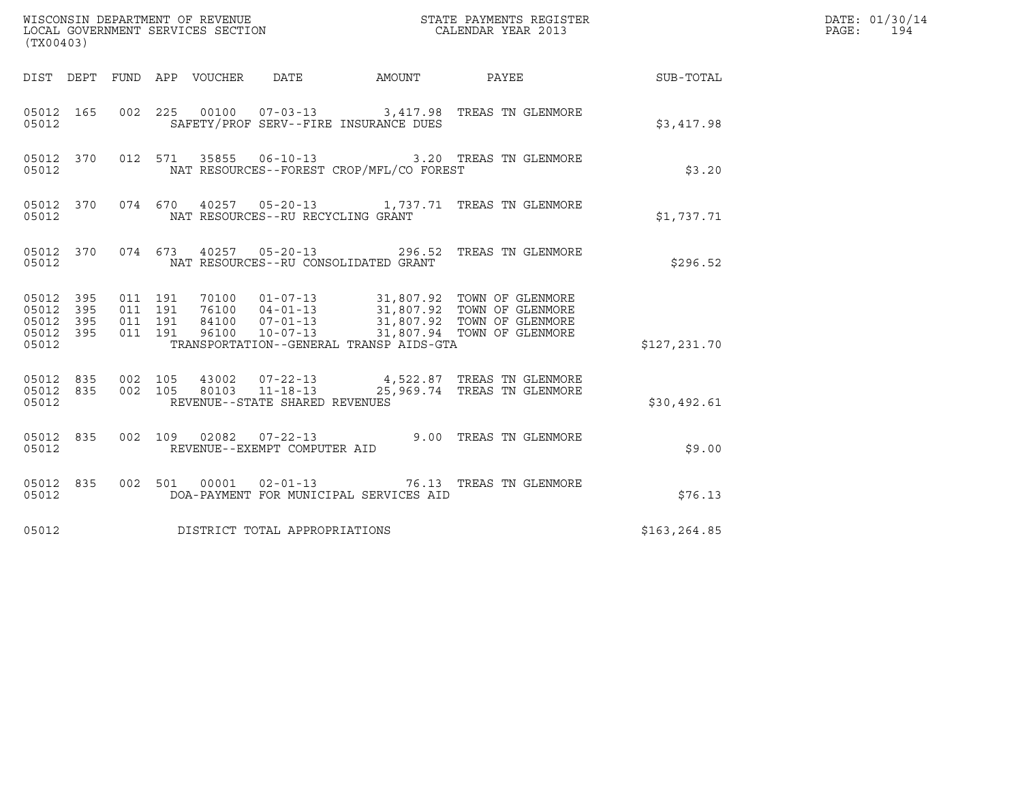| (TX00403)                                                       |                                          |                                                                                                                                                                                                                                         |  |                        | DATE: 01/30/14<br>$\mathtt{PAGE:}$<br>194 |  |
|-----------------------------------------------------------------|------------------------------------------|-----------------------------------------------------------------------------------------------------------------------------------------------------------------------------------------------------------------------------------------|--|------------------------|-------------------------------------------|--|
|                                                                 |                                          | DIST DEPT FUND APP VOUCHER DATE                                                                                                                                                                                                         |  | AMOUNT PAYEE SUB-TOTAL |                                           |  |
| 05012 165<br>05012                                              |                                          | 002 225 00100 07-03-13 3,417.98 TREAS TN GLENMORE<br>SAFETY/PROF SERV--FIRE INSURANCE DUES                                                                                                                                              |  |                        | \$3,417.98                                |  |
| 05012 370<br>05012                                              |                                          | 012 571 35855 06-10-13 3.20 TREAS TN GLENMORE<br>NAT RESOURCES--FOREST CROP/MFL/CO FOREST                                                                                                                                               |  |                        | \$3.20                                    |  |
| 05012 370<br>05012                                              |                                          | 074 670 40257 05-20-13 1,737.71 TREAS TN GLENMORE<br>NAT RESOURCES--RU RECYCLING GRANT                                                                                                                                                  |  |                        | \$1,737.71                                |  |
| 05012                                                           |                                          | 05012 370 074 673 40257 05-20-13 296.52 TREAS TN GLENMORE<br>NAT RESOURCES--RU CONSOLIDATED GRANT                                                                                                                                       |  |                        | \$296.52                                  |  |
| 05012 395<br>05012<br>395<br>05012<br>395<br>05012 395<br>05012 | 011 191<br>011 191<br>011 191<br>011 191 | 70100  01-07-13  31,807.92  TOWN OF GLENMORE<br>76100  04-01-13  31,807.92  TOWN OF GLENMORE<br>84100  07-01-13  31,807.92  TOWN OF GLENMORE<br>96100  10-07-13  31,807.94  TOWN OF GLENMORE<br>TRANSPORTATION--GENERAL TRANSP AIDS-GTA |  |                        | \$127,231.70                              |  |
| 05012 835 002 105<br>05012 835<br>05012                         |                                          | $\begin{array}{cccc} 002 & 105 & 43002 & 07\text{-}22\text{-}13 \\ 002 & 105 & 80103 & 11\text{-}18\text{-}13 & 25,969.74 & \text{TREAS TN GLEMMORE} \end{array}$<br>REVENUE--STATE SHARED REVENUES                                     |  |                        | \$30,492.61                               |  |
| 05012 835<br>05012                                              |                                          | 002 109 02082 07-22-13 9.00 TREAS TN GLENMORE<br>REVENUE--EXEMPT COMPUTER AID                                                                                                                                                           |  |                        | \$9.00                                    |  |
| 05012 835<br>05012                                              |                                          | 002 501 00001 02-01-13 76.13 TREAS TN GLENMORE<br>DOA-PAYMENT FOR MUNICIPAL SERVICES AID                                                                                                                                                |  |                        | \$76.13                                   |  |
| 05012                                                           |                                          | DISTRICT TOTAL APPROPRIATIONS                                                                                                                                                                                                           |  |                        | \$163,264.85                              |  |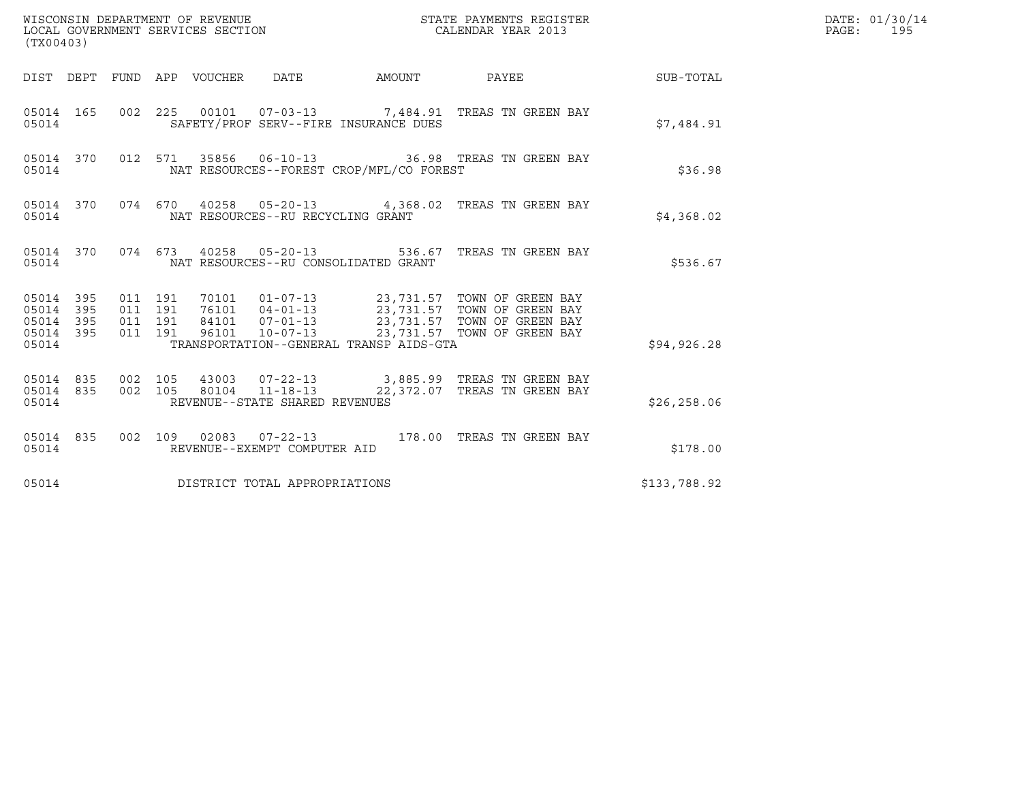| (TX00403)                                                 |                        |                                          |  |                                     |                                          |                                                                                                                                                                                         |              | DATE: 01/30/14<br>PAGE: 195 |
|-----------------------------------------------------------|------------------------|------------------------------------------|--|-------------------------------------|------------------------------------------|-----------------------------------------------------------------------------------------------------------------------------------------------------------------------------------------|--------------|-----------------------------|
|                                                           |                        |                                          |  |                                     |                                          | DIST DEPT FUND APP VOUCHER DATE AMOUNT PAYEE THE SUB-TOTAL                                                                                                                              |              |                             |
| 05014                                                     |                        |                                          |  |                                     | SAFETY/PROF SERV--FIRE INSURANCE DUES    | 05014  165  002  225  00101  07-03-13  7,484.91  TREAS TN GREEN BAY                                                                                                                     | \$7,484.91   |                             |
| 05014                                                     |                        |                                          |  |                                     | NAT RESOURCES--FOREST CROP/MFL/CO FOREST | 05014 370 012 571 35856 06-10-13 36.98 TREAS TN GREEN BAY                                                                                                                               | \$36.98      |                             |
|                                                           | 05014                  |                                          |  | NAT RESOURCES--RU RECYCLING GRANT   |                                          | 05014 370 074 670 40258 05-20-13 4,368.02 TREAS TN GREEN BAY                                                                                                                            | \$4,368.02   |                             |
| 05014                                                     |                        |                                          |  |                                     | NAT RESOURCES--RU CONSOLIDATED GRANT     | 05014 370 074 673 40258 05-20-13 536.67 TREAS TN GREEN BAY                                                                                                                              | \$536.67     |                             |
| 05014 395<br>05014 395<br>05014 395<br>05014 395<br>05014 |                        | 011 191<br>011 191<br>011 191<br>011 191 |  |                                     | TRANSPORTATION--GENERAL TRANSP AIDS-GTA  | 70101  01-07-13  23,731.57  TOWN OF GREEN BAY<br>76101 04-01-13 23,731.57 TOWN OF GREEN BAY<br>84101 07-01-13 23,731.57 TOWN OF GREEN BAY<br>96101 10-07-13 23,731.57 TOWN OF GREEN BAY | \$94, 926.28 |                             |
| 05014                                                     | 05014 835<br>05014 835 | 002 105<br>002 105                       |  | REVENUE--STATE SHARED REVENUES      |                                          |                                                                                                                                                                                         | \$26, 258.06 |                             |
| 05014                                                     | 05014 835              |                                          |  | REVENUE--EXEMPT COMPUTER AID        |                                          | 002 109 02083 07-22-13 178.00 TREAS TN GREEN BAY                                                                                                                                        | \$178.00     |                             |
|                                                           |                        |                                          |  | 05014 DISTRICT TOTAL APPROPRIATIONS |                                          |                                                                                                                                                                                         | \$133,788.92 |                             |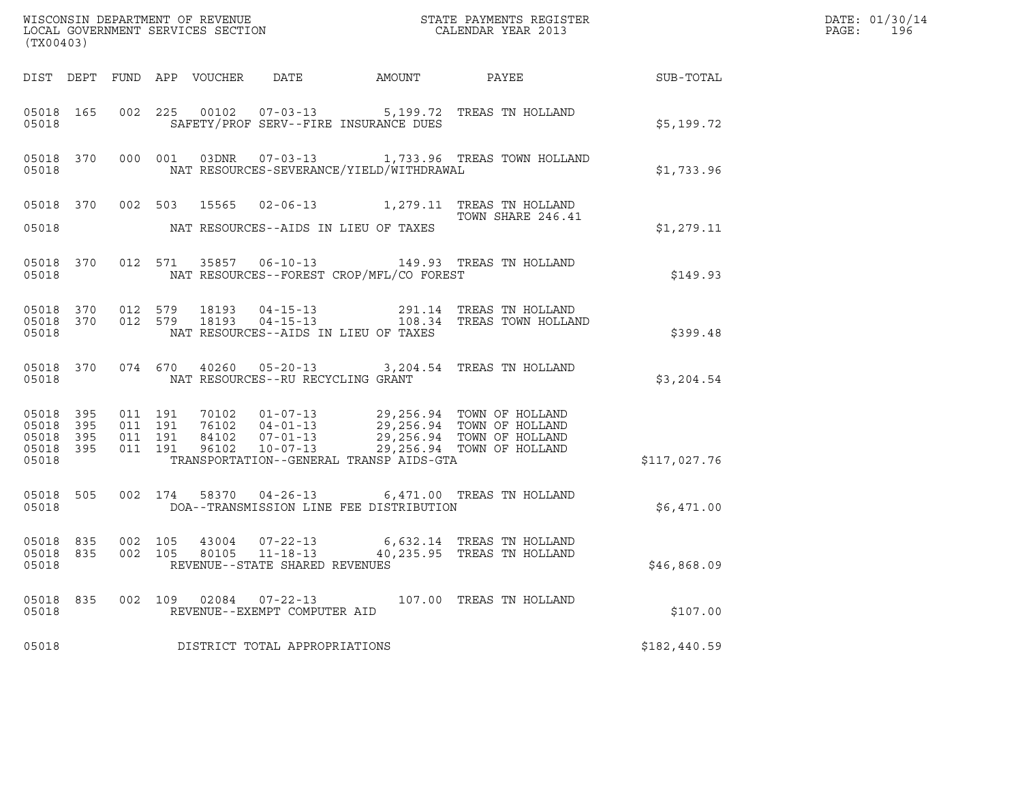| (TX00403)                       |       |         |         |       |                                                  |                                                |                                                                                                                                                                                                                                         |              | DATE: 01/30/14<br>PAGE:<br>196 |
|---------------------------------|-------|---------|---------|-------|--------------------------------------------------|------------------------------------------------|-----------------------------------------------------------------------------------------------------------------------------------------------------------------------------------------------------------------------------------------|--------------|--------------------------------|
|                                 |       |         |         |       |                                                  |                                                | DIST DEPT FUND APP VOUCHER DATE AMOUNT PAYEE SUB-TOTAL                                                                                                                                                                                  |              |                                |
| 05018                           |       |         |         |       |                                                  | SAFETY/PROF SERV--FIRE INSURANCE DUES          | 05018  165  002  225  00102  07-03-13  5,199.72  TREAS TN HOLLAND                                                                                                                                                                       | \$5,199.72   |                                |
|                                 | 05018 |         |         |       |                                                  | NAT RESOURCES-SEVERANCE/YIELD/WITHDRAWAL       | 05018 370 000 001 03DNR 07-03-13 1,733.96 TREAS TOWN HOLLAND                                                                                                                                                                            | \$1,733.96   |                                |
|                                 |       |         |         |       |                                                  |                                                | 05018 370 002 503 15565 02-06-13 1,279.11 TREAS TN HOLLAND<br>TOWN SHARE 246.41<br>TOWN SHARE 246.41                                                                                                                                    |              |                                |
|                                 |       |         |         |       |                                                  | 05018 MAT RESOURCES--AIDS IN LIEU OF TAXES     |                                                                                                                                                                                                                                         | \$1,279.11   |                                |
|                                 |       |         |         |       |                                                  | 05018 MAT RESOURCES--FOREST CROP/MFL/CO FOREST | 05018 370 012 571 35857 06-10-13 149.93 TREAS TN HOLLAND                                                                                                                                                                                | \$149.93     |                                |
| 05018                           |       |         |         |       |                                                  | NAT RESOURCES--AIDS IN LIEU OF TAXES           | 05018 370 012 579 18193 04-15-13 291.14 TREAS TN HOLLAND<br>05018 370 012 579 18193 04-15-13 108.34 TREAS TOWN HOLLAND                                                                                                                  | \$399.48     |                                |
|                                 |       |         |         |       | 05018 MAT RESOURCES--RU RECYCLING GRANT          |                                                | 05018 370 074 670 40260 05-20-13 3,204.54 TREAS TN HOLLAND                                                                                                                                                                              | \$3,204.54   |                                |
| 05018                           |       |         |         |       |                                                  | TRANSPORTATION--GENERAL TRANSP AIDS-GTA        | 05018 395 011 191 70102 01-07-13 29,256.94 TOWN OF HOLLAND<br>05018 395 011 191 76102 04-01-13 29,256.94 TOWN OF HOLLAND<br>05018 395 011 191 84102 07-01-13 29,256.94 TOWN OF HOLLAND<br>05018 395 011 191 96102 10-07-13 29,256.94 TO | \$117,027.76 |                                |
|                                 |       |         |         |       |                                                  | 05018 DOA--TRANSMISSION LINE FEE DISTRIBUTION  | 05018 505 002 174 58370 04-26-13 6,471.00 TREAS TN HOLLAND                                                                                                                                                                              | \$6,471.00   |                                |
| 05018 835<br>05018 835<br>05018 |       | 002 105 |         |       | 80105 11-18-13<br>REVENUE--STATE SHARED REVENUES |                                                | 002 105 43004 07-22-13 6,632.14 TREAS TN HOLLAND<br>40,235.95 TREAS TN HOLLAND                                                                                                                                                          | \$46,868.09  |                                |
| 05018<br>05018                  | 835   |         | 002 109 | 02084 | $07 - 22 - 13$<br>REVENUE--EXEMPT COMPUTER AID   |                                                | 107.00 TREAS TN HOLLAND                                                                                                                                                                                                                 | \$107.00     |                                |
| 05018                           |       |         |         |       | DISTRICT TOTAL APPROPRIATIONS                    |                                                |                                                                                                                                                                                                                                         | \$182,440.59 |                                |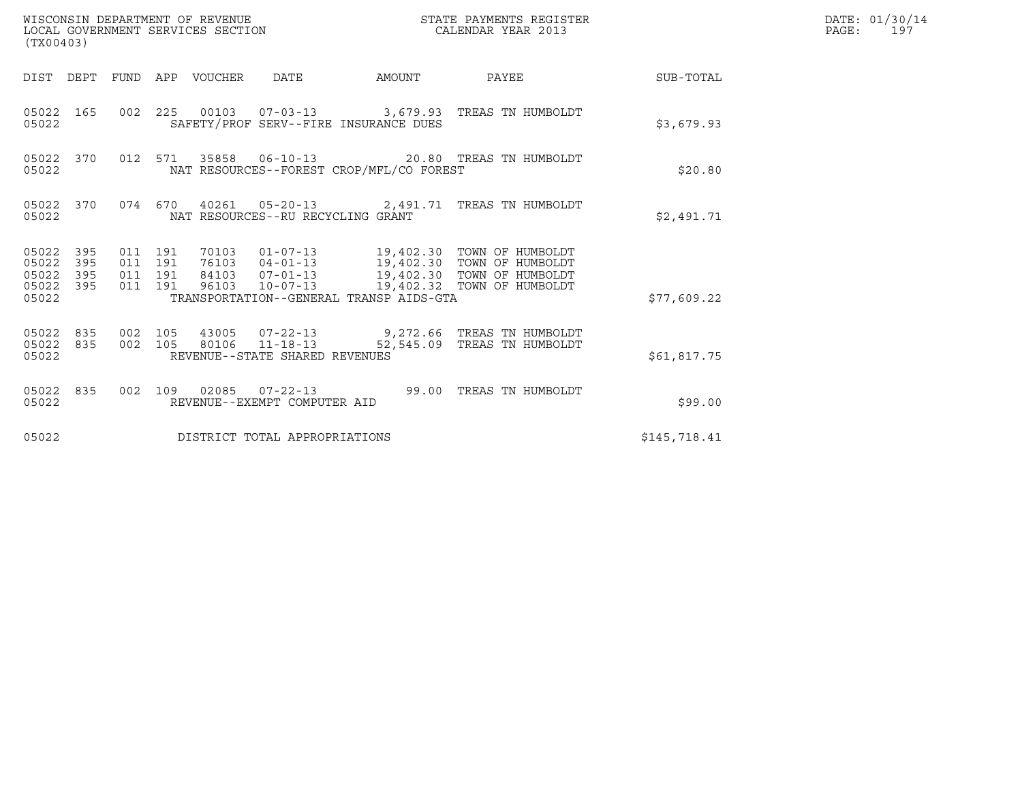| (TX00403)                                                    | WISCONSIN DEPARTMENT OF REVENUE<br>LOCAL GOVERNMENT SERVICES SECTION                                                                                                                                                                                                             | STATE PAYMENTS REGISTER<br>CALENDAR YEAR 2013 | DATE: 01/30/14<br>PAGE: 197 |
|--------------------------------------------------------------|----------------------------------------------------------------------------------------------------------------------------------------------------------------------------------------------------------------------------------------------------------------------------------|-----------------------------------------------|-----------------------------|
|                                                              | DIST DEPT FUND APP VOUCHER DATE                                                                                                                                                                                                                                                  | AMOUNT PAYEE SUB-TOTAL                        |                             |
| 05022 165<br>05022                                           | 002 225 00103 07-03-13 3,679.93 TREAS TN HUMBOLDT<br>SAFETY/PROF SERV--FIRE INSURANCE DUES                                                                                                                                                                                       | \$3,679.93                                    |                             |
| 05022 370<br>05022                                           | 012 571 35858 06-10-13 20.80 TREAS TN HUMBOLDT<br>NAT RESOURCES--FOREST CROP/MFL/CO FOREST                                                                                                                                                                                       | \$20.80                                       |                             |
| 05022                                                        | 05022 370 074 670 40261 05-20-13 2,491.71 TREAS TN HUMBOLDT<br>NAT RESOURCES--RU RECYCLING GRANT                                                                                                                                                                                 | \$2,491.71                                    |                             |
| 05022 395<br>05022<br>395<br>05022 395<br>05022 395<br>05022 | 70103  01-07-13  19,402.30  TOWN OF HUMBOLDT<br>76103  04-01-13  19,402.30  TOWN OF HUMBOLDT<br>84103  07-01-13  19,402.30  TOWN OF HUMBOLDT<br>011 191<br>011 191<br>011 191<br>96103 10-07-13 19,402.32 TOWN OF HUMBOLDT<br>011 191<br>TRANSPORTATION--GENERAL TRANSP AIDS-GTA | \$77,609.22                                   |                             |
| 05022                                                        | 05022 835 002 105 43005 07-22-13 9,272.66 TREAS TN HUMBOLDT<br>05022 835 002 105 80106 11-18-13 52,545.09 TREAS TN HUMBOLDT<br>REVENUE--STATE SHARED REVENUES                                                                                                                    | \$61,817.75                                   |                             |
| 05022 835<br>05022                                           | 002 109 02085 07-22-13 99.00 TREAS TN HUMBOLDT<br>REVENUE--EXEMPT COMPUTER AID                                                                                                                                                                                                   | \$99.00                                       |                             |
| 05022                                                        | DISTRICT TOTAL APPROPRIATIONS                                                                                                                                                                                                                                                    | \$145,718.41                                  |                             |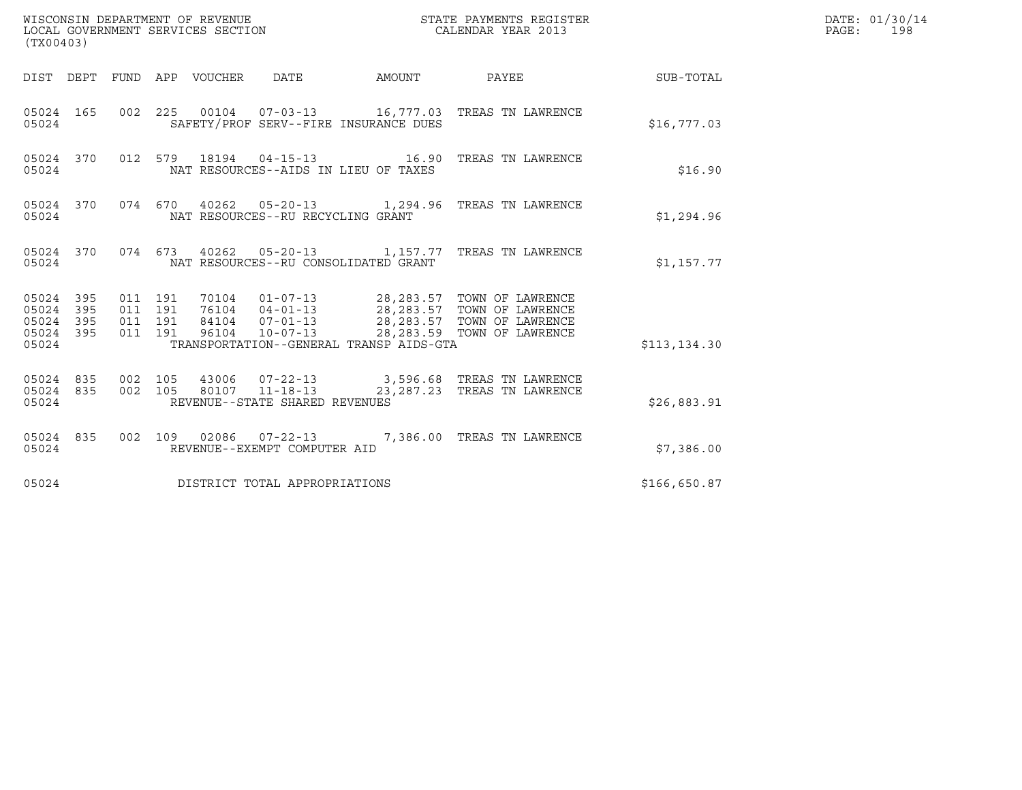| (TX00403)                                                 |                                          |                                 |                                                        | STATE PAYMENTS REGISTER                                                                                                                                                                      |               | DATE: 01/30/14<br>$\mathtt{PAGE}$ :<br>198 |
|-----------------------------------------------------------|------------------------------------------|---------------------------------|--------------------------------------------------------|----------------------------------------------------------------------------------------------------------------------------------------------------------------------------------------------|---------------|--------------------------------------------|
|                                                           |                                          | DIST DEPT FUND APP VOUCHER DATE | AMOUNT                                                 | PAYEE                                                                                                                                                                                        | SUB-TOTAL     |                                            |
| 05024 165<br>05024                                        |                                          |                                 | SAFETY/PROF SERV--FIRE INSURANCE DUES                  | 002 225 00104 07-03-13 16,777.03 TREAS TN LAWRENCE                                                                                                                                           | \$16,777.03   |                                            |
| 05024 370<br>05024                                        |                                          |                                 | NAT RESOURCES--AIDS IN LIEU OF TAXES                   | 012 579 18194 04-15-13 16.90 TREAS TN LAWRENCE                                                                                                                                               | \$16.90       |                                            |
| 05024 370<br>05024                                        |                                          |                                 | NAT RESOURCES--RU RECYCLING GRANT                      | 074 670 40262 05-20-13 1,294.96 TREAS TN LAWRENCE                                                                                                                                            | \$1,294.96    |                                            |
| 05024 370<br>05024                                        |                                          |                                 | NAT RESOURCES--RU CONSOLIDATED GRANT                   | 074 673 40262 05-20-13 1,157.77 TREAS TN LAWRENCE                                                                                                                                            | \$1,157.77    |                                            |
| 05024 395<br>05024 395<br>05024 395<br>05024 395<br>05024 | 011 191<br>011 191<br>011 191<br>011 191 |                                 | TRANSPORTATION--GENERAL TRANSP AIDS-GTA                | 70104  01-07-13  28,283.57  TOWN OF LAWRENCE<br>76104  04-01-13  28,283.57  TOWN OF LAWRENCE<br>84104  07-01-13  28,283.57  TOWN OF LAWRENCE<br>96104  10-07-13  28,283.59  TOWN OF LAWRENCE | \$113, 134.30 |                                            |
| 05024 835<br>05024 835<br>05024                           | 002 105<br>002 105                       |                                 | 80107 11-18-13<br>REVENUE--STATE SHARED REVENUES       | 43006  07-22-13  3,596.68  TREAS TN LAWRENCE<br>23, 287. 23 TREAS TN LAWRENCE                                                                                                                | \$26,883.91   |                                            |
| 05024 835<br>05024                                        |                                          |                                 | 002 109 02086 07-22-13<br>REVENUE--EXEMPT COMPUTER AID | 7,386.00 TREAS TN LAWRENCE                                                                                                                                                                   | \$7,386.00    |                                            |
| 05024                                                     |                                          |                                 | DISTRICT TOTAL APPROPRIATIONS                          |                                                                                                                                                                                              | \$166,650.87  |                                            |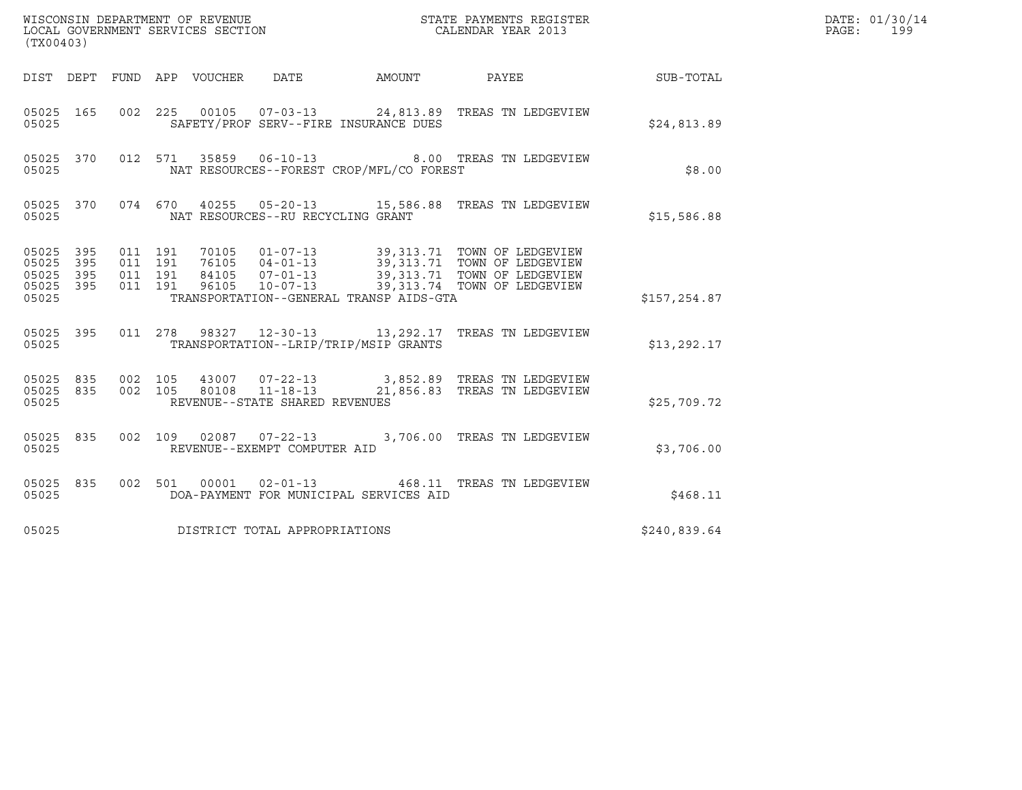| (TX00403)                                         |            |                    |                    |                            |                                   |                                          | DATE: 01/30/14<br>PAGE:<br>199                                                                                                                                                                   |              |  |
|---------------------------------------------------|------------|--------------------|--------------------|----------------------------|-----------------------------------|------------------------------------------|--------------------------------------------------------------------------------------------------------------------------------------------------------------------------------------------------|--------------|--|
|                                                   |            |                    |                    | DIST DEPT FUND APP VOUCHER | DATE                              |                                          | AMOUNT PAYEE SUB-TOTAL                                                                                                                                                                           |              |  |
| 05025 165<br>05025                                |            | 002 225            |                    |                            |                                   | SAFETY/PROF SERV--FIRE INSURANCE DUES    | 00105  07-03-13  24,813.89  TREAS TN LEDGEVIEW                                                                                                                                                   | \$24,813.89  |  |
| 05025 370<br>05025                                |            |                    |                    |                            |                                   | NAT RESOURCES--FOREST CROP/MFL/CO FOREST | 012 571 35859 06-10-13 8.00 TREAS TN LEDGEVIEW                                                                                                                                                   | \$8.00       |  |
| 05025                                             |            |                    |                    |                            | NAT RESOURCES--RU RECYCLING GRANT |                                          | 05025 370 074 670 40255 05-20-13 15,586.88 TREAS TN LEDGEVIEW                                                                                                                                    | \$15,586.88  |  |
| 05025 395<br>05025<br>05025<br>05025 395<br>05025 | 395<br>395 | 011 191<br>011 191 | 011 191<br>011 191 |                            |                                   | TRANSPORTATION--GENERAL TRANSP AIDS-GTA  | 70105  01-07-13  39,313.71  TOWN OF LEDGEVIEW<br>76105  04-01-13  39,313.71  TOWN OF LEDGEVIEW<br>84105  07-01-13  39,313.71  TOWN OF LEDGEVIEW<br>96105  10-07-13  39,313.74  TOWN OF LEDGEVIEW | \$157,254.87 |  |
| 05025 395<br>05025                                |            |                    |                    |                            |                                   | TRANSPORTATION--LRIP/TRIP/MSIP GRANTS    | 011 278 98327 12-30-13 13, 292.17 TREAS TN LEDGEVIEW                                                                                                                                             | \$13, 292.17 |  |
| 05025 835<br>05025                                |            |                    |                    |                            | REVENUE--STATE SHARED REVENUES    |                                          | 05025 835 002 105 43007 07-22-13 3,852.89 TREAS TN LEDGEVIEW<br>002 105 80108 11-18-13 21,856.83 TREAS TN LEDGEVIEW                                                                              | \$25,709.72  |  |
| 05025 835<br>05025                                |            |                    |                    |                            | REVENUE--EXEMPT COMPUTER AID      |                                          | 002 109 02087 07-22-13 3,706.00 TREAS TN LEDGEVIEW                                                                                                                                               | \$3,706.00   |  |
| 05025 835<br>05025                                |            |                    |                    |                            | 002 501 00001 02-01-13            | DOA-PAYMENT FOR MUNICIPAL SERVICES AID   | 468.11 TREAS TN LEDGEVIEW                                                                                                                                                                        | \$468.11     |  |
| 05025                                             |            |                    |                    |                            | DISTRICT TOTAL APPROPRIATIONS     |                                          |                                                                                                                                                                                                  | \$240,839.64 |  |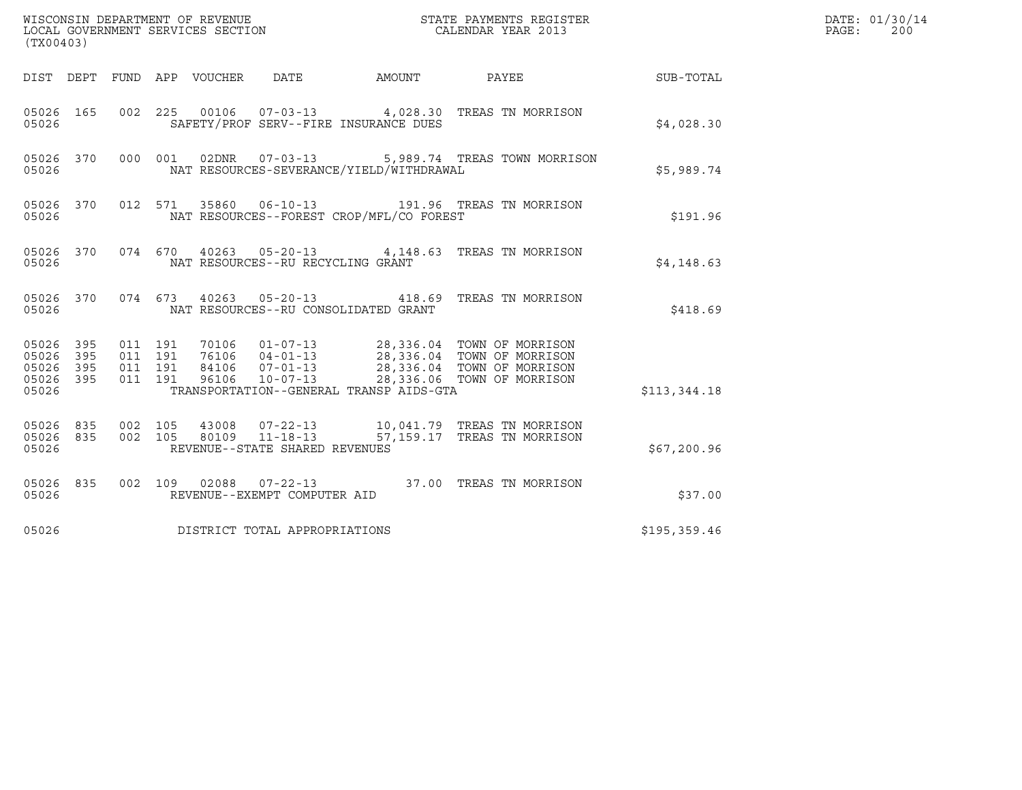| (TX00403)                                                       |                                          | WISCONSIN DEPARTMENT OF REVENUE<br>LOCAL GOVERNMENT SERVICES SECTION | STATE PAYMENTS REGISTER<br>CALENDAR YEAR 2013 |                                                                                                                                                                                              | DATE: 01/30/14<br>PAGE:<br>200 |  |
|-----------------------------------------------------------------|------------------------------------------|----------------------------------------------------------------------|-----------------------------------------------|----------------------------------------------------------------------------------------------------------------------------------------------------------------------------------------------|--------------------------------|--|
| DIST DEPT FUND APP VOUCHER DATE                                 |                                          |                                                                      | AMOUNT                                        |                                                                                                                                                                                              | PAYEE SUB-TOTAL                |  |
| 05026 165<br>05026                                              | 002 225                                  | SAFETY/PROF SERV--FIRE INSURANCE DUES                                |                                               | 00106  07-03-13  4,028.30 TREAS TN MORRISON                                                                                                                                                  | \$4,028.30                     |  |
| 05026 370<br>05026                                              | 000 001                                  | 02DNR 07-03-13<br>NAT RESOURCES-SEVERANCE/YIELD/WITHDRAWAL           |                                               | 5,989.74 TREAS TOWN MORRISON                                                                                                                                                                 | \$5,989.74                     |  |
| 05026 370<br>05026                                              |                                          | NAT RESOURCES--FOREST CROP/MFL/CO FOREST                             |                                               | 012 571 35860 06-10-13 191.96 TREAS TN MORRISON                                                                                                                                              | \$191.96                       |  |
| 05026 370<br>05026                                              |                                          | NAT RESOURCES--RU RECYCLING GRANT                                    |                                               | 074  670  40263  05-20-13  4,148.63  TREAS  TN MORRISON                                                                                                                                      | \$4,148.63                     |  |
| 05026 370<br>05026                                              |                                          | NAT RESOURCES--RU CONSOLIDATED GRANT                                 |                                               | 074  673  40263  05-20-13  418.69  TREAS TN MORRISON                                                                                                                                         | \$418.69                       |  |
| 05026 395<br>05026<br>395<br>395<br>05026<br>05026 395<br>05026 | 011 191<br>011 191<br>011 191<br>011 191 | TRANSPORTATION--GENERAL TRANSP AIDS-GTA                              |                                               | 70106  01-07-13  28,336.04  TOWN OF MORRISON<br>76106  04-01-13  28,336.04  TOWN OF MORRISON<br>84106  07-01-13  28,336.04  TOWN OF MORRISON<br>96106  10-07-13  28,336.06  TOWN OF MORRISON | \$113,344.18                   |  |
| 05026 835<br>05026 835<br>05026                                 | 002 105<br>002 105                       | REVENUE--STATE SHARED REVENUES                                       |                                               | 43008  07-22-13  10,041.79  TREAS TN MORRISON<br>80109  11-18-13  57,159.17  TREAS TN MORRISON                                                                                               | \$67,200.96                    |  |
| 05026 835<br>05026                                              |                                          | REVENUE--EXEMPT COMPUTER AID                                         |                                               | 002 109 02088 07-22-13 37.00 TREAS TN MORRISON                                                                                                                                               | \$37.00                        |  |
| 05026                                                           |                                          | DISTRICT TOTAL APPROPRIATIONS                                        |                                               |                                                                                                                                                                                              | \$195, 359.46                  |  |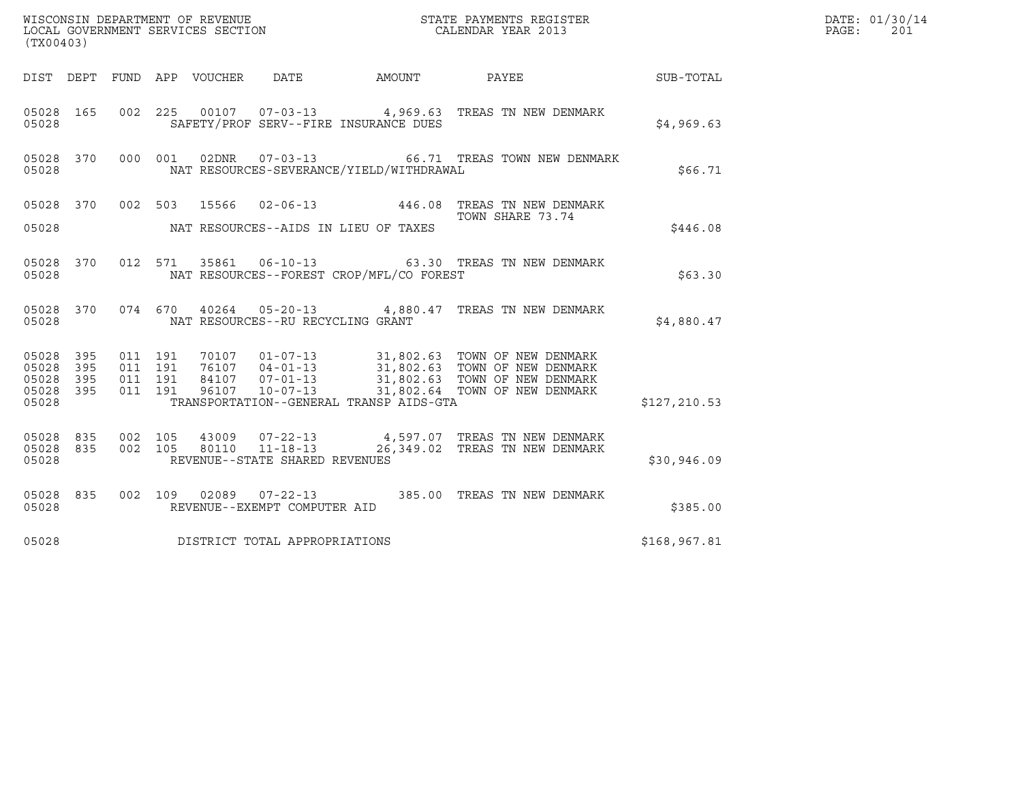| ${\tt WISCOONSIM\ DEPARTMENT\ OF\ REVENUE}\ {\tt LOCALENDAR\ VERA}$ LOCAL GOVERNMENT SERVICES SECTION ${\tt LOCALENDAR\ VERAR\ 2013}$<br>(TX00403) |                          |                                          |         |                  |                                                  |                                          |                                                                                                                                                                                                                                           |              | DATE: 01/30/14<br>PAGE:<br>201 |
|----------------------------------------------------------------------------------------------------------------------------------------------------|--------------------------|------------------------------------------|---------|------------------|--------------------------------------------------|------------------------------------------|-------------------------------------------------------------------------------------------------------------------------------------------------------------------------------------------------------------------------------------------|--------------|--------------------------------|
| DIST DEPT                                                                                                                                          |                          |                                          |         | FUND APP VOUCHER | DATE                                             | AMOUNT PAYEE                             |                                                                                                                                                                                                                                           | SUB-TOTAL    |                                |
| 05028 165<br>05028                                                                                                                                 |                          |                                          |         |                  |                                                  | SAFETY/PROF SERV--FIRE INSURANCE DUES    | 002 225 00107 07-03-13 4,969.63 TREAS TN NEW DENMARK                                                                                                                                                                                      | \$4,969.63   |                                |
| 05028 370<br>05028                                                                                                                                 |                          | 000 001                                  |         | 02DNR            |                                                  | NAT RESOURCES-SEVERANCE/YIELD/WITHDRAWAL |                                                                                                                                                                                                                                           | \$66.71      |                                |
| 05028 370 002 503                                                                                                                                  |                          |                                          |         |                  |                                                  |                                          | 15566  02-06-13  446.08  TREAS TN NEW DENMARK<br>TOWN SHARE 73.74                                                                                                                                                                         |              |                                |
| 05028                                                                                                                                              |                          |                                          |         |                  |                                                  | NAT RESOURCES--AIDS IN LIEU OF TAXES     |                                                                                                                                                                                                                                           | \$446.08     |                                |
| 05028 370<br>05028                                                                                                                                 |                          |                                          | 012 571 |                  |                                                  | NAT RESOURCES--FOREST CROP/MFL/CO FOREST | 35861  06-10-13  63.30  TREAS TN NEW DENMARK                                                                                                                                                                                              | \$63.30      |                                |
| 05028 370<br>05028                                                                                                                                 |                          |                                          | 074 670 |                  | NAT RESOURCES--RU RECYCLING GRANT                |                                          | 40264  05-20-13  4,880.47  TREAS TN NEW DENMARK                                                                                                                                                                                           | \$4,880.47   |                                |
| 05028<br>05028<br>05028<br>05028<br>05028                                                                                                          | 395<br>395<br>395<br>395 | 011 191<br>011 191<br>011 191<br>011 191 |         |                  |                                                  | TRANSPORTATION--GENERAL TRANSP AIDS-GTA  | 70107  01-07-13  31,802.63  TOWN OF NEW DENMARK<br>76107  04-01-13  31,802.63  TOWN OF NEW DENMARK<br>84107  07-01-13  31,802.63  TOWN OF NEW DENMARK<br>96107  10-07-13  31,802.64  TOWN OF NEW DENMARK<br>31,802.64 TOWN OF NEW DENMARK | \$127,210.53 |                                |
| 05028 835<br>05028 835<br>05028                                                                                                                    |                          | 002 105                                  | 002 105 |                  | 80110 11-18-13<br>REVENUE--STATE SHARED REVENUES |                                          | 43009  07-22-13  4,597.07  TREAS TN NEW DENMARK<br>26,349.02 TREAS TN NEW DENMARK                                                                                                                                                         | \$30,946.09  |                                |
| 05028 835<br>05028                                                                                                                                 |                          |                                          |         |                  | REVENUE--EXEMPT COMPUTER AID                     |                                          | 002  109  02089  07-22-13  385.00  TREAS TN NEW DENMARK                                                                                                                                                                                   | \$385.00     |                                |
| 05028                                                                                                                                              |                          |                                          |         |                  | DISTRICT TOTAL APPROPRIATIONS                    |                                          |                                                                                                                                                                                                                                           | \$168,967.81 |                                |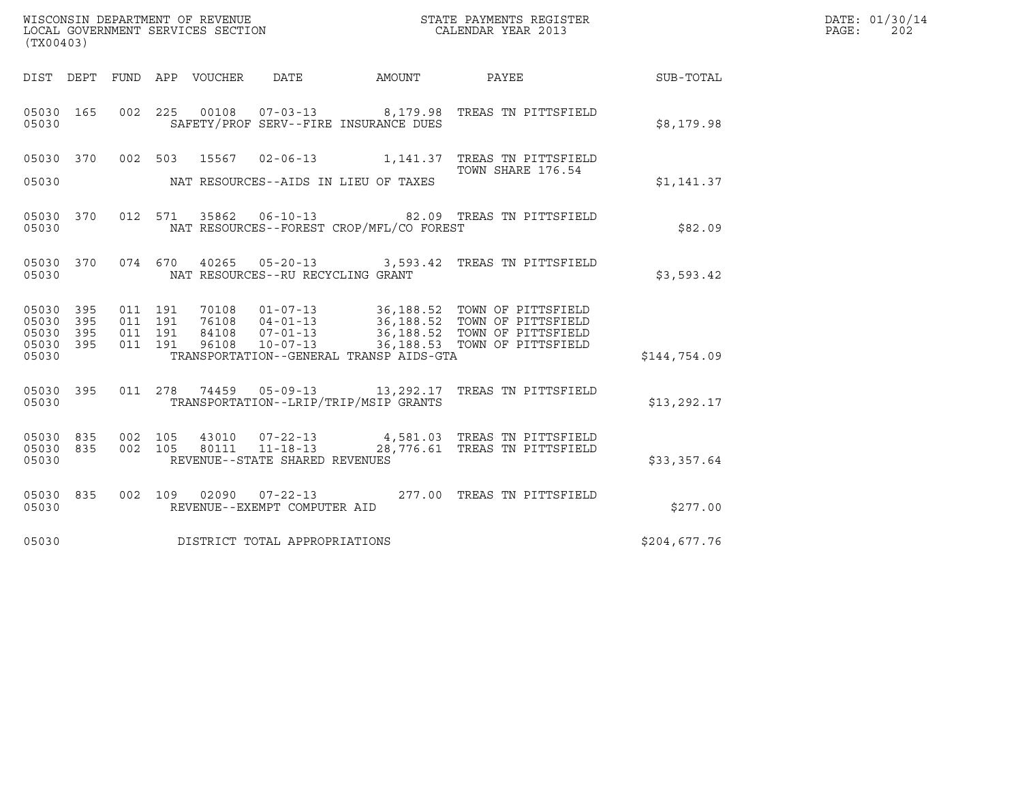| WISCONSIN DEPARTMENT OF REVENUE   | STATE PAYMENTS REGISTER | DATE: 01/30/14 |
|-----------------------------------|-------------------------|----------------|
| LOCAL GOVERNMENT SERVICES SECTION | CALENDAR YEAR 2013      | 202<br>PAGE :  |

| (TX00403)                       |                                   |                              |                                          | WISCONSIN DEPARTMENT OF REVENUE<br>LOCAL GOVERNMENT SERVICES SECTION CALENDAR YEAR 2013                     |              | DATE: 01/30/14<br>PAGE:<br>202 |
|---------------------------------|-----------------------------------|------------------------------|------------------------------------------|-------------------------------------------------------------------------------------------------------------|--------------|--------------------------------|
|                                 |                                   |                              |                                          | DIST DEPT FUND APP VOUCHER DATE AMOUNT PAYEE                                                                | SUB-TOTAL    |                                |
| 05030 165<br>05030              |                                   |                              | SAFETY/PROF SERV--FIRE INSURANCE DUES    | 002 225 00108 07-03-13 8,179.98 TREAS TN PITTSFIELD                                                         | \$8,179.98   |                                |
|                                 |                                   |                              |                                          | 05030 370 002 503 15567 02-06-13 1,141.37 TREAS TN PITTSFIELD<br>TOWN SHARE 176.54                          |              |                                |
| 05030                           |                                   |                              | NAT RESOURCES--AIDS IN LIEU OF TAXES     |                                                                                                             | \$1,141.37   |                                |
| 05030 370<br>05030              |                                   |                              | NAT RESOURCES--FOREST CROP/MFL/CO FOREST | 012 571 35862 06-10-13 82.09 TREAS TN PITTSFIELD                                                            | \$82.09      |                                |
| 05030 370<br>05030              | NAT RESOURCES--RU RECYCLING GRANT |                              |                                          | 074  670  40265  05-20-13  3,593.42  TREAS TN PITTSFIELD                                                    | \$3,593.42   |                                |
| 05030 395<br>05030 395          |                                   |                              |                                          |                                                                                                             |              |                                |
| 05030 395<br>05030 395<br>05030 |                                   |                              | TRANSPORTATION--GENERAL TRANSP AIDS-GTA  |                                                                                                             | \$144,754.09 |                                |
| 05030 395                       |                                   |                              |                                          | 011  278  74459  05-09-13  13,292.17  TREAS TN PITTSFIELD                                                   |              |                                |
| 05030                           |                                   |                              | TRANSPORTATION--LRIP/TRIP/MSIP GRANTS    |                                                                                                             | \$13, 292.17 |                                |
| 05030 835<br>05030 835<br>05030 | REVENUE--STATE SHARED REVENUES    |                              |                                          | 002 105 43010 07-22-13 4,581.03 TREAS TN PITTSFIELD<br>002 105 80111 11-18-13 28,776.61 TREAS TN PITTSFIELD | \$33,357.64  |                                |
| 05030 835<br>05030              |                                   | REVENUE--EXEMPT COMPUTER AID |                                          | 002 109 02090 07-22-13 277.00 TREAS TN PITTSFIELD                                                           | \$277.00     |                                |
| 05030                           | DISTRICT TOTAL APPROPRIATIONS     |                              |                                          |                                                                                                             | \$204,677.76 |                                |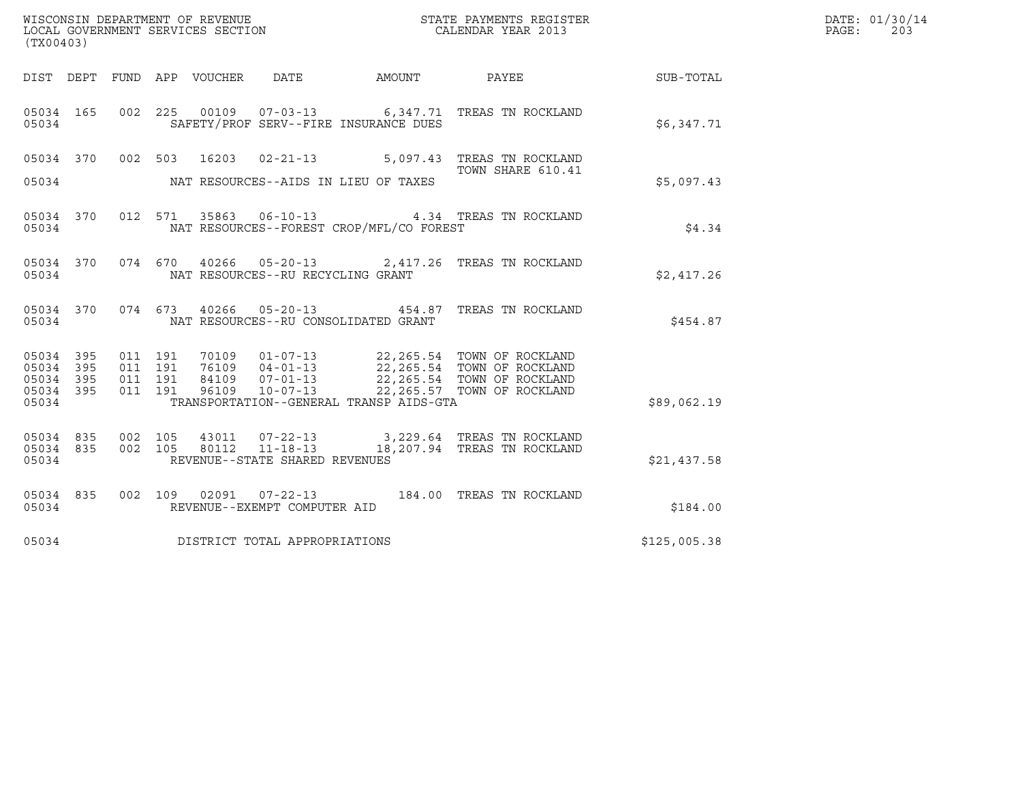| (TX00403)                                     |                   |                                          |                                      |                                          | DATE: 01/30/14<br>PAGE:<br>203                                                                                                                                                               |              |  |
|-----------------------------------------------|-------------------|------------------------------------------|--------------------------------------|------------------------------------------|----------------------------------------------------------------------------------------------------------------------------------------------------------------------------------------------|--------------|--|
|                                               |                   |                                          |                                      |                                          |                                                                                                                                                                                              |              |  |
| 05034                                         | 05034 165         |                                          |                                      | SAFETY/PROF SERV--FIRE INSURANCE DUES    | 002 225 00109 07-03-13 6,347.71 TREAS TN ROCKLAND                                                                                                                                            | \$6,347.71   |  |
|                                               |                   |                                          |                                      |                                          | 05034 370 002 503 16203 02-21-13 5,097.43 TREAS TN ROCKLAND<br>TOWN SHARE 610.41                                                                                                             |              |  |
| 05034                                         |                   |                                          | NAT RESOURCES--AIDS IN LIEU OF TAXES |                                          |                                                                                                                                                                                              | \$5,097.43   |  |
| 05034                                         | 05034 370         |                                          |                                      | NAT RESOURCES--FOREST CROP/MFL/CO FOREST | 012 571 35863 06-10-13 4.34 TREAS TN ROCKLAND                                                                                                                                                | \$4.34       |  |
| 05034                                         | 05034 370         |                                          | NAT RESOURCES--RU RECYCLING GRANT    |                                          | 074 670 40266 05-20-13 2,417.26 TREAS TN ROCKLAND                                                                                                                                            | \$2,417.26   |  |
| 05034                                         | 05034 370         |                                          | NAT RESOURCES--RU CONSOLIDATED GRANT |                                          | 074 673 40266 05-20-13 454.87 TREAS TN ROCKLAND                                                                                                                                              | \$454.87     |  |
| 05034 395<br>05034<br>05034<br>05034<br>05034 | 395<br>395<br>395 | 011 191<br>011 191<br>011 191<br>011 191 |                                      | TRANSPORTATION--GENERAL TRANSP AIDS-GTA  | 70109  01-07-13  22,265.54  TOWN OF ROCKLAND<br>76109  04-01-13  22,265.54  TOWN OF ROCKLAND<br>84109  07-01-13  22,265.54  TOWN OF ROCKLAND<br>96109  10-07-13  22,265.57  TOWN OF ROCKLAND | \$89,062.19  |  |
| 05034 835<br>05034 835<br>05034               |                   |                                          | REVENUE--STATE SHARED REVENUES       |                                          | 002 105 43011 07-22-13 3,229.64 TREAS TN ROCKLAND<br>002 105 80112 11-18-13 18,207.94 TREAS TN ROCKLAND                                                                                      | \$21,437.58  |  |
| 05034                                         | 05034 835         |                                          | REVENUE--EXEMPT COMPUTER AID         |                                          | 002 109 02091 07-22-13 184.00 TREAS TN ROCKLAND                                                                                                                                              | \$184.00     |  |
| 05034                                         |                   |                                          | DISTRICT TOTAL APPROPRIATIONS        |                                          |                                                                                                                                                                                              | \$125,005.38 |  |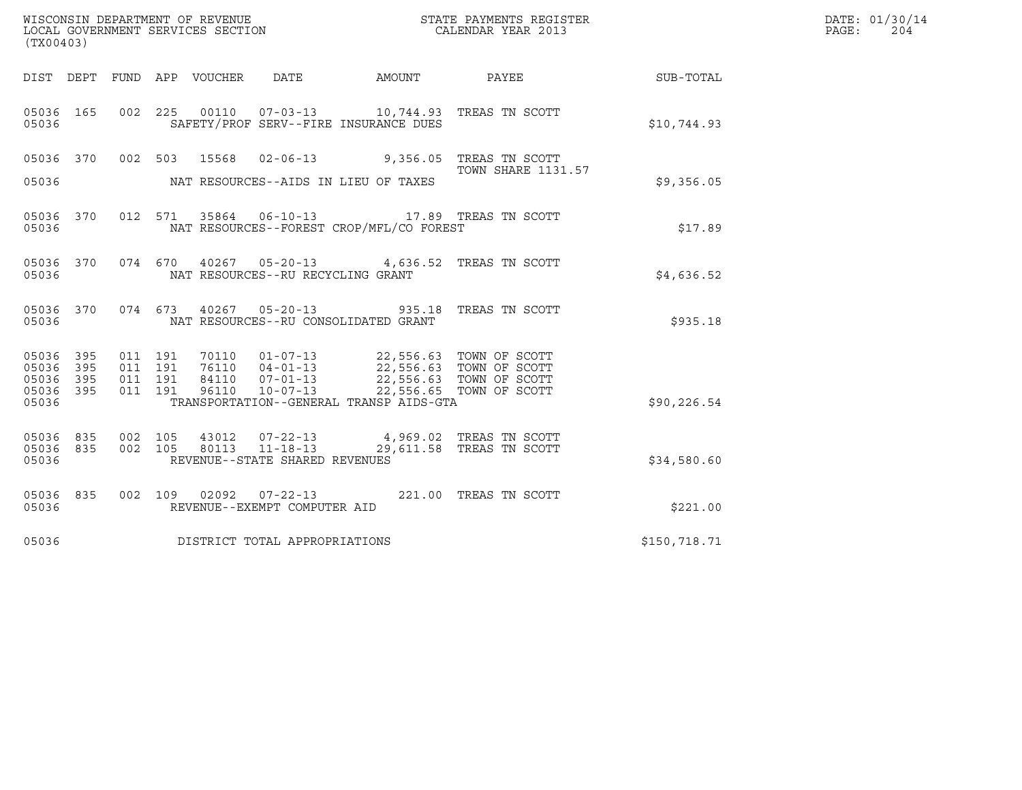| DATE: 01/30/14<br>WISCONSIN DEPARTMENT OF REVENUE<br>STATE PAYMENTS REGISTER<br>LOCAL GOVERNMENT SERVICES SECTION<br>CALENDAR YEAR 2013<br>PAGE:<br>204<br>(TX00403)<br>DIST DEPT FUND APP VOUCHER DATE<br>SUB-TOTAL<br>AMOUNT PAYEE<br>05036 165 002 225 00110 07-03-13 10,744.93 TREAS TN SCOTT<br>SAFETY/PROF SERV--FIRE INSURANCE DUES<br>\$10,744.93<br>05036<br>05036 370 002 503 15568 02-06-13 9,356.05 TREAS TN SCOTT<br><b>TOWN SHARE 1131.57</b><br>05036<br>NAT RESOURCES--AIDS IN LIEU OF TAXES<br>\$9,356.05<br>05036 370 012 571 35864 06-10-13 17.89 TREAS TN SCOTT<br>NAT RESOURCES--FOREST CROP/MFL/CO FOREST<br>\$17.89<br>05036<br>05036 370 074 670 40267 05-20-13 4,636.52 TREAS TN SCOTT<br>05036<br>NAT RESOURCES--RU RECYCLING GRANT<br>\$4,636.52<br>05036 370 074 673 40267 05-20-13 935.18 TREAS TN SCOTT<br>NAT RESOURCES--RU CONSOLIDATED GRANT<br>05036<br>\$935.18<br>70110  01-07-13  22,556.63  TOWN OF SCOTT<br>395<br>011 191<br>05036<br>395<br>011 191<br>05036<br>395<br>011 191<br>05036<br>395<br>22,556.65 TOWN OF SCOTT<br>05036<br>011 191<br>96110<br>10-07-13<br>TRANSPORTATION--GENERAL TRANSP AIDS-GTA<br>05036<br>\$90, 226.54<br>002 105 43012 07-22-13 4,969.02 TREAS TN SCOTT 002 105 80113 11-18-13 29,611.58 TREAS TN SCOTT<br>05036 835<br>05036 835<br>REVENUE--STATE SHARED REVENUES<br>05036<br>\$34,580.60<br>05036 835 002 109 02092 07-22-13 221.00 TREAS TN SCOTT<br>05036<br>REVENUE--EXEMPT COMPUTER AID<br>\$221.00<br>DISTRICT TOTAL APPROPRIATIONS<br>05036<br>\$150,718.71 |  |  |  |  |  |
|------------------------------------------------------------------------------------------------------------------------------------------------------------------------------------------------------------------------------------------------------------------------------------------------------------------------------------------------------------------------------------------------------------------------------------------------------------------------------------------------------------------------------------------------------------------------------------------------------------------------------------------------------------------------------------------------------------------------------------------------------------------------------------------------------------------------------------------------------------------------------------------------------------------------------------------------------------------------------------------------------------------------------------------------------------------------------------------------------------------------------------------------------------------------------------------------------------------------------------------------------------------------------------------------------------------------------------------------------------------------------------------------------------------------------------------------------------------------------------------------------------------------------------------------|--|--|--|--|--|
|                                                                                                                                                                                                                                                                                                                                                                                                                                                                                                                                                                                                                                                                                                                                                                                                                                                                                                                                                                                                                                                                                                                                                                                                                                                                                                                                                                                                                                                                                                                                                |  |  |  |  |  |
|                                                                                                                                                                                                                                                                                                                                                                                                                                                                                                                                                                                                                                                                                                                                                                                                                                                                                                                                                                                                                                                                                                                                                                                                                                                                                                                                                                                                                                                                                                                                                |  |  |  |  |  |
|                                                                                                                                                                                                                                                                                                                                                                                                                                                                                                                                                                                                                                                                                                                                                                                                                                                                                                                                                                                                                                                                                                                                                                                                                                                                                                                                                                                                                                                                                                                                                |  |  |  |  |  |
|                                                                                                                                                                                                                                                                                                                                                                                                                                                                                                                                                                                                                                                                                                                                                                                                                                                                                                                                                                                                                                                                                                                                                                                                                                                                                                                                                                                                                                                                                                                                                |  |  |  |  |  |
|                                                                                                                                                                                                                                                                                                                                                                                                                                                                                                                                                                                                                                                                                                                                                                                                                                                                                                                                                                                                                                                                                                                                                                                                                                                                                                                                                                                                                                                                                                                                                |  |  |  |  |  |
|                                                                                                                                                                                                                                                                                                                                                                                                                                                                                                                                                                                                                                                                                                                                                                                                                                                                                                                                                                                                                                                                                                                                                                                                                                                                                                                                                                                                                                                                                                                                                |  |  |  |  |  |
|                                                                                                                                                                                                                                                                                                                                                                                                                                                                                                                                                                                                                                                                                                                                                                                                                                                                                                                                                                                                                                                                                                                                                                                                                                                                                                                                                                                                                                                                                                                                                |  |  |  |  |  |
|                                                                                                                                                                                                                                                                                                                                                                                                                                                                                                                                                                                                                                                                                                                                                                                                                                                                                                                                                                                                                                                                                                                                                                                                                                                                                                                                                                                                                                                                                                                                                |  |  |  |  |  |
|                                                                                                                                                                                                                                                                                                                                                                                                                                                                                                                                                                                                                                                                                                                                                                                                                                                                                                                                                                                                                                                                                                                                                                                                                                                                                                                                                                                                                                                                                                                                                |  |  |  |  |  |
|                                                                                                                                                                                                                                                                                                                                                                                                                                                                                                                                                                                                                                                                                                                                                                                                                                                                                                                                                                                                                                                                                                                                                                                                                                                                                                                                                                                                                                                                                                                                                |  |  |  |  |  |
|                                                                                                                                                                                                                                                                                                                                                                                                                                                                                                                                                                                                                                                                                                                                                                                                                                                                                                                                                                                                                                                                                                                                                                                                                                                                                                                                                                                                                                                                                                                                                |  |  |  |  |  |
|                                                                                                                                                                                                                                                                                                                                                                                                                                                                                                                                                                                                                                                                                                                                                                                                                                                                                                                                                                                                                                                                                                                                                                                                                                                                                                                                                                                                                                                                                                                                                |  |  |  |  |  |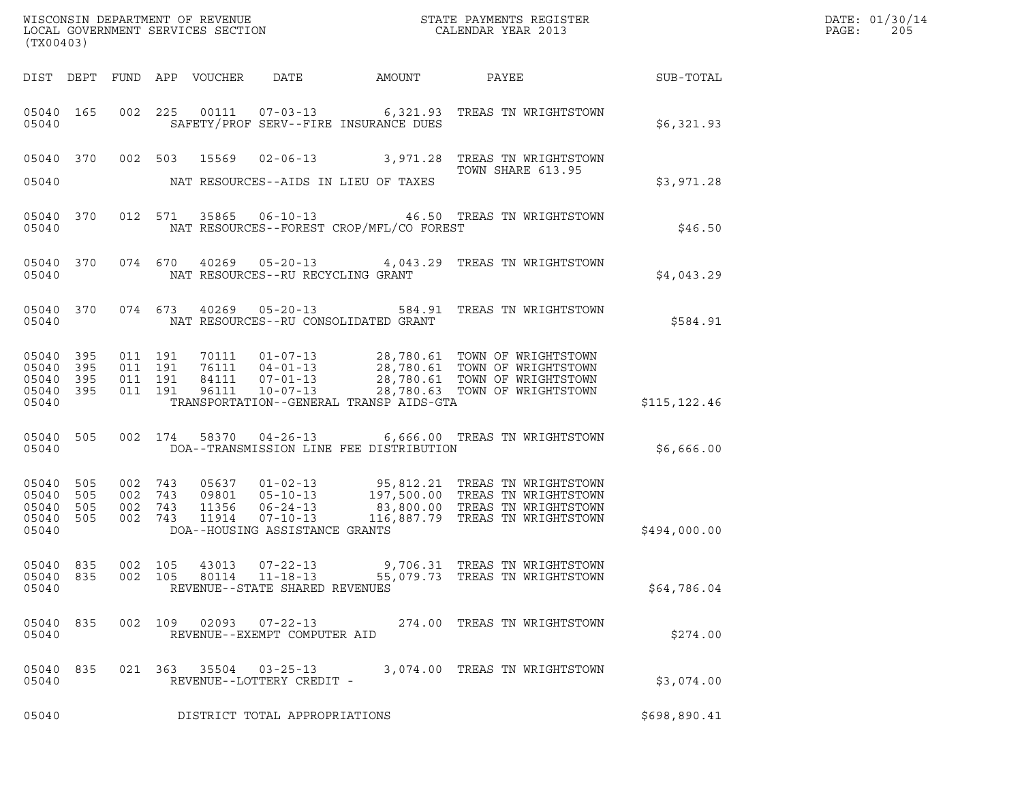|       | DATE: 01/30/14 |
|-------|----------------|
| PAGE: | 205            |

| (TX00403)                                 |                          |     |                                          |                                 |                                                                    | WISCONSIN DEPARTMENT OF REVENUE<br>LOCAL GOVERNMENT SERVICES SECTION | STATE PAYMENTS REGISTER<br>CALENDAR YEAR 2013                                                                                                                                                                                                                                                                                                                                                                      |               | DATE: 01/30/14<br>PAGE:<br>205 |
|-------------------------------------------|--------------------------|-----|------------------------------------------|---------------------------------|--------------------------------------------------------------------|----------------------------------------------------------------------|--------------------------------------------------------------------------------------------------------------------------------------------------------------------------------------------------------------------------------------------------------------------------------------------------------------------------------------------------------------------------------------------------------------------|---------------|--------------------------------|
|                                           |                          |     |                                          | DIST DEPT FUND APP VOUCHER DATE |                                                                    | AMOUNT                                                               | PAYEE                                                                                                                                                                                                                                                                                                                                                                                                              | SUB-TOTAL     |                                |
| 05040 165<br>05040                        |                          |     |                                          |                                 |                                                                    | SAFETY/PROF SERV--FIRE INSURANCE DUES                                | 002 225 00111 07-03-13 6,321.93 TREAS TN WRIGHTSTOWN                                                                                                                                                                                                                                                                                                                                                               | \$6,321.93    |                                |
|                                           |                          |     |                                          |                                 |                                                                    |                                                                      | 05040 370 002 503 15569 02-06-13 3,971.28 TREAS TN WRIGHTSTOWN<br>TOWN SHARE 613.95                                                                                                                                                                                                                                                                                                                                |               |                                |
| 05040                                     |                          |     |                                          |                                 |                                                                    | NAT RESOURCES--AIDS IN LIEU OF TAXES                                 |                                                                                                                                                                                                                                                                                                                                                                                                                    | \$3,971.28    |                                |
| 05040 370<br>05040                        |                          |     |                                          |                                 |                                                                    | NAT RESOURCES--FOREST CROP/MFL/CO FOREST                             | 012 571 35865 06-10-13 46.50 TREAS TN WRIGHTSTOWN                                                                                                                                                                                                                                                                                                                                                                  | \$46.50       |                                |
| 05040 370<br>05040                        |                          |     |                                          |                                 |                                                                    | NAT RESOURCES--RU RECYCLING GRANT                                    | 074 670 40269 05-20-13 4,043.29 TREAS TN WRIGHTSTOWN                                                                                                                                                                                                                                                                                                                                                               | \$4,043.29    |                                |
| 05040 370<br>05040                        |                          |     |                                          |                                 |                                                                    | NAT RESOURCES--RU CONSOLIDATED GRANT                                 | 074 673 40269 05-20-13 584.91 TREAS TN WRIGHTSTOWN                                                                                                                                                                                                                                                                                                                                                                 | \$584.91      |                                |
| 05040<br>05040<br>05040<br>05040<br>05040 | 395<br>395<br>395<br>395 |     | 011 191<br>011 191<br>011 191<br>011 191 |                                 |                                                                    | TRANSPORTATION--GENERAL TRANSP AIDS-GTA                              | $\begin{tabular}{c c c c c c c c c c} \multicolumn{1}{c}{\text{\textbf{70111}}}\quad &\textbf{01-07-13} &\textbf{28,780.61} &\textbf{TOWN OF WRIGHTSTOWN} \\ \multicolumn{1}{c}{\text{\textbf{76111}}}\quad &\textbf{04-01-13} &\textbf{28,780.61} &\textbf{TOWN OF WRIGHTSTOWN} \\ \multicolumn{1}{c}{\textbf{84111}}\quad &\textbf{07-01-13} &\textbf{28,780.61} &\textbf{TOWN OF WRIGHTSTOWN} \\ \multicolumn{$ | \$115, 122.46 |                                |
| 05040 505<br>05040                        |                          |     |                                          |                                 |                                                                    | DOA--TRANSMISSION LINE FEE DISTRIBUTION                              | 002 174 58370 04-26-13 6,666.00 TREAS TN WRIGHTSTOWN                                                                                                                                                                                                                                                                                                                                                               | \$6,666.00    |                                |
| 05040<br>05040<br>05040<br>05040<br>05040 | 505<br>505<br>505<br>505 |     | 002 743<br>002 743<br>002 743<br>002 743 |                                 | DOA--HOUSING ASSISTANCE GRANTS                                     |                                                                      | 05637  01-02-13  95,812.21  TREAS TN WRIGHTSTOWN<br>09801  05-10-13  197,500.00  TREAS TN WRIGHTSTOWN<br>11356  06-24-13  83,800.00  TREAS TN WRIGHTSTOWN<br>11914  07-10-13  116,887.79  TREAS TN WRIGHTSTOWN                                                                                                                                                                                                     | \$494,000.00  |                                |
| 05040 835<br>05040<br>05040               | 835                      | 002 | 105<br>002 105                           | 43013<br>80114                  | $07 - 22 - 13$<br>$11 - 18 - 13$<br>REVENUE--STATE SHARED REVENUES |                                                                      | 9,706.31   TREAS  TN  WRIGHTSTOWN<br>55,079.73 TREAS TN WRIGHTSTOWN                                                                                                                                                                                                                                                                                                                                                | \$64,786.04   |                                |
| 05040<br>05040                            | 835                      |     | 002 109                                  |                                 | $02093$ $07 - 22 - 13$<br>REVENUE--EXEMPT COMPUTER AID             |                                                                      | 274.00 TREAS TN WRIGHTSTOWN                                                                                                                                                                                                                                                                                                                                                                                        | \$274.00      |                                |
| 05040<br>05040                            | 835                      |     | 021 363                                  |                                 | $35504$ $03-25-13$<br>REVENUE--LOTTERY CREDIT -                    |                                                                      | 3,074.00 TREAS TN WRIGHTSTOWN                                                                                                                                                                                                                                                                                                                                                                                      | \$3,074.00    |                                |
| 05040                                     |                          |     |                                          |                                 | DISTRICT TOTAL APPROPRIATIONS                                      |                                                                      |                                                                                                                                                                                                                                                                                                                                                                                                                    | \$698,890.41  |                                |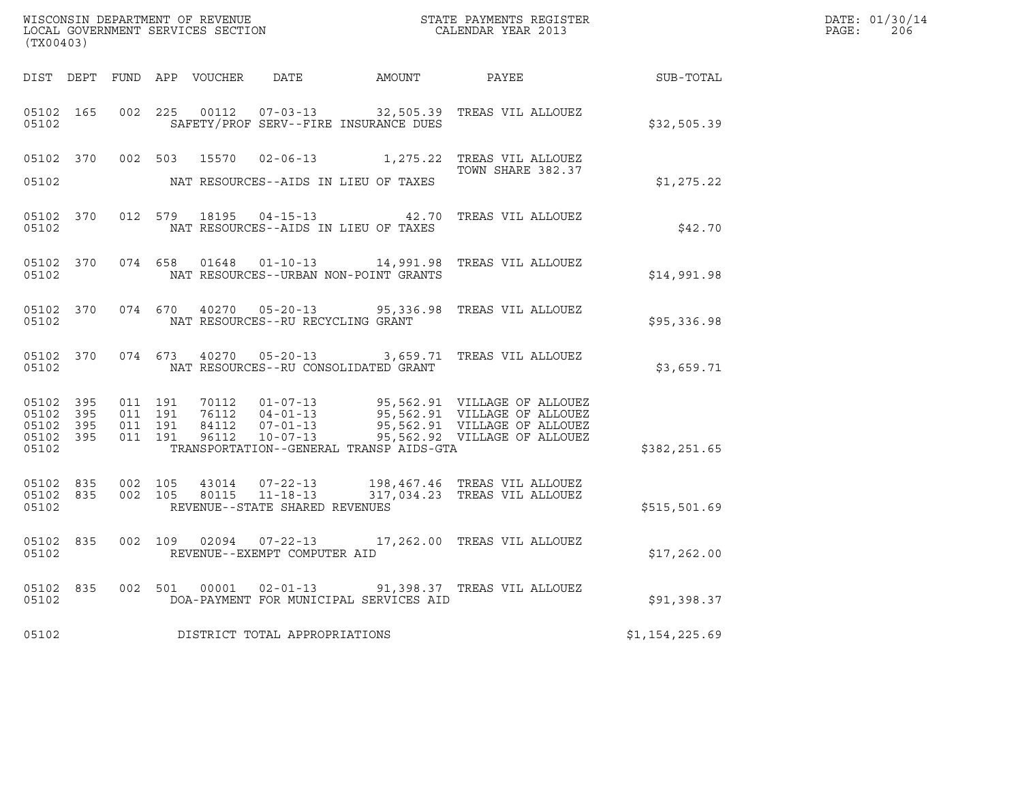| $\tt WISCONSIM DEPARTMENT OF REVENUE$ $\tt WISCONSIMENT$ SERVICES SECTION $\tt CALENDAR$ YEAR 2013<br>(TX00403) |           |                    |                                          |  |                                         |                                                                                                                                                                                                                                                                    |                | DATE: 01/30/14<br>$\mathtt{PAGE:}$<br>206 |
|-----------------------------------------------------------------------------------------------------------------|-----------|--------------------|------------------------------------------|--|-----------------------------------------|--------------------------------------------------------------------------------------------------------------------------------------------------------------------------------------------------------------------------------------------------------------------|----------------|-------------------------------------------|
|                                                                                                                 |           |                    |                                          |  |                                         | DIST DEPT FUND APP VOUCHER DATE AMOUNT PAYEE THE SUB-TOTAL                                                                                                                                                                                                         |                |                                           |
| 05102 165<br>05102                                                                                              |           |                    |                                          |  | SAFETY/PROF SERV--FIRE INSURANCE DUES   | 002 225 00112 07-03-13 32,505.39 TREAS VIL ALLOUEZ                                                                                                                                                                                                                 | \$32,505.39    |                                           |
| 05102                                                                                                           |           |                    |                                          |  | NAT RESOURCES--AIDS IN LIEU OF TAXES    | 05102 370 002 503 15570 02-06-13 1,275.22 TREAS VIL ALLOUEZ<br>TOWN SHARE 382.37                                                                                                                                                                                   | \$1,275.22     |                                           |
| 05102                                                                                                           |           |                    |                                          |  | NAT RESOURCES--AIDS IN LIEU OF TAXES    | 05102 370 012 579 18195 04-15-13 42.70 TREAS VIL ALLOUEZ                                                                                                                                                                                                           | \$42.70        |                                           |
| 05102                                                                                                           | 05102 370 |                    |                                          |  | NAT RESOURCES--URBAN NON-POINT GRANTS   | 074 658 01648 01-10-13 14,991.98 TREAS VIL ALLOUEZ                                                                                                                                                                                                                 | \$14,991.98    |                                           |
| 05102                                                                                                           |           |                    |                                          |  | NAT RESOURCES--RU RECYCLING GRANT       | 05102 370 074 670 40270 05-20-13 95,336.98 TREAS VIL ALLOUEZ                                                                                                                                                                                                       | \$95,336.98    |                                           |
|                                                                                                                 | 05102     |                    |                                          |  | NAT RESOURCES--RU CONSOLIDATED GRANT    | 05102 370 074 673 40270 05-20-13 3,659.71 TREAS VIL ALLOUEZ                                                                                                                                                                                                        | \$3,659.71     |                                           |
| 05102 395<br>05102 395<br>05102 395<br>05102 395<br>05102                                                       |           |                    | 011 191<br>011 191<br>011 191<br>011 191 |  | TRANSPORTATION--GENERAL TRANSP AIDS-GTA | 70112  01-07-13  95,562.91  VILLAGE OF ALLOUEZ<br>70112 01-07-13<br>76112 04-01-13 95,562.91 VILLAGE OF ALLOUEZ<br>84112 07-01-13 95,562.91 VILLAGE OF ALLOUEZ<br>84112  07-01-13  95,562.91  VILLAGE OF ALLOUEZ<br>96112  10-07-13  95,562.92  VILLAGE OF ALLOUEZ | \$382,251.65   |                                           |
| 05102 835<br>05102 835<br>05102                                                                                 |           | 002 105<br>002 105 |                                          |  | REVENUE--STATE SHARED REVENUES          | $\begin{array}{cccc} 43014 & 07\texttt{-}22\texttt{-}13 & 198,467.46 & \texttt{TREAS} & \texttt{VIL ALLOUEZ} \\ 80115 & 11\texttt{-}18\texttt{-}13 & 317,034.23 & \texttt{TREAS} & \texttt{VIL ALLOUEZ} \end{array}$                                               | \$515,501.69   |                                           |
| 05102                                                                                                           | 05102 835 |                    |                                          |  | REVENUE--EXEMPT COMPUTER AID            | 002 109 02094 07-22-13 17,262.00 TREAS VIL ALLOUEZ                                                                                                                                                                                                                 | \$17,262.00    |                                           |
| 05102                                                                                                           |           |                    |                                          |  | DOA-PAYMENT FOR MUNICIPAL SERVICES AID  | 05102 835 002 501 00001 02-01-13 91,398.37 TREAS VIL ALLOUEZ                                                                                                                                                                                                       | \$91,398.37    |                                           |
| 05102                                                                                                           |           |                    |                                          |  | DISTRICT TOTAL APPROPRIATIONS           |                                                                                                                                                                                                                                                                    | \$1,154,225.69 |                                           |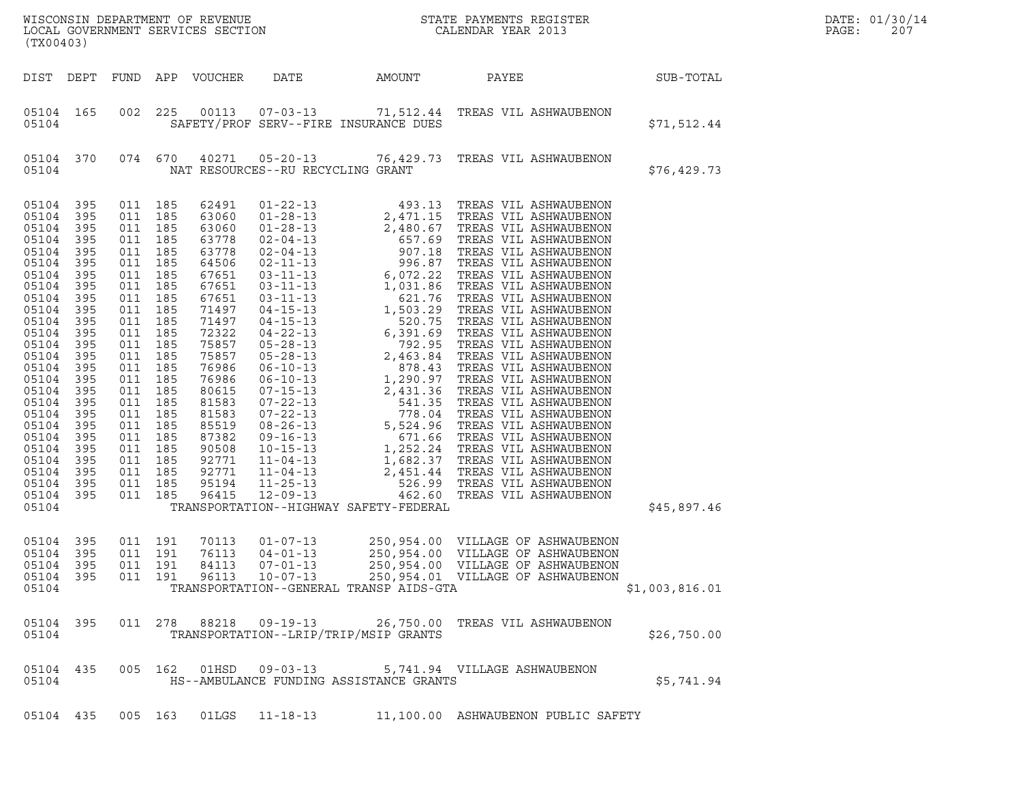| (TX00403)                                                                                                                                                                                                                                       |                                                                                                                                                                                    |                                                                                                                                                                                                                                                                                        |         |                                                                                                                                                                                                                                        |                                                                                                                                                                                                                                                                                                                                                                                                                                                                                  |                                         |                                                                                                                                                                                                                                                                                                                                                                                                                                           |                  | DATE: 01/30/14<br>PAGE:<br>207 |
|-------------------------------------------------------------------------------------------------------------------------------------------------------------------------------------------------------------------------------------------------|------------------------------------------------------------------------------------------------------------------------------------------------------------------------------------|----------------------------------------------------------------------------------------------------------------------------------------------------------------------------------------------------------------------------------------------------------------------------------------|---------|----------------------------------------------------------------------------------------------------------------------------------------------------------------------------------------------------------------------------------------|----------------------------------------------------------------------------------------------------------------------------------------------------------------------------------------------------------------------------------------------------------------------------------------------------------------------------------------------------------------------------------------------------------------------------------------------------------------------------------|-----------------------------------------|-------------------------------------------------------------------------------------------------------------------------------------------------------------------------------------------------------------------------------------------------------------------------------------------------------------------------------------------------------------------------------------------------------------------------------------------|------------------|--------------------------------|
| DIST DEPT                                                                                                                                                                                                                                       |                                                                                                                                                                                    |                                                                                                                                                                                                                                                                                        |         | FUND APP VOUCHER                                                                                                                                                                                                                       | DATE                                                                                                                                                                                                                                                                                                                                                                                                                                                                             | AMOUNT                                  | PAYEE                                                                                                                                                                                                                                                                                                                                                                                                                                     | <b>SUB-TOTAL</b> |                                |
| 05104 165<br>05104                                                                                                                                                                                                                              |                                                                                                                                                                                    | 002                                                                                                                                                                                                                                                                                    | 225     | 00113                                                                                                                                                                                                                                  |                                                                                                                                                                                                                                                                                                                                                                                                                                                                                  | SAFETY/PROF SERV--FIRE INSURANCE DUES   | 07-03-13 71,512.44 TREAS VIL ASHWAUBENON                                                                                                                                                                                                                                                                                                                                                                                                  | \$71,512.44      |                                |
| 05104 370<br>05104                                                                                                                                                                                                                              |                                                                                                                                                                                    | 074 670                                                                                                                                                                                                                                                                                |         | 40271                                                                                                                                                                                                                                  | NAT RESOURCES--RU RECYCLING GRANT                                                                                                                                                                                                                                                                                                                                                                                                                                                |                                         | 05-20-13 76,429.73 TREAS VIL ASHWAUBENON                                                                                                                                                                                                                                                                                                                                                                                                  | \$76,429.73      |                                |
| 05104<br>05104<br>05104<br>05104<br>05104<br>05104<br>05104<br>05104<br>05104<br>05104<br>05104<br>05104<br>05104<br>05104<br>05104<br>05104<br>05104<br>05104<br>05104<br>05104<br>05104<br>05104<br>05104<br>05104<br>05104<br>05104<br>05104 | 395<br>395<br>395<br>395<br>395<br>395<br>395<br>395<br>395<br>395<br>395<br>395<br>395<br>395<br>395<br>395<br>395<br>395<br>395<br>395<br>395<br>395<br>395<br>395<br>395<br>395 | 011 185<br>011 185<br>011 185<br>011 185<br>011 185<br>011 185<br>011 185<br>011 185<br>011 185<br>011 185<br>011 185<br>011 185<br>011 185<br>011 185<br>011 185<br>011 185<br>011 185<br>011<br>011 185<br>011 185<br>011 185<br>011 185<br>011 185<br>011 185<br>011 185<br>011 185 | 185     | 62491<br>63060<br>63060<br>63778<br>63778<br>64506<br>67651<br>67651<br>67651<br>71497<br>71497<br>72322<br>75857<br>75857<br>76986<br>76986<br>80615<br>81583<br>81583<br>85519<br>87382<br>90508<br>92771<br>92771<br>95194<br>96415 | $01 - 22 - 13$<br>$01 - 28 - 13$<br>$01 - 28 - 13$<br>$02 - 04 - 13$<br>$02 - 04 - 13$<br>$02 - 11 - 13$<br>$03 - 11 - 13$<br>$03 - 11 - 13$<br>$03 - 11 - 13$<br>$04 - 15 - 13$<br>$04 - 15 - 13$<br>$04 - 22 - 13$<br>$05 - 28 - 13$<br>$05 - 28 - 13$<br>$06 - 10 - 13$<br>$06 - 10 - 13$<br>$07 - 15 - 13$<br>$07 - 22 - 13$<br>$07 - 22 - 13$<br>$08 - 26 - 13$<br>$09 - 16 - 13$<br>$10 - 15 - 13$<br>$11 - 04 - 13$<br>$11 - 04 - 13$<br>$11 - 25 - 13$<br>$12 - 09 - 13$ | TRANSPORTATION--HIGHWAY SAFETY-FEDERAL  | $\begin{tabular}{c} 493.13 \end{tabular} \begin{tabular}{c} \multicolumn{4}{c}{\textbf{TPERAS}} & \textbf{VIL} & \textbf{ASHMAUBENDON} \\ 2, 490.67 \end{tabular} & \textbf{TPERAS} & \textbf{VIL} & \textbf{ASHMAUBENDON} \\ 657.69 \end{tabular} \begin{tabular}{c} \multicolumn{4}{c}{\textbf{TPERAS}} & \textbf{VIL} & \textbf{ASHMAUBENDON} \\ 996.87 \end{tabular} & \textbf{TERAS} & \textbf{VIL} & \textbf{ASHMAUBENDON} \\ 996.$ | \$45,897.46      |                                |
| 05104<br>05104<br>05104 395<br>05104 395<br>05104                                                                                                                                                                                               | 395<br>395                                                                                                                                                                         | 011 191<br>011 191<br>011 191                                                                                                                                                                                                                                                          | 011 191 | 70113<br>76113<br>84113<br>96113                                                                                                                                                                                                       | $01 - 07 - 13$<br>$04 - 01 - 13$<br>07-01-13<br>$10 - 07 - 13$                                                                                                                                                                                                                                                                                                                                                                                                                   | TRANSPORTATION--GENERAL TRANSP AIDS-GTA | 250,954.00 VILLAGE OF ASHWAUBENON<br>250,954.00 VILLAGE OF ASHWAUBENON<br>250,954.00 VILLAGE OF ASHWAUBENON<br>250,954.01 VILLAGE OF ASHWAUBENON                                                                                                                                                                                                                                                                                          | \$1,003,816.01   |                                |
| 05104 395<br>05104                                                                                                                                                                                                                              |                                                                                                                                                                                    |                                                                                                                                                                                                                                                                                        |         | 011 278 88218                                                                                                                                                                                                                          | 09-19-13                                                                                                                                                                                                                                                                                                                                                                                                                                                                         | TRANSPORTATION--LRIP/TRIP/MSIP GRANTS   | 26,750.00 TREAS VIL ASHWAUBENON                                                                                                                                                                                                                                                                                                                                                                                                           | \$26,750.00      |                                |
| 05104 435<br>05104                                                                                                                                                                                                                              |                                                                                                                                                                                    |                                                                                                                                                                                                                                                                                        | 005 162 |                                                                                                                                                                                                                                        |                                                                                                                                                                                                                                                                                                                                                                                                                                                                                  | HS--AMBULANCE FUNDING ASSISTANCE GRANTS | 5,741.94 VILLAGE ASHWAUBENON                                                                                                                                                                                                                                                                                                                                                                                                              | \$5,741.94       |                                |
| 05104 435                                                                                                                                                                                                                                       |                                                                                                                                                                                    | 005 163                                                                                                                                                                                                                                                                                |         | 01LGS                                                                                                                                                                                                                                  | $11 - 18 - 13$                                                                                                                                                                                                                                                                                                                                                                                                                                                                   |                                         | 11,100.00 ASHWAUBENON PUBLIC SAFETY                                                                                                                                                                                                                                                                                                                                                                                                       |                  |                                |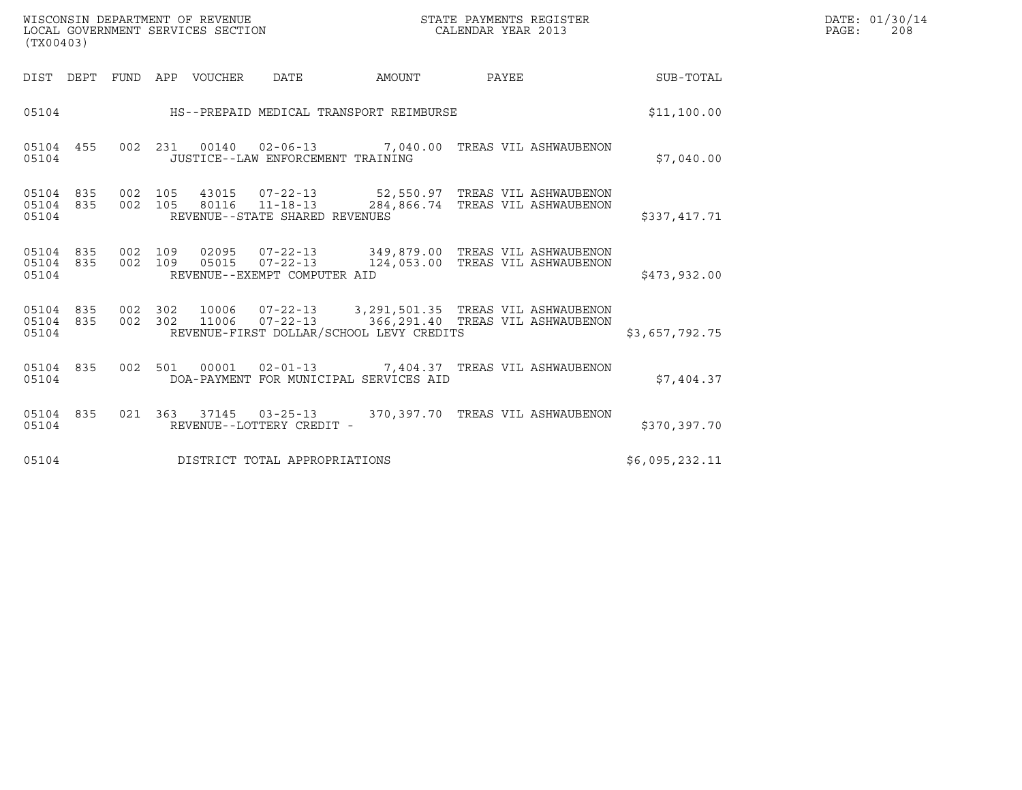| WISCONSIN DEPARTMENT OF REVENUE<br>LOCAL GOVERNMENT SERVICES SECTION<br>(TX00403) | STATE PAYMENTS REGISTER<br>CALENDAR YEAR 2013 | DATE: 01/30/14<br>PAGE:<br>208 |
|-----------------------------------------------------------------------------------|-----------------------------------------------|--------------------------------|

| (TX00403)               |                          |            |         |                                   |                                          |                                                                                                         |                |
|-------------------------|--------------------------|------------|---------|-----------------------------------|------------------------------------------|---------------------------------------------------------------------------------------------------------|----------------|
| DIST                    | DEPT<br>FUND             | APP        | VOUCHER | DATE                              | AMOUNT                                   | PAYEE                                                                                                   | SUB-TOTAL      |
| 05104                   |                          |            |         |                                   | HS--PREPAID MEDICAL TRANSPORT REIMBURSE  |                                                                                                         | \$11,100.00    |
| 05104<br>05104          | 455<br>002               | 231        |         | JUSTICE--LAW ENFORCEMENT TRAINING | 00140  02-06-13  7,040.00                | TREAS VIL ASHWAUBENON                                                                                   | \$7,040.00     |
| 05104<br>05104<br>05104 | 835<br>002<br>002<br>835 | 105<br>105 |         | REVENUE--STATE SHARED REVENUES    |                                          | 43015  07-22-13  52,550.97  TREAS VIL ASHWAUBENON<br>80116  11-18-13  284,866.74  TREAS VIL ASHWAUBENON | \$337,417.71   |
| 05104<br>05104<br>05104 | 835<br>002<br>835<br>002 | 109<br>109 | 05015   | REVENUE--EXEMPT COMPUTER AID      |                                          | 02095  07-22-13  349,879.00 TREAS VIL ASHWAUBENON<br>07-22-13 124,053.00 TREAS VIL ASHWAUBENON          | \$473,932.00   |
| 05104<br>05104<br>05104 | 835<br>002<br>835<br>002 | 302<br>302 | 11006   |                                   | REVENUE-FIRST DOLLAR/SCHOOL LEVY CREDITS | 10006  07-22-13  3,291,501.35  TREAS VIL ASHWAUBENON<br>07-22-13 366,291.40 TREAS VIL ASHWAUBENON       | \$3,657,792.75 |
| 05104<br>05104          | 835<br>002               | 501        |         |                                   | DOA-PAYMENT FOR MUNICIPAL SERVICES AID   | 00001  02-01-13  7,404.37  TREAS VIL ASHWAUBENON                                                        | \$7,404.37     |
| 05104<br>05104          | 835<br>021               | 363        |         | REVENUE--LOTTERY CREDIT -         |                                          | 370,397.70 TREAS VIL ASHWAUBENON                                                                        | \$370,397.70   |
| 05104                   |                          |            |         | DISTRICT TOTAL APPROPRIATIONS     |                                          |                                                                                                         | \$6,095,232.11 |

(TX00403)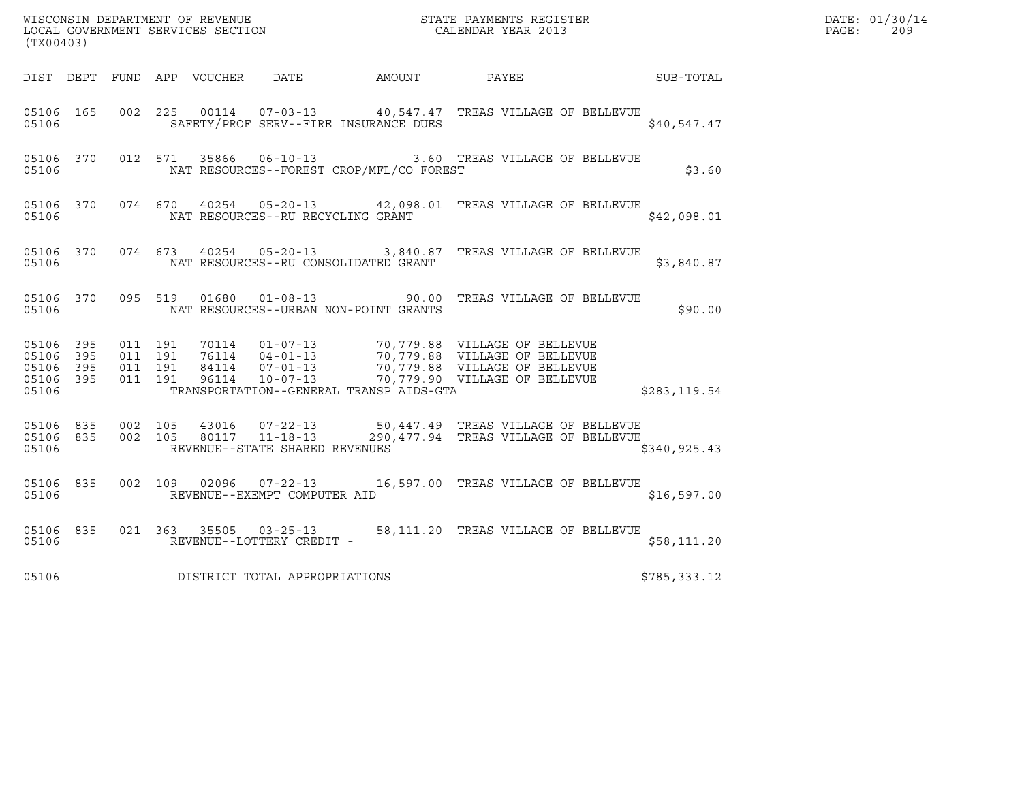| (TX00403)                                                 |           |                    |                    |               |                                                  |                                          |                                                                                                                                                                                             |               | DATE: 01/30/14<br>$\mathtt{PAGE}$ :<br>209 |
|-----------------------------------------------------------|-----------|--------------------|--------------------|---------------|--------------------------------------------------|------------------------------------------|---------------------------------------------------------------------------------------------------------------------------------------------------------------------------------------------|---------------|--------------------------------------------|
|                                                           |           |                    |                    |               |                                                  |                                          | DIST DEPT FUND APP VOUCHER DATE AMOUNT PAYEE SUB-TOTAL                                                                                                                                      |               |                                            |
| 05106 165<br>05106                                        |           |                    |                    | 002 225 00114 |                                                  | SAFETY/PROF SERV--FIRE INSURANCE DUES    | 07-03-13 40,547.47 TREAS VILLAGE OF BELLEVUE                                                                                                                                                | \$40,547.47   |                                            |
| 05106                                                     | 05106 370 |                    |                    | 012 571 35866 |                                                  | NAT RESOURCES--FOREST CROP/MFL/CO FOREST | 06-10-13 3.60 TREAS VILLAGE OF BELLEVUE                                                                                                                                                     | \$3.60        |                                            |
| 05106                                                     | 05106 370 |                    |                    |               | NAT RESOURCES--RU RECYCLING GRANT                |                                          | 074 670 40254 05-20-13 42,098.01 TREAS VILLAGE OF BELLEVUE                                                                                                                                  | \$42,098.01   |                                            |
| 05106                                                     | 05106 370 |                    |                    |               |                                                  | NAT RESOURCES--RU CONSOLIDATED GRANT     | 074 673 40254 05-20-13 3,840.87 TREAS VILLAGE OF BELLEVUE                                                                                                                                   | \$3,840.87    |                                            |
| 05106                                                     | 05106 370 |                    |                    |               |                                                  | NAT RESOURCES--URBAN NON-POINT GRANTS    | 095 519 01680 01-08-13 90.00 TREAS VILLAGE OF BELLEVUE                                                                                                                                      | \$90.00       |                                            |
| 05106 395<br>05106 395<br>05106 395<br>05106 395<br>05106 |           | 011 191<br>011 191 | 011 191<br>011 191 |               |                                                  | TRANSPORTATION--GENERAL TRANSP AIDS-GTA  | 10114  01-07-13  70,779.88  VILLAGE OF BELLEVUE<br>16114  04-01-13  70,779.88  VILLAGE OF BELLEVUE<br>107-01-13  70,779.88  VILLAGE OF BELLEVUE<br>10-07-13  70,779.90  VILLAGE OF BELLEVUE | \$283,119.54  |                                            |
| 05106 835<br>05106                                        | 05106 835 | 002 105<br>002 105 |                    | 43016         | 80117 11-18-13<br>REVENUE--STATE SHARED REVENUES |                                          | $07 - 22 - 13$ 50,447.49 TREAS VILLAGE OF BELLEVUE<br>290,477.94 TREAS VILLAGE OF BELLEVUE                                                                                                  | \$340, 925.43 |                                            |
| 05106 835<br>05106                                        |           |                    | 002 109            | 02096         | REVENUE--EXEMPT COMPUTER AID                     |                                          | 07-22-13 16,597.00 TREAS VILLAGE OF BELLEVUE                                                                                                                                                | \$16,597.00   |                                            |
| 05106                                                     | 05106 835 |                    |                    |               | REVENUE--LOTTERY CREDIT -                        |                                          | 021  363  35505  03-25-13  58,111.20  TREAS VILLAGE OF BELLEVUE                                                                                                                             | \$58,111.20   |                                            |
| 05106                                                     |           |                    |                    |               | DISTRICT TOTAL APPROPRIATIONS                    |                                          |                                                                                                                                                                                             | \$785,333.12  |                                            |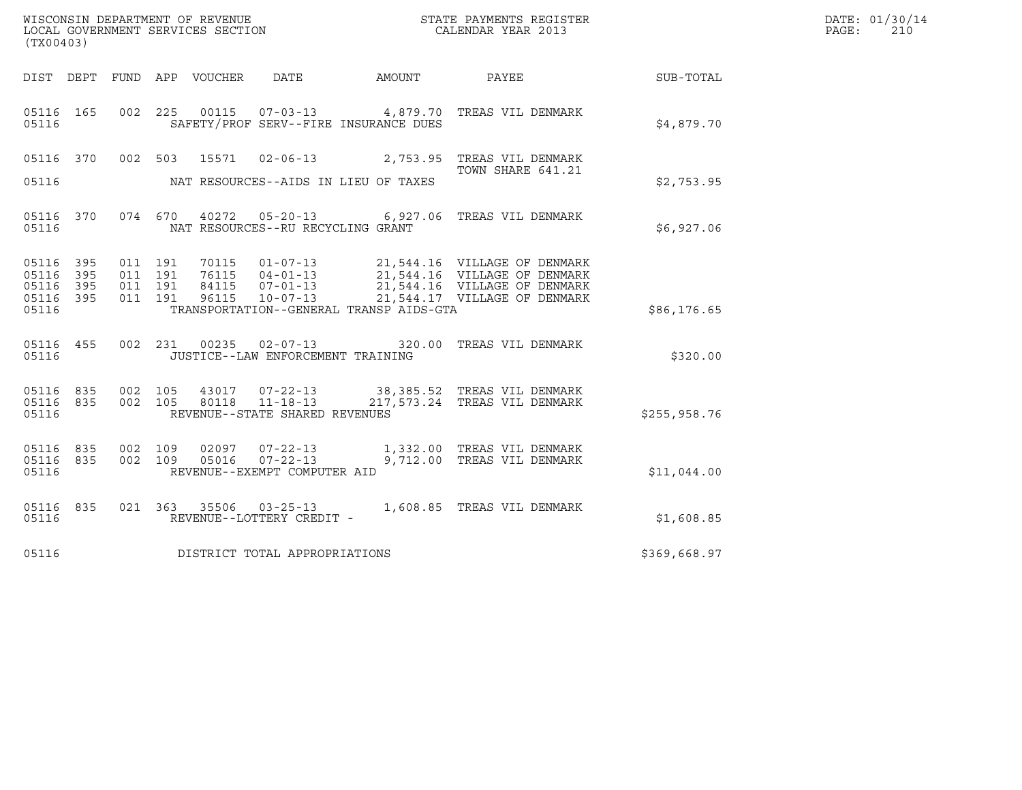| (TX00403)                                     |                   |         |                                          |                |                                                |                                              |                                                                                                                                                                                                      |              | DATE: 01/30/14<br>PAGE:<br>210 |
|-----------------------------------------------|-------------------|---------|------------------------------------------|----------------|------------------------------------------------|----------------------------------------------|------------------------------------------------------------------------------------------------------------------------------------------------------------------------------------------------------|--------------|--------------------------------|
|                                               |                   |         |                                          |                |                                                | DIST DEPT FUND APP VOUCHER DATE AMOUNT PAYEE |                                                                                                                                                                                                      | SUB-TOTAL    |                                |
| 05116 165<br>05116                            |                   |         |                                          |                |                                                | SAFETY/PROF SERV--FIRE INSURANCE DUES        | 002 225 00115 07-03-13 4,879.70 TREAS VIL DENMARK                                                                                                                                                    | \$4,879.70   |                                |
| 05116 370<br>05116                            |                   |         | 002 503                                  |                |                                                | NAT RESOURCES--AIDS IN LIEU OF TAXES         | 15571  02-06-13  2,753.95  TREAS VIL DENMARK<br>TOWN SHARE 641.21                                                                                                                                    | \$2,753.95   |                                |
| 05116                                         |                   |         |                                          |                | NAT RESOURCES--RU RECYCLING GRANT              |                                              | 05116 370 074 670 40272 05-20-13 6,927.06 TREAS VIL DENMARK                                                                                                                                          | \$6,927.06   |                                |
| 05116 395<br>05116<br>05116<br>05116<br>05116 | 395<br>395<br>395 |         | 011 191<br>011 191<br>011 191<br>011 191 |                |                                                | TRANSPORTATION--GENERAL TRANSP AIDS-GTA      | 70115  01-07-13  21,544.16  VILLAGE OF DENMARK<br>76115  04-01-13  21,544.16  VILLAGE OF DENMARK<br>84115  07-01-13  21,544.16  VILLAGE OF DENMARK<br>96115  10-07-13  21,544.17  VILLAGE OF DENMARK | \$86,176.65  |                                |
| 05116 455<br>05116                            |                   |         |                                          |                | JUSTICE--LAW ENFORCEMENT TRAINING              |                                              | 002 231 00235 02-07-13 320.00 TREAS VIL DENMARK                                                                                                                                                      | \$320.00     |                                |
| 05116 835<br>05116                            | 05116 835 002 105 |         | 002 105                                  |                | REVENUE--STATE SHARED REVENUES                 |                                              | 43017  07-22-13  38,385.52  TREAS VIL DENMARK<br>80118  11-18-13  217,573.24  TREAS VIL DENMARK                                                                                                      | \$255,958.76 |                                |
| 05116 835<br>05116<br>05116                   | 835               | 002 109 | 002 109                                  | 02097<br>05016 | $07 - 22 - 13$<br>REVENUE--EXEMPT COMPUTER AID |                                              | 07-22-13 1,332.00 TREAS VIL DENMARK<br>9,712.00 TREAS VIL DENMARK                                                                                                                                    | \$11,044.00  |                                |
| 05116                                         | 05116 835         |         |                                          |                | REVENUE--LOTTERY CREDIT -                      |                                              | 021 363 35506 03-25-13 1,608.85 TREAS VIL DENMARK                                                                                                                                                    | \$1,608.85   |                                |
| 05116                                         |                   |         |                                          |                | DISTRICT TOTAL APPROPRIATIONS                  |                                              |                                                                                                                                                                                                      | \$369,668.97 |                                |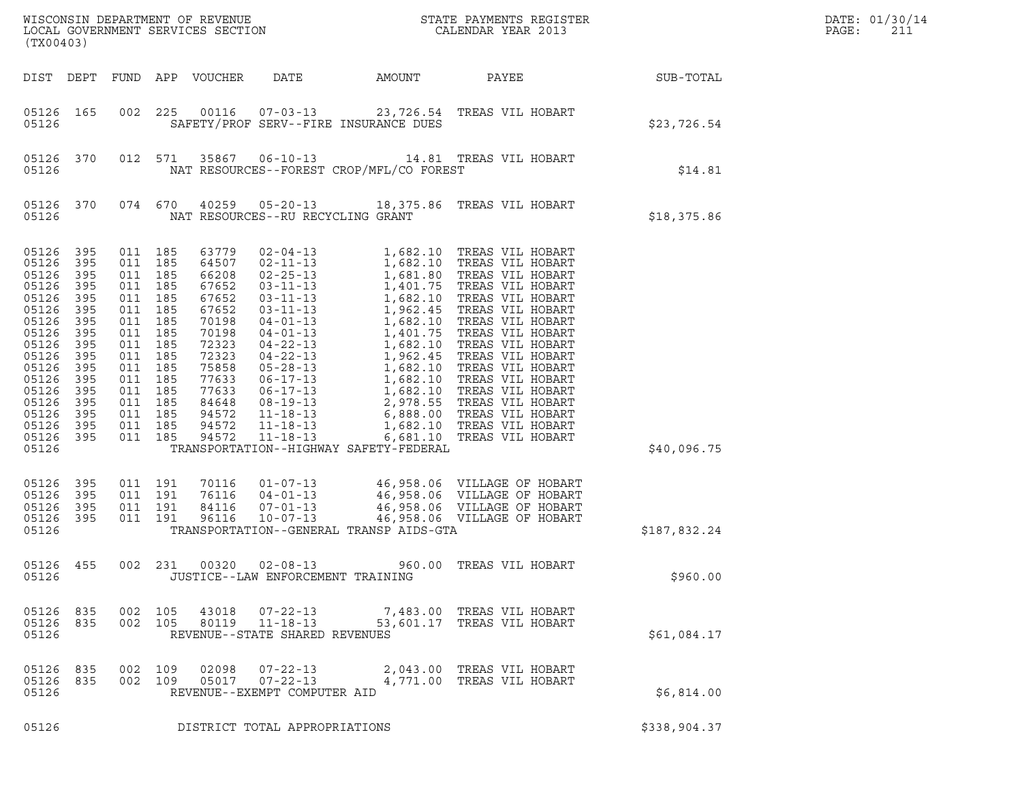| (TX00403)                                                                                                                                                                   |                                                                                                                     |                                                                                                                                                                                                    |                                                                                                                                                                | ${\tt WISCONSIM\ DEPARTMENT\ OF\ REVENUE}\qquad \qquad {\tt STATE\ PAYMENTS\ REGISTER\ LOCAL\ GOVERNMENT\ SERVICES\ SECTION\qquad \qquad {\tt CALENDAR\ YEAR\ 2013}}$ |                                          | DATE: 01/30/14<br>PAGE:<br>211                                                                                                                                                                                                                                                                                                                                                                          |                  |  |
|-----------------------------------------------------------------------------------------------------------------------------------------------------------------------------|---------------------------------------------------------------------------------------------------------------------|----------------------------------------------------------------------------------------------------------------------------------------------------------------------------------------------------|----------------------------------------------------------------------------------------------------------------------------------------------------------------|-----------------------------------------------------------------------------------------------------------------------------------------------------------------------|------------------------------------------|---------------------------------------------------------------------------------------------------------------------------------------------------------------------------------------------------------------------------------------------------------------------------------------------------------------------------------------------------------------------------------------------------------|------------------|--|
| DIST DEPT                                                                                                                                                                   |                                                                                                                     |                                                                                                                                                                                                    | FUND APP VOUCHER                                                                                                                                               | DATE                                                                                                                                                                  | AMOUNT                                   | PAYEE                                                                                                                                                                                                                                                                                                                                                                                                   | <b>SUB-TOTAL</b> |  |
| 05126 165<br>05126                                                                                                                                                          |                                                                                                                     | 002 225                                                                                                                                                                                            |                                                                                                                                                                |                                                                                                                                                                       | SAFETY/PROF SERV--FIRE INSURANCE DUES    | 00116  07-03-13  23,726.54  TREAS VIL HOBART                                                                                                                                                                                                                                                                                                                                                            | \$23,726.54      |  |
| 05126 370<br>05126                                                                                                                                                          |                                                                                                                     | 012 571                                                                                                                                                                                            |                                                                                                                                                                |                                                                                                                                                                       | NAT RESOURCES--FOREST CROP/MFL/CO FOREST | 35867   06-10-13   14.81   TREAS VIL HOBART                                                                                                                                                                                                                                                                                                                                                             | \$14.81          |  |
| 05126 370<br>05126                                                                                                                                                          |                                                                                                                     | 074 670                                                                                                                                                                                            |                                                                                                                                                                |                                                                                                                                                                       | NAT RESOURCES--RU RECYCLING GRANT        | 40259  05-20-13  18,375.86  TREAS VIL HOBART                                                                                                                                                                                                                                                                                                                                                            | \$18,375.86      |  |
| 05126<br>05126<br>05126<br>05126<br>05126<br>05126<br>05126<br>05126<br>05126<br>05126<br>05126<br>05126<br>05126<br>05126<br>05126<br>05126<br>05126 395<br>05126<br>05126 | 395<br>395<br>395<br>395<br>395<br>395<br>395<br>395<br>395<br>395<br>395<br>395<br>395<br>395<br>395<br>395<br>395 | 011 185<br>011 185<br>011 185<br>011 185<br>011 185<br>011 185<br>011 185<br>011 185<br>011 185<br>011 185<br>011 185<br>011 185<br>011 185<br>011 185<br>011 185<br>011 185<br>011 185<br>011 191 | 63779<br>64507<br>66208<br>67652<br>67652<br>67652<br>70198<br>70198<br>72323<br>72323<br>75858<br>77633<br>77633<br>84648<br>94572<br>94572<br>94572<br>70116 | $11 - 18 - 13$                                                                                                                                                        | TRANSPORTATION--HIGHWAY SAFETY-FEDERAL   | 02-04-13 1,682.10 TREAS VIL HOBART<br>02-04-13<br>02-11-13<br>1,682.10 TREAS VIL HOBART<br>02-25-13<br>1,681.80 TREAS VIL HOBART<br>03-11-13<br>1,401.75 TREAS VIL HOBART<br>03-11-13<br>1,682.10 TREAS VIL HOBART<br>03-11-13<br>1,682.10 TREAS VIL HOBART<br>04-01-13<br>1,682.10 TREAS VI<br>11-18-13 1,682.10 TREAS VIL HOBART<br>6,681.10 TREAS VIL HOBART<br>01-07-13 46,958.06 VILLAGE OF HOBART | \$40,096.75      |  |
| 05126<br>05126<br>05126<br>05126                                                                                                                                            | 395<br>395<br>395                                                                                                   | 011 191<br>011 191<br>011 191                                                                                                                                                                      | 76116<br>84116<br>96116                                                                                                                                        | $04 - 01 - 13$<br>$07 - 01 - 13$<br>$10 - 07 - 13$                                                                                                                    | TRANSPORTATION--GENERAL TRANSP AIDS-GTA  | 46,958.06 VILLAGE OF HOBART<br>46,958.06 VILLAGE OF HOBART<br>46,958.06 VILLAGE OF HOBART<br>46,958.06 VILLAGE OF HOBART                                                                                                                                                                                                                                                                                | \$187,832.24     |  |
| 05126 455<br>05126                                                                                                                                                          |                                                                                                                     |                                                                                                                                                                                                    |                                                                                                                                                                |                                                                                                                                                                       | JUSTICE--LAW ENFORCEMENT TRAINING        | 002 231 00320 02-08-13 960.00 TREAS VIL HOBART                                                                                                                                                                                                                                                                                                                                                          | \$960.00         |  |
| 05126 835<br>05126 835<br>05126                                                                                                                                             |                                                                                                                     | 002 105<br>002 105                                                                                                                                                                                 | 43018<br>80119                                                                                                                                                 | $07 - 22 - 13$<br>$11 - 18 - 13$<br>REVENUE--STATE SHARED REVENUES                                                                                                    |                                          | 7,483.00 TREAS VIL HOBART<br>53,601.17 TREAS VIL HOBART                                                                                                                                                                                                                                                                                                                                                 | \$61,084.17      |  |
| 05126 835<br>05126 835<br>05126                                                                                                                                             |                                                                                                                     | 002 109<br>002 109                                                                                                                                                                                 | 02098<br>05017                                                                                                                                                 | 07-22-13<br>$07 - 22 - 13$<br>REVENUE--EXEMPT COMPUTER AID                                                                                                            |                                          | 2,043.00 TREAS VIL HOBART<br>4,771.00 TREAS VIL HOBART                                                                                                                                                                                                                                                                                                                                                  | \$6,814.00       |  |
| 05126                                                                                                                                                                       |                                                                                                                     |                                                                                                                                                                                                    |                                                                                                                                                                | DISTRICT TOTAL APPROPRIATIONS                                                                                                                                         |                                          |                                                                                                                                                                                                                                                                                                                                                                                                         | \$338,904.37     |  |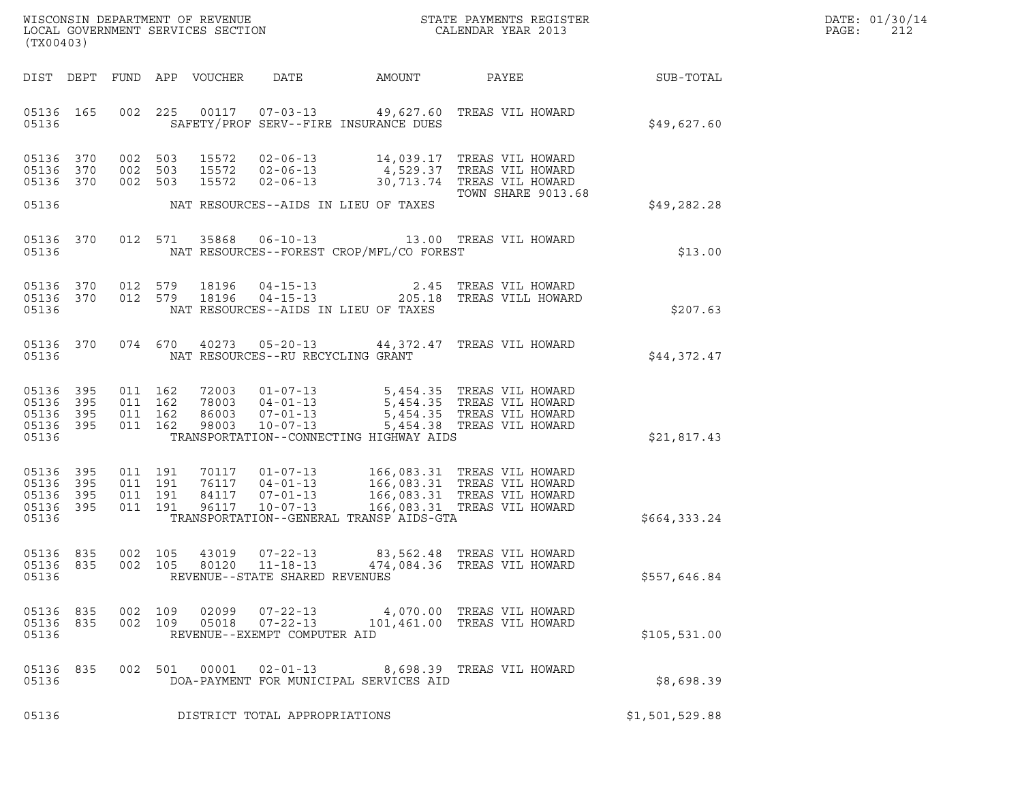|       | DATE: 01/30/14 |
|-------|----------------|
| PAGE: | 2.12           |

| (TX00403)                                             |     |                                          |                                  |                                                                       | ${\tt WISCO} {\tt NISCONSIM DEPARTMENT OF REVENUE} {\tt DGCALENDAR YEAR 2013}$ LOCAL GOVERNMENT SERVICES SECTION ${\tt LOCALENDAR YEAR 2013}$ |                                                                                                                             | DATE: 01/30/14<br>PAGE:<br>212 |  |
|-------------------------------------------------------|-----|------------------------------------------|----------------------------------|-----------------------------------------------------------------------|-----------------------------------------------------------------------------------------------------------------------------------------------|-----------------------------------------------------------------------------------------------------------------------------|--------------------------------|--|
|                                                       |     |                                          | DIST DEPT FUND APP VOUCHER       | DATE                                                                  | AMOUNT                                                                                                                                        | PAYEE                                                                                                                       | SUB-TOTAL                      |  |
| 05136 165<br>05136                                    |     |                                          | 002 225                          |                                                                       | SAFETY/PROF SERV--FIRE INSURANCE DUES                                                                                                         | 00117  07-03-13  49,627.60  TREAS VIL HOWARD                                                                                | \$49,627.60                    |  |
| 05136 370<br>05136<br>05136 370                       | 370 | 002 503<br>002 503<br>002 503            | 15572<br>15572<br>15572          | $02 - 06 - 13$<br>$02 - 06 - 13$                                      |                                                                                                                                               | 02-06-13 14,039.17 TREAS VIL HOWARD<br>4,529.37 TREAS VIL HOWARD<br>30,713.74 TREAS VIL HOWARD<br><b>TOWN SHARE 9013.68</b> |                                |  |
| 05136                                                 |     |                                          |                                  |                                                                       | NAT RESOURCES--AIDS IN LIEU OF TAXES                                                                                                          |                                                                                                                             | \$49,282.28                    |  |
| 05136 370<br>05136                                    |     | 012 571                                  | 35868                            | $06 - 10 - 13$                                                        | NAT RESOURCES--FOREST CROP/MFL/CO FOREST                                                                                                      | 13.00 TREAS VIL HOWARD                                                                                                      | \$13.00                        |  |
| 05136 370<br>05136 370<br>05136                       |     | 012 579<br>012 579                       | 18196<br>18196                   |                                                                       | 04-15-13 2.45<br>04-15-13 205.18<br>NAT RESOURCES--AIDS IN LIEU OF TAXES                                                                      | TREAS VIL HOWARD<br>205.18 TREAS VILL HOWARD                                                                                | \$207.63                       |  |
| 05136 370<br>05136                                    |     |                                          | 074 670                          | NAT RESOURCES--RU RECYCLING GRANT                                     |                                                                                                                                               | 40273  05-20-13  44,372.47  TREAS VIL HOWARD                                                                                | \$44,372.47                    |  |
| 05136 395<br>05136<br>05136 395<br>05136 395<br>05136 | 395 | 011 162<br>011 162<br>011 162<br>011 162 | 86003<br>98003                   | 72003 01-07-13<br>78003  04-01-13<br>$07 - 01 - 13$<br>$10 - 07 - 13$ | TRANSPORTATION--CONNECTING HIGHWAY AIDS                                                                                                       | 5,454.35 TREAS VIL HOWARD<br>5,454.35 TREAS VIL HOWARD<br>5,454.35 TREAS VIL HOWARD<br>5,454.38 TREAS VIL HOWARD            | \$21,817.43                    |  |
| 05136 395<br>05136 395<br>05136<br>05136 395<br>05136 | 395 | 011 191<br>011 191<br>011 191<br>011 191 | 70117<br>76117<br>84117<br>96117 | $01 - 07 - 13$<br>$04 - 01 - 13$<br>$07 - 01 - 13$<br>$10 - 07 - 13$  | TRANSPORTATION--GENERAL TRANSP AIDS-GTA                                                                                                       | 166,083.31 TREAS VIL HOWARD<br>166,083.31 TREAS VIL HOWARD<br>166,083.31 TREAS VIL HOWARD<br>166,083.31 TREAS VIL HOWARD    | \$664,333.24                   |  |
| 05136 835<br>05136 835<br>05136                       |     | 002 105                                  | 43019                            | $07 - 22 - 13$<br>REVENUE--STATE SHARED REVENUES                      |                                                                                                                                               | 83,562.48 TREAS VIL HOWARD<br>002 105 80120 11-18-13 474,084.36 TREAS VIL HOWARD                                            | \$557,646.84                   |  |
| 05136 835<br>05136 835<br>05136                       |     | 002 109                                  | 002 109                          | 02099 07-22-13<br>REVENUE--EXEMPT COMPUTER AID                        |                                                                                                                                               | 4,070.00 TREAS VIL HOWARD<br>05018  07-22-13  101,461.00 TREAS VIL HOWARD                                                   | \$105,531.00                   |  |
| 05136 835<br>05136                                    |     |                                          | 002 501                          | 00001  02-01-13                                                       | DOA-PAYMENT FOR MUNICIPAL SERVICES AID                                                                                                        | 8,698.39 TREAS VIL HOWARD                                                                                                   | \$8,698.39                     |  |
| 05136                                                 |     |                                          |                                  | DISTRICT TOTAL APPROPRIATIONS                                         |                                                                                                                                               |                                                                                                                             | \$1,501,529.88                 |  |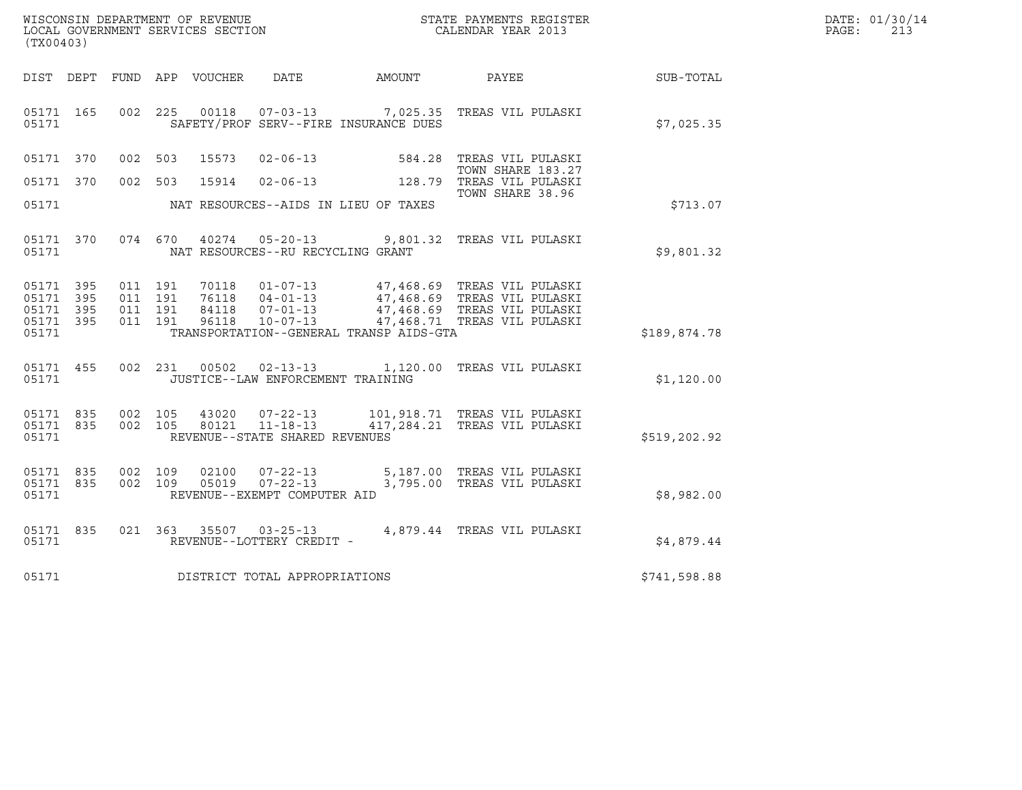| WISCONSIN DEPARTMENT OF REVENUE   | STATE PAYMENTS REGISTER | DATE: 01/30/14 |  |
|-----------------------------------|-------------------------|----------------|--|
| LOCAL GOVERNMENT SERVICES SECTION | CALENDAR YEAR 2013      | PAGE:          |  |

| (TX00403)                                                 |  |                    |                            |                                                            |                                         | WISCONSIN DEPARTMENT OF REVENUE<br>LOCAL GOVERNMENT SERVICES SECTION<br>CALENDAR YEAR 2013                      |              | DATE: 01/30/14<br>PAGE:<br>213 |
|-----------------------------------------------------------|--|--------------------|----------------------------|------------------------------------------------------------|-----------------------------------------|-----------------------------------------------------------------------------------------------------------------|--------------|--------------------------------|
|                                                           |  |                    | DIST DEPT FUND APP VOUCHER |                                                            | DATE AMOUNT                             | <b>PAYEE</b> FOR THE PAYEE                                                                                      | SUB-TOTAL    |                                |
| 05171 165<br>05171                                        |  |                    |                            |                                                            | SAFETY/PROF SERV--FIRE INSURANCE DUES   | 002 225 00118 07-03-13 7,025.35 TREAS VIL PULASKI                                                               | \$7,025.35   |                                |
| 05171 370                                                 |  | 002 503            | 15573                      |                                                            | $02 - 06 - 13$ 584.28                   | TREAS VIL PULASKI<br>TOWN SHARE 183.27                                                                          |              |                                |
| 05171 370                                                 |  |                    |                            |                                                            |                                         | TOWN SHARE 183.27<br>002 503 15914 02-06-13 128.79 TREAS VIL PULASKI<br>06 TOWN SHARE 38.96<br>TOWN SHARE 38.96 |              |                                |
| 05171                                                     |  |                    |                            |                                                            | NAT RESOURCES--AIDS IN LIEU OF TAXES    |                                                                                                                 | \$713.07     |                                |
| 05171 370<br>05171                                        |  |                    |                            | NAT RESOURCES--RU RECYCLING GRANT                          |                                         | 074 670 40274 05-20-13 9,801.32 TREAS VIL PULASKI                                                               | \$9,801.32   |                                |
| 05171 395<br>05171 395<br>05171 395<br>05171 395<br>05171 |  |                    |                            |                                                            | TRANSPORTATION--GENERAL TRANSP AIDS-GTA |                                                                                                                 | \$189,874.78 |                                |
| 05171 455<br>05171                                        |  |                    |                            | JUSTICE--LAW ENFORCEMENT TRAINING                          |                                         | 002 231 00502 02-13-13 1,120.00 TREAS VIL PULASKI                                                               | \$1,120.00   |                                |
| 05171 835<br>05171 835<br>05171                           |  | 002 105<br>002 105 | 80121                      | $11 - 18 - 13$<br>REVENUE--STATE SHARED REVENUES           |                                         | 43020  07-22-13   101,918.71   TREAS VIL PULASKI<br>417,284.21 TREAS VIL PULASKI                                | \$519,202.92 |                                |
| 05171 835<br>05171 835<br>05171                           |  | 002 109<br>002 109 | 02100<br>05019             | 07-22-13<br>$07 - 22 - 13$<br>REVENUE--EXEMPT COMPUTER AID |                                         | 5,187.00 TREAS VIL PULASKI<br>3,795.00 TREAS VIL PULASKI                                                        | \$8,982.00   |                                |
| 05171 835<br>05171                                        |  |                    |                            |                                                            |                                         |                                                                                                                 | \$4,879.44   |                                |
| 05171                                                     |  |                    |                            | DISTRICT TOTAL APPROPRIATIONS                              |                                         |                                                                                                                 | \$741,598.88 |                                |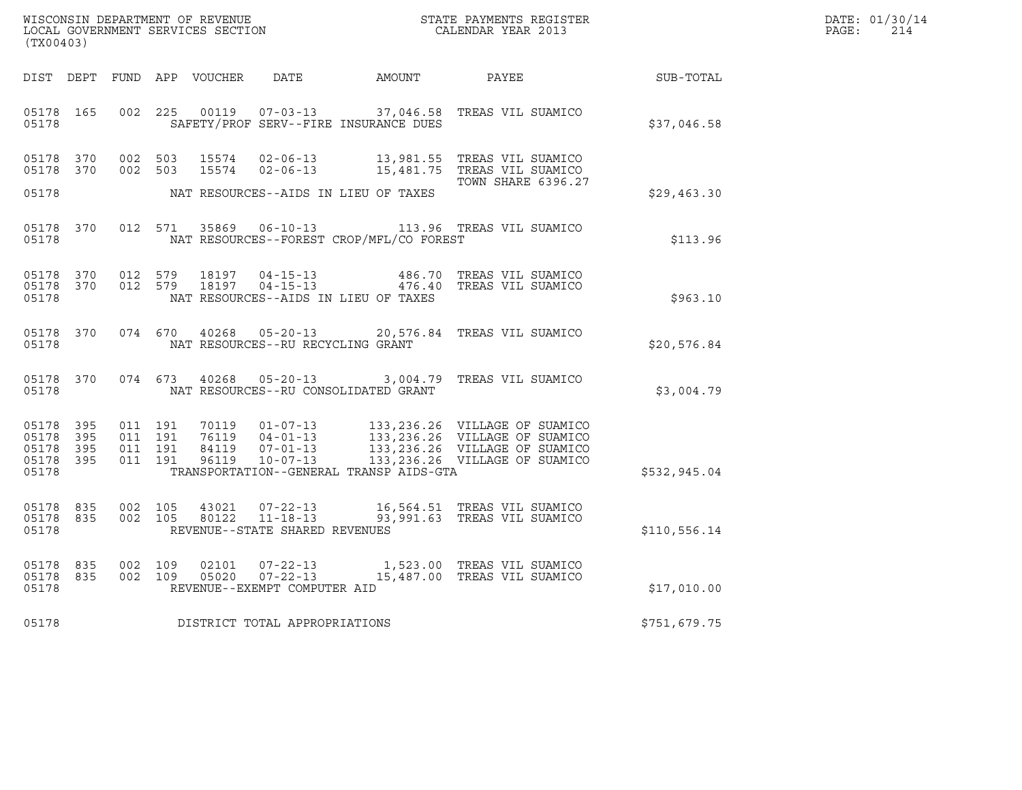| WISCONSIN DEPARTMENT OF REVENUE<br>LOCAL GOVERNMENT SERVICES SECTION | STATE PAYMENTS REGISTER<br>CALENDAR YEAR 2013 | DATE: 01/30/14<br>PAGE: |
|----------------------------------------------------------------------|-----------------------------------------------|-------------------------|
|                                                                      |                                               |                         |

| WISCONSIN DEPARTMENT OF REVENUE<br>LOCAL GOVERNMENT SERVICES SECTION<br>(TX00403) |           |                                          |         |                |                                                                    |                                          | STATE PAYMENTS REGISTER<br>CALENDAR YEAR 2013                                                                                                                        |              | DATE: 01/30/14<br>PAGE:<br>214 |
|-----------------------------------------------------------------------------------|-----------|------------------------------------------|---------|----------------|--------------------------------------------------------------------|------------------------------------------|----------------------------------------------------------------------------------------------------------------------------------------------------------------------|--------------|--------------------------------|
|                                                                                   |           |                                          |         |                | DIST DEPT FUND APP VOUCHER DATE AMOUNT                             |                                          | PAYEE                                                                                                                                                                | SUB-TOTAL    |                                |
| 05178 165<br>05178                                                                |           |                                          | 002 225 |                |                                                                    | SAFETY/PROF SERV--FIRE INSURANCE DUES    | 00119  07-03-13  37,046.58  TREAS VIL SUAMICO                                                                                                                        | \$37,046.58  |                                |
| 05178 370<br>05178 370                                                            |           | 002 503<br>002 503                       |         | 15574<br>15574 |                                                                    |                                          | 02-06-13 13,981.55 TREAS VIL SUAMICO<br>02-06-13 15,481.75 TREAS VIL SUAMICO                                                                                         |              |                                |
| 05178                                                                             |           |                                          |         |                |                                                                    | NAT RESOURCES--AIDS IN LIEU OF TAXES     | <b>TOWN SHARE 6396.27</b>                                                                                                                                            | \$29,463.30  |                                |
| 05178 370<br>05178                                                                |           |                                          | 012 571 | 35869          |                                                                    | NAT RESOURCES--FOREST CROP/MFL/CO FOREST | 06-10-13 113.96 TREAS VIL SUAMICO                                                                                                                                    | \$113.96     |                                |
| 05178 370<br>05178 370<br>05178                                                   |           | 012 579<br>012 579                       |         | 18197<br>18197 | $04 - 15 - 13$                                                     | NAT RESOURCES--AIDS IN LIEU OF TAXES     | 486.70 TREAS VIL SUAMICO<br>04-15-13 476.40 TREAS VIL SUAMICO                                                                                                        | \$963.10     |                                |
| 05178 370<br>05178                                                                |           | 074 670                                  |         |                | 40268 05-20-13<br>NAT RESOURCES--RU RECYCLING GRANT                |                                          | 20,576.84 TREAS VIL SUAMICO                                                                                                                                          | \$20,576.84  |                                |
| 05178                                                                             | 05178 370 |                                          |         |                | 074 673 40268 05-20-13                                             | NAT RESOURCES--RU CONSOLIDATED GRANT     | 3,004.79 TREAS VIL SUAMICO                                                                                                                                           | \$3,004.79   |                                |
| 05178 395<br>05178<br>05178 395<br>05178 395<br>05178                             | - 395     | 011 191<br>011 191<br>011 191<br>011 191 |         |                |                                                                    | TRANSPORTATION--GENERAL TRANSP AIDS-GTA  | 133,236.26 VILLAGE OF SUAMICO<br>133,236.26 VILLAGE OF SUAMICO<br>84119  07-01-13  133,236.26  VILLAGE OF SUAMICO<br>96119  10-07-13  133,236.26  VILLAGE OF SUAMICO | \$532,945.04 |                                |
| 05178 835<br>05178 835<br>05178                                                   |           | 002 105<br>002 105                       |         | 43021<br>80122 | $07 - 22 - 13$<br>$11 - 18 - 13$<br>REVENUE--STATE SHARED REVENUES |                                          | 16,564.51 TREAS VIL SUAMICO<br>93,991.63 TREAS VIL SUAMICO                                                                                                           | \$110,556.14 |                                |
| 05178 835<br>05178 835<br>05178                                                   |           | 002 109<br>002 109                       |         | 02101<br>05020 | $07 - 22 - 13$<br>REVENUE--EXEMPT COMPUTER AID                     |                                          | 07-22-13 1,523.00 TREAS VIL SUAMICO<br>15,487.00 TREAS VIL SUAMICO                                                                                                   | \$17,010.00  |                                |
| 05178                                                                             |           |                                          |         |                | DISTRICT TOTAL APPROPRIATIONS                                      |                                          |                                                                                                                                                                      | \$751,679.75 |                                |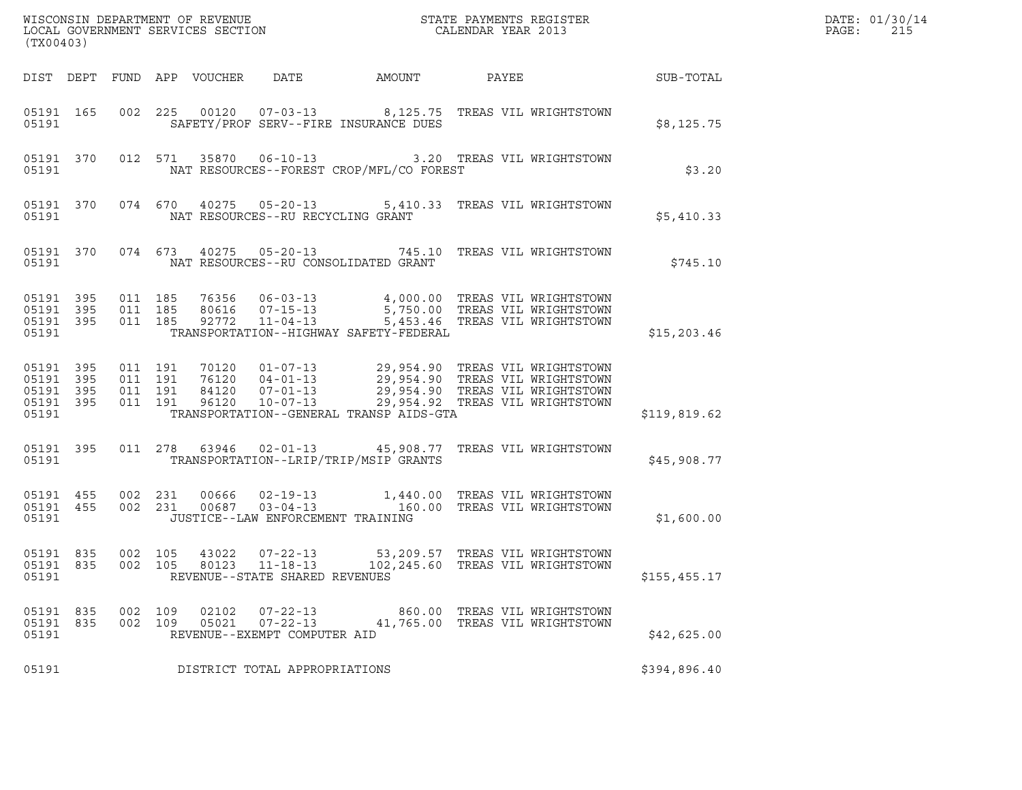| $\tt WISCONSIM DEPARTMENT OF REVENUE$ $\tt WISCONMIN SERS THE RAYMENT S REGISTERLOCAL GOVERNMENT SERVICES SECTION CALENDAR YEAR 2013$<br>(TX00403) |                    |                    |                    |                            |                                                                  |                                                                                                                                                                                                                                                         |                                                                 |               | DATE: 01/30/14<br>PAGE:<br>215 |
|----------------------------------------------------------------------------------------------------------------------------------------------------|--------------------|--------------------|--------------------|----------------------------|------------------------------------------------------------------|---------------------------------------------------------------------------------------------------------------------------------------------------------------------------------------------------------------------------------------------------------|-----------------------------------------------------------------|---------------|--------------------------------|
|                                                                                                                                                    |                    |                    |                    | DIST DEPT FUND APP VOUCHER |                                                                  | DATE AMOUNT PAYEE SUB-TOTAL                                                                                                                                                                                                                             |                                                                 |               |                                |
| 05191 165<br>05191                                                                                                                                 |                    |                    |                    |                            |                                                                  | 002 225 00120 07-03-13 8,125.75 TREAS VIL WRIGHTSTOWN<br>SAFETY/PROF SERV--FIRE INSURANCE DUES                                                                                                                                                          |                                                                 | \$8,125.75    |                                |
| 05191                                                                                                                                              |                    |                    |                    |                            |                                                                  | 05191 370 012 571 35870 06-10-13 3.20 TREAS VIL WRIGHTSTOWN<br>NAT RESOURCES--FOREST CROP/MFL/CO FOREST                                                                                                                                                 |                                                                 | \$3.20        |                                |
| 05191                                                                                                                                              |                    |                    |                    |                            |                                                                  | 05191 370 074 670 40275 05-20-13 5,410.33 TREAS VIL WRIGHTSTOWN<br>NAT RESOURCES--RU RECYCLING GRANT                                                                                                                                                    |                                                                 | \$5,410.33    |                                |
| 05191                                                                                                                                              |                    |                    |                    |                            |                                                                  | 05191 370 074 673 40275 05-20-13 745.10 TREAS VIL WRIGHTSTOWN<br>NAT RESOURCES--RU CONSOLIDATED GRANT                                                                                                                                                   |                                                                 | \$745.10      |                                |
| 05191 395<br>05191 395<br>05191 395<br>05191                                                                                                       |                    | 011 185<br>011 185 | 011 185            |                            |                                                                  | TRANSPORTATION--HIGHWAY SAFETY-FEDERAL                                                                                                                                                                                                                  |                                                                 | \$15, 203.46  |                                |
| 05191 395<br>05191<br>05191 395<br>05191 395<br>05191                                                                                              | 395                | 011 191<br>011 191 | 011 191<br>011 191 |                            |                                                                  | 70120  01-07-13  29,954.90 TREAS VIL WRIGHTSTOWN<br>76120  04-01-13  29,954.90 TREAS VIL WRIGHTSTOWN<br>84120  07-01-13  29,954.90 TREAS VIL WRIGHTSTOWN<br>96120  10-07-13  29,954.92 TREAS VIL WRIGHTSTOWN<br>TRANSPORTATION--GENERAL TRANSP AIDS-GTA |                                                                 | \$119,819.62  |                                |
|                                                                                                                                                    | 05191 395<br>05191 |                    |                    |                            |                                                                  | 011  278  63946  02-01-13  45,908.77  TREAS VIL WRIGHTSTOWN<br>TRANSPORTATION--LRIP/TRIP/MSIP GRANTS                                                                                                                                                    |                                                                 | \$45,908.77   |                                |
| 05191 455<br>05191                                                                                                                                 | 05191 455          | 002 231            | 002 231            |                            |                                                                  | 00666  02-19-13   1,440.00 TREAS VIL WRIGHTSTOWN<br>00687  03-04-13   160.00 TREAS VIL WRIGHTSTOWN<br>JUSTICE--LAW ENFORCEMENT TRAINING                                                                                                                 |                                                                 | \$1,600.00    |                                |
| 05191 835<br>05191 835<br>05191                                                                                                                    |                    | 002 105            |                    |                            | 002 105 43022 07-22-13<br>REVENUE--STATE SHARED REVENUES         | 80123     11-18-13         102,245.60     TREAS                                VIL WRIGHTSTOWN                                                                                                                                                          | 53,209.57 TREAS VIL WRIGHTSTOWN                                 | \$155, 455.17 |                                |
| 05191 835<br>05191 835<br>05191                                                                                                                    |                    | 002 109            | 002 109            | 02102<br>05021             | $07 - 22 - 13$<br>$07 - 22 - 13$<br>REVENUE--EXEMPT COMPUTER AID |                                                                                                                                                                                                                                                         | 860.00 TREAS VIL WRIGHTSTOWN<br>41,765.00 TREAS VIL WRIGHTSTOWN | \$42,625.00   |                                |
| 05191                                                                                                                                              |                    |                    |                    |                            | DISTRICT TOTAL APPROPRIATIONS                                    |                                                                                                                                                                                                                                                         |                                                                 | \$394,896.40  |                                |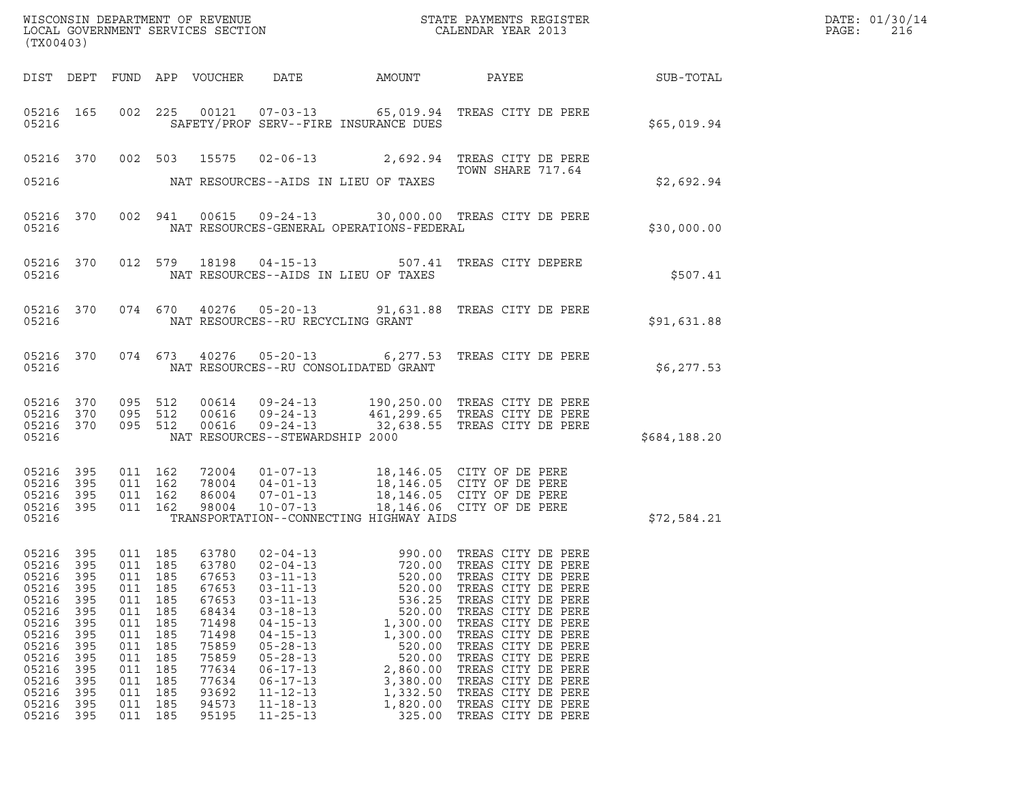|       | DATE: 01/30/14 |
|-------|----------------|
| PAGE: | 216            |

| (TX00403)                                                                                                                                                                                                                    |                                                                                         |                                                                                                    |                                                                                                                            |                                                                                                                                                                                                                                                          |                                                                                                                                                      |                                                                                                                                                                                                                                                                                                                                                                                |              | DATE: 01/30/14<br>PAGE:<br>216 |
|------------------------------------------------------------------------------------------------------------------------------------------------------------------------------------------------------------------------------|-----------------------------------------------------------------------------------------|----------------------------------------------------------------------------------------------------|----------------------------------------------------------------------------------------------------------------------------|----------------------------------------------------------------------------------------------------------------------------------------------------------------------------------------------------------------------------------------------------------|------------------------------------------------------------------------------------------------------------------------------------------------------|--------------------------------------------------------------------------------------------------------------------------------------------------------------------------------------------------------------------------------------------------------------------------------------------------------------------------------------------------------------------------------|--------------|--------------------------------|
|                                                                                                                                                                                                                              |                                                                                         |                                                                                                    |                                                                                                                            |                                                                                                                                                                                                                                                          |                                                                                                                                                      | DIST DEPT FUND APP VOUCHER DATE AMOUNT PAYEE AT SUB-TOTAL                                                                                                                                                                                                                                                                                                                      |              |                                |
| 05216                                                                                                                                                                                                                        |                                                                                         |                                                                                                    |                                                                                                                            |                                                                                                                                                                                                                                                          | SAFETY/PROF SERV--FIRE INSURANCE DUES                                                                                                                | 05216 165 002 225 00121 07-03-13 65,019.94 TREAS CITY DE PERE                                                                                                                                                                                                                                                                                                                  | \$65,019.94  |                                |
|                                                                                                                                                                                                                              |                                                                                         |                                                                                                    |                                                                                                                            |                                                                                                                                                                                                                                                          |                                                                                                                                                      | 05216 370 002 503 15575 02-06-13 2,692.94 TREAS CITY DE PERE<br>TOWN SHARE 717.64                                                                                                                                                                                                                                                                                              |              |                                |
| 05216                                                                                                                                                                                                                        |                                                                                         |                                                                                                    |                                                                                                                            |                                                                                                                                                                                                                                                          | NAT RESOURCES--AIDS IN LIEU OF TAXES                                                                                                                 |                                                                                                                                                                                                                                                                                                                                                                                | \$2,692.94   |                                |
| 05216                                                                                                                                                                                                                        |                                                                                         |                                                                                                    |                                                                                                                            |                                                                                                                                                                                                                                                          | NAT RESOURCES-GENERAL OPERATIONS-FEDERAL                                                                                                             | 05216 370 002 941 00615 09-24-13 30,000.00 TREAS CITY DE PERE                                                                                                                                                                                                                                                                                                                  | \$30,000.00  |                                |
| 05216 370<br>05216                                                                                                                                                                                                           |                                                                                         |                                                                                                    |                                                                                                                            |                                                                                                                                                                                                                                                          | NAT RESOURCES--AIDS IN LIEU OF TAXES                                                                                                                 | 012 579 18198 04-15-13 507.41 TREAS CITY DEPERE                                                                                                                                                                                                                                                                                                                                | \$507.41     |                                |
|                                                                                                                                                                                                                              |                                                                                         |                                                                                                    |                                                                                                                            |                                                                                                                                                                                                                                                          | 05216 NAT RESOURCES--RU RECYCLING GRANT                                                                                                              | 05216 370 074 670 40276 05-20-13 91,631.88 TREAS CITY DE PERE                                                                                                                                                                                                                                                                                                                  | \$91,631.88  |                                |
|                                                                                                                                                                                                                              |                                                                                         |                                                                                                    |                                                                                                                            |                                                                                                                                                                                                                                                          |                                                                                                                                                      | 05216 370 074 673 40276 05-20-13 6,277.53 TREAS CITY DE PERE                                                                                                                                                                                                                                                                                                                   | \$6,277.53   |                                |
| 05216 370<br>05216 370<br>05216 370<br>05216                                                                                                                                                                                 | 095 512                                                                                 | 095 512<br>095 512                                                                                 |                                                                                                                            | NAT RESOURCES--STEWARDSHIP 2000                                                                                                                                                                                                                          |                                                                                                                                                      | 00614  09-24-13  190,250.00 TREAS CITY DE PERE<br>00616  09-24-13  461,299.65 TREAS CITY DE PERE<br>00616  09-24-13  32,638.55 TREAS CITY DE PERE                                                                                                                                                                                                                              | \$684,188.20 |                                |
| 05216 395<br>05216 395<br>05216 395<br>05216 395<br>05216                                                                                                                                                                    |                                                                                         |                                                                                                    |                                                                                                                            |                                                                                                                                                                                                                                                          | TRANSPORTATION--CONNECTING HIGHWAY AIDS                                                                                                              |                                                                                                                                                                                                                                                                                                                                                                                | \$72,584.21  |                                |
| 05216<br>395<br>05216<br>395<br>05216<br>395<br>05216<br>395<br>05216<br>395<br>05216<br>395<br>05216<br>395<br>05216<br>395<br>05216<br>395<br>05216<br>395<br>05216<br>395<br>05216<br>395<br>05216<br>395<br>05216<br>395 | 011<br>011<br>011<br>011<br>011<br>011<br>011<br>011<br>011<br>011<br>011<br>011<br>011 | 185<br>185<br>185<br>185<br>185<br>185<br>185<br>185<br>185<br>185<br>185<br>185<br>185<br>011 185 | 63780<br>67653<br>67653<br>67653<br>68434<br>71498<br>71498<br>75859<br>75859<br>77634<br>77634<br>93692<br>94573<br>95195 | $02 - 04 - 13$<br>$03 - 11 - 13$<br>$03 - 11 - 13$<br>$03 - 11 - 13$<br>$03 - 18 - 13$<br>$04 - 15 - 13$<br>$04 - 15 - 13$<br>$05 - 28 - 13$<br>$05 - 28 - 13$<br>$06 - 17 - 13$<br>$06 - 17 - 13$<br>$11 - 12 - 13$<br>$11 - 18 - 13$<br>$11 - 25 - 13$ | 720.00<br>520.00<br>520.00<br>536.25<br>520.00<br>1,300.00<br>1,300.00<br>520.00<br>520.00<br>2,860.00<br>3,380.00<br>1,332.50<br>1,820.00<br>325.00 | 05216 395 011 185 63780 02-04-13 990.00 TREAS CITY DE PERE<br>TREAS CITY DE PERE<br>TREAS CITY DE PERE<br>TREAS CITY DE PERE<br>TREAS CITY DE PERE<br>TREAS CITY DE PERE<br>TREAS CITY DE PERE<br>TREAS CITY DE PERE<br>TREAS CITY DE PERE<br>TREAS CITY DE PERE<br>TREAS CITY DE PERE<br>TREAS CITY DE PERE<br>TREAS CITY DE PERE<br>TREAS CITY DE PERE<br>TREAS CITY DE PERE |              |                                |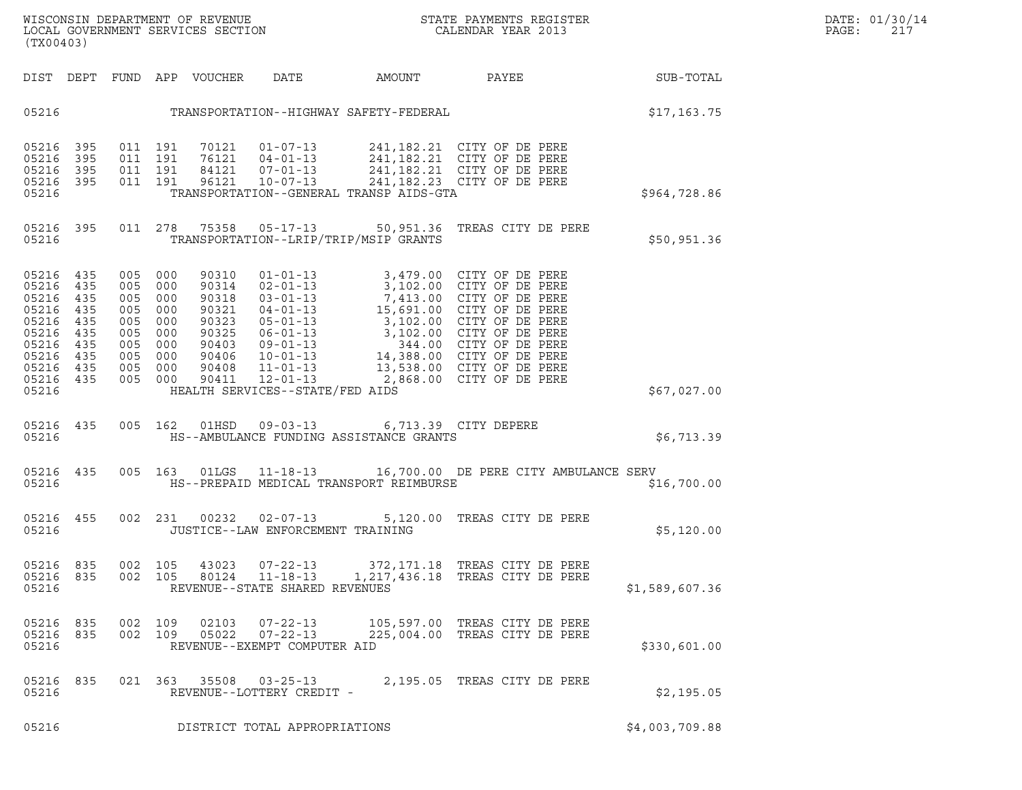DIST DEPT FUND APP VOUCHER DATE AMOUNT PAYEE PATE SUB-TOTAL 05216 TRANSPORTATION--HIGHWAY SAFETY-FEDERAL \$17,163.75 05216 395 011 191 70121 01-07-13 241,182.21 CITY OF DE PERE 05216 395 011 191 76121 04-01-13 241,182.21 CITY OF DE PERE 05216 395 011 191 70121 01-07-13 241,182.21 CITY OF DE PERE<br>05216 395 011 191 76121 04-01-13 241,182.21 CITY OF DE PERE<br>05216 395 011 191 84121 07-01-13 241,182.21 CITY OF DE PERE<br>05216 395 011 191 96121 10-07-13 241,182.2 05216 395 011 191 70121 01-07-13 241,182.21 CITY OF DE PERE<br>05216 395 011 191 76121 04-01-13 241,182.21 CITY OF DE PERE<br>05216 395 011 191 84121 07-01-13 241,182.21 CITY OF DE PERE<br>05216 395 011 191 96121 10-07-13 241,182.2 05216 395 011 191 76121 04-01-13 241,182.21 CITY. OF DE PERE<br>05216 395 011 191 84121 07-01-13 241,182.21 CITY. OF DE PERE<br>05216 395 011 191 96121 10-07-13 241,182.23 CITY. OF DE PERE<br>05216 05216 395 011 278 75358 05-17-13 50,951.36 TREAS CITY DE PERE <sup>05216</sup> TRANSPORTATION--LRIP/TRIP/MSIP GRANTS \$50,951.36 05216 435 005 000 90310 01-01-13 3,479.00 CITY OF DE PERE 05216 435 005 000 90310 01-01-13 3,479.00 CITY OF DE PERE<br>05216 435 005 000 90314 02-01-13 3,102.00 CITY OF DE PERE<br>05216 435 005 000 90318 03-01-13 7.413.00 CITY OF DE PERE 05216 435 005 000 90310 01-01-13 3,479.00 CITY OF DE PERE<br>05216 435 005 000 90314 02-01-13 3,102.00 CITY OF DE PERE<br>05216 435 005 000 90318 03-01-13 7,413.00 CITY OF DE PERE<br>05216 435 005 000 90321 04-01-13 15,691.00 CITY 05216 435 005 000 90310 01-01-13 3,479.00 CITY OF DE PERE<br>05216 435 005 000 90314 02-01-13 3,102.00 CITY OF DE PERE<br>05216 435 005 000 90318 03-01-13 7,413.00 CITY OF DE PERE<br>05216 435 005 000 90321 04-01-13 15,691.00 CITY 05216 435 005 000 90314 02-01-13 3,102.00 CITY OF DE PERE<br>05216 435 005 000 90318 03-01-13 7,413.00 CITY OF DE PERE<br>05216 435 005 000 90321 04-01-13 15,691.00 CITY OF DE PERE<br>05216 435 005 000 90323 05-01-13 3,102.00 CITY 05216 435 005 000 90318 03-01-13 7,413.00 CITY OF DE PERE<br>05216 435 005 000 90321 04-01-13 15,691.00 CITY OF DE PERE<br>05216 435 005 000 90323 05-01-13 3,102.00 CITY OF DE PERE<br>05216 435 005 000 90403 09-01-13 3,102.00 CITY 05216 435 005 000 90321 04-01-13 15,691.00 CITY OF DE PERE<br>05216 435 005 000 90323 05-01-13 3,102.00 CITY OF DE PERE<br>05216 435 005 000 90325 06-01-13 3,102.00 CITY OF DE PERE<br>05216 435 005 000 90403 09-01-13 344.00 CITY OF 05216 435 005 000 90323 05-01-13 3,102.00 CITY OF DE PERE<br>05216 435 005 000 90325 06-01-13 3,102.00 CITY OF DE PERE<br>05216 435 005 000 90406 10-01-13 14,388.00 CITY OF DE PERE<br>05216 435 005 000 90406 10-01-13 14,388.00 CITY 05216 435 005 000 90325 06-01-13 3,102.00 CITY OF DE PERE<br>05216 435 005 000 90403 09-01-13 344.00 CITY OF DE PERE<br>05216 435 005 000 90406 10-01-13 14,388.00 CITY OF DE PERE<br>05216 435 005 000 90411 12-01-13 2,868.00 CITY OF 05216 435 005 000 90403 09-01-13 344.00 CITY OF DE PERE<br>05216 435 005 000 90406 10-01-13 14,388.00 CITY OF DE PERE<br>05216 435 005 000 90408 11-01-13 13,538.00 CITY OF DE PERE<br>05216 435 005 000 90401 12-01-13 2,868.00 CITY O 05216 435 005 000 90406 10-01-13 14,388.00 CITY OF DE PERE<br>05216 435 005 000 90408 11-01-13 13,538.00 CITY OF DE PERE<br>05216 435 005 000 90411 12-01-13 2,868.00 CITY OF DE PERE<br>05216 05216 435 005 162 01HSD 09-03-13 6,713.39 CITY DEPERE <sup>05216</sup> HS--AMBULANCE FUNDING ASSISTANCE GRANTS \$6,713.39 05216 HS--AMBULANCE FUNDING ASSISTANCE GRANTS<br>05216 435 005 163 01LGS 11-18-13 16,700.00 DE PERE CITY AMBULANCE SERV 05216 FOREPAID MEDICAL TRANSPORT REIMBURSE PREPAID AND \$16,700.00 05216 455 002 231 00232 02-07-13 5,120.00 TREAS CITY DE PERE<br>05216 05216 JUSTICE--LAW ENFORCEMENT TRAINING 05216 JUSTICE--LAW ENFORCEMENT TRAINING 05216 835 002 105 43023 07-22-13 372,171.18 TREAS CITY DE PERE 05216 835 002 105 43023 07-22-13 372,171.18 TREAS CITY DE PERE<br>05216 835 002 105 80124 11-18-13 1,217,436.18 TREAS CITY DE PERE<br>05216 REVENUE--STATE SHARED REVENUES <sup>05216</sup> REVENUE--STATE SHARED REVENUES \$1,589,607.36 05216 835 002 109 02103 07-22-13 105,597.00 TREAS CITY DE PERE 05216 835 002 109 05022 07-22-13 225,004.00 TREAS CITY DE PERE <sup>05216</sup> REVENUE--EXEMPT COMPUTER AID \$330,601.00 05216 835 021 363 35508 03-25-13 2,195.05 TREAS CITY DE PERE <sup>05216</sup> REVENUE--LOTTERY CREDIT - \$2,195.05 05216 REVENUE--LOTTERY CREDIT - (1995)<br>05216 DISTRICT TOTAL APPROPRIATIONS \$4,003,709.88

(TX00403)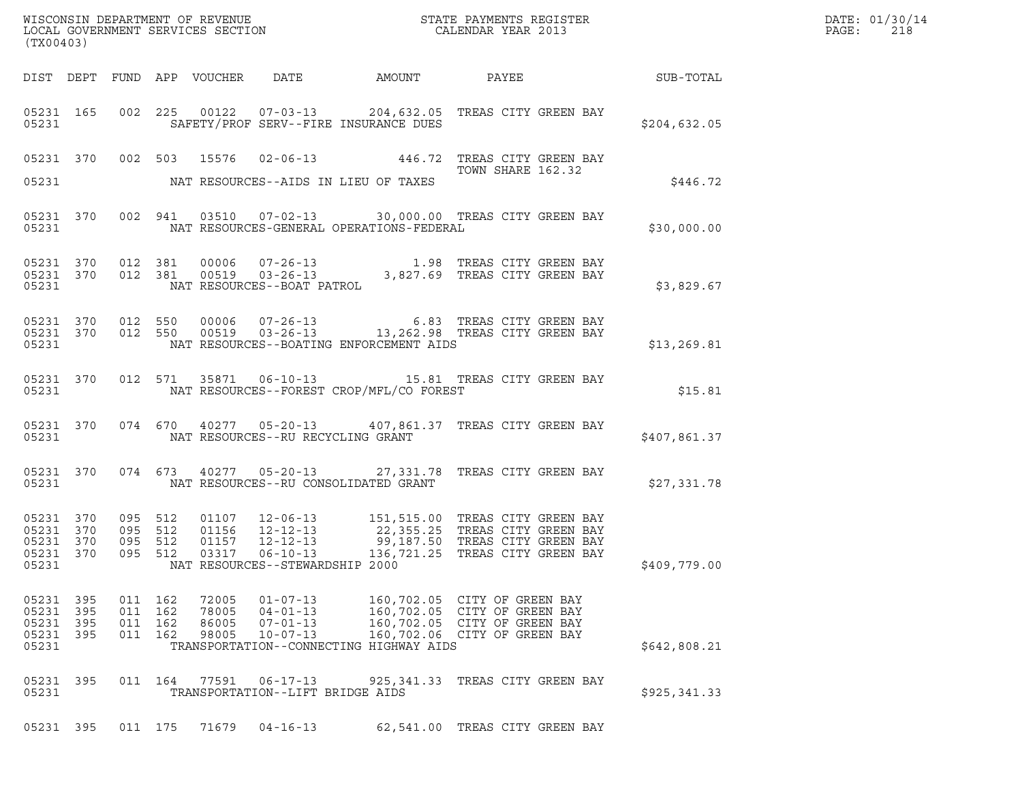| (TX00403)          |                                                  |                                          |                |                                                                      | WISCONSIN DEPARTMENT OF REVENUE ${\small \begin{array}{ll} \text{MISCONS} \\ \text{LOCAL GOVERNMENT} \\ \text{SERVICES SECTION} \end{array}}$                         |                                  | $R = \frac{1}{2}$ | DATE: 01/30/14<br>PAGE:<br>218 |
|--------------------|--------------------------------------------------|------------------------------------------|----------------|----------------------------------------------------------------------|-----------------------------------------------------------------------------------------------------------------------------------------------------------------------|----------------------------------|-------------------|--------------------------------|
|                    |                                                  |                                          |                |                                                                      | DIST DEPT FUND APP VOUCHER DATE AMOUNT PAYEE SUB-TOTAL                                                                                                                |                                  |                   |                                |
|                    | 05231 165<br>05231                               |                                          |                |                                                                      | 002 225 00122 07-03-13 204,632.05 TREAS CITY GREEN BAY<br>SAFETY/PROF SERV--FIRE INSURANCE DUES                                                                       |                                  | \$204,632.05      |                                |
|                    |                                                  |                                          |                |                                                                      | 05231 370 002 503 15576 02-06-13 446.72 TREAS CITY GREEN BAY                                                                                                          | TOWN SHARE 162.32                |                   |                                |
|                    |                                                  |                                          |                |                                                                      |                                                                                                                                                                       |                                  | \$446.72          |                                |
|                    |                                                  |                                          |                |                                                                      | 05231 370 002 941 03510 07-02-13 30,000.00 TREAS CITY GREEN BAY<br>05231 NAT RESOURCES-GENERAL OPERATIONS-FEDERAL                                                     |                                  | \$30,000.00       |                                |
|                    |                                                  |                                          |                | 05231 NAT RESOURCES--BOAT PATROL                                     | 05231 370 012 381 00006 07-26-13 1.98 TREAS CITY GREEN BAY 05231 370 012 381 00519 03-26-13 3,827.69 TREAS CITY GREEN BAY                                             |                                  | \$3,829.67        |                                |
| 05231              |                                                  |                                          |                |                                                                      | 05231 370 012 550 00006 07-26-13 6.83 TREAS CITY GREEN BAY 65231 370 012 550 00519 03-26-13 13,262.98 TREAS CITY GREEN BAY<br>NAT RESOURCES--BOATING ENFORCEMENT AIDS |                                  | \$13,269.81       |                                |
| 05231              | 05231 370                                        |                                          |                |                                                                      | 012 571 35871 06-10-13 15.81 TREAS CITY GREEN BAY<br>NAT RESOURCES--FOREST CROP/MFL/CO FOREST                                                                         |                                  | \$15.81           |                                |
| 05231              | 05231 370                                        |                                          |                | NAT RESOURCES--RU RECYCLING GRANT                                    | 074 670 40277 05-20-13 407,861.37 TREAS CITY GREEN BAY                                                                                                                |                                  | \$407,861.37      |                                |
| 05231              | 05231 370                                        |                                          |                |                                                                      | 074 673 40277 05-20-13 27,331.78 TREAS CITY GREEN BAY<br>NAT RESOURCES--RU CONSOLIDATED GRANT                                                                         |                                  | \$27,331.78       |                                |
| 05231 370<br>05231 | 05231 370<br>05231 370<br>05231 370              | 095 512<br>095 512<br>095 512<br>095 512 | 03317          | $06 - 10 - 13$<br>NAT RESOURCES--STEWARDSHIP 2000                    | 01107 12-06-13 151,515.00 TREAS CITY GREEN BAY<br>01156 12-12-13 22,355.25 TREAS CITY GREEN BAY<br>01157 12-12-13 99,187.50 TREAS CITY GREEN BAY                      | 136,721.25 TREAS CITY GREEN BAY  | \$409,779.00      |                                |
| 05231              | 05231 395<br>05231 395<br>05231 395<br>05231 395 | 011 162<br>011 162<br>011 162<br>011 162 | 86005<br>98005 | 72005 01-07-13<br>78005 04-01-13<br>$07 - 01 - 13$<br>$10 - 07 - 13$ | 160,702.05 CITY OF GREEN BAY<br>160,702.05 CITY OF GREEN BAY<br>160,702.06 CITY OF GREEN BAY<br>TRANSPORTATION--CONNECTING HIGHWAY AIDS                               | 160,702.05 CITY OF GREEN BAY     | \$642,808.21      |                                |
| 05231              | 05231 395                                        | 011 164                                  | 77591          | 06-17-13<br>TRANSPORTATION--LIFT BRIDGE AIDS                         |                                                                                                                                                                       | 925, 341.33 TREAS CITY GREEN BAY | \$925, 341.33     |                                |
|                    | 05231 395                                        | 011 175                                  | 71679          | $04 - 16 - 13$                                                       |                                                                                                                                                                       | 62,541.00 TREAS CITY GREEN BAY   |                   |                                |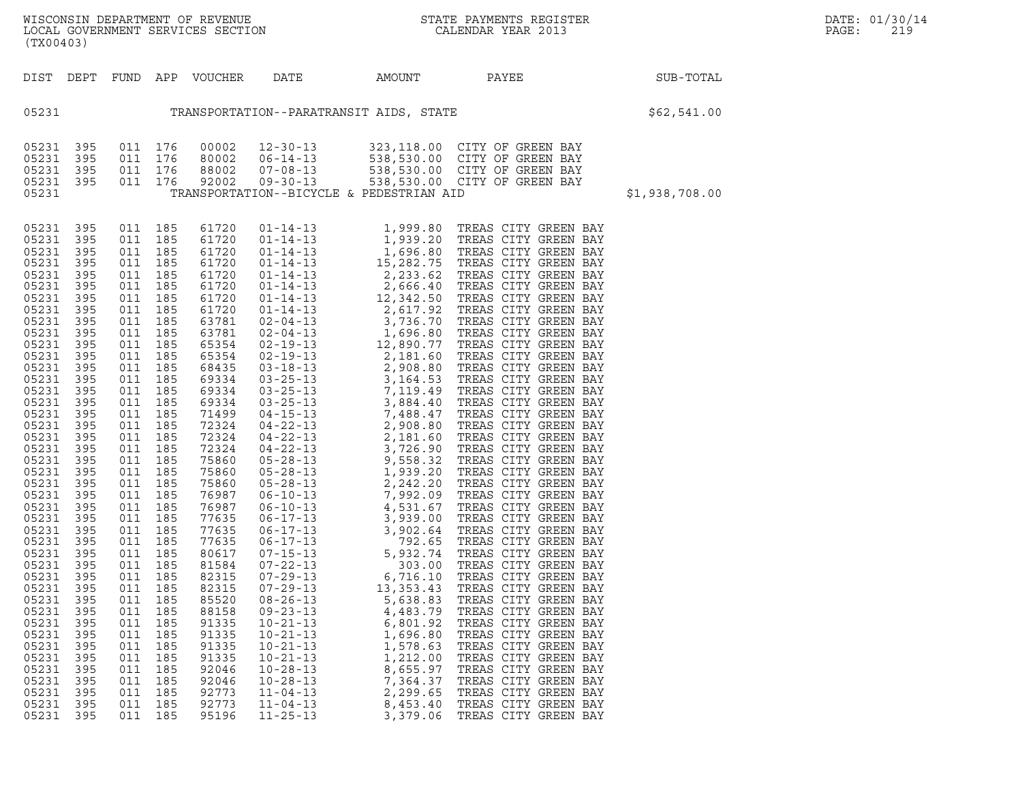WISCONSIN DEPARTMENT OF REVENUE<br>LOCAL GOVERNMENT SERVICES SECTION STATE PAYMENTS REGISTER SEGISTER SERVICES OF SAGE: 219 WISCONSIN DEPARTMENT OF REVENUE<br>LOCAL GOVERNMENT SERVICES SECTION CALENDAR YEAR 2013<br>(TX00403) (TX00403)

| (TX00403)                                                                                                                                                                                                                                                                                                                                                                                       |                                                                                                                                                                                                                                                                                                           |                                                                                                                                                                                                                                                                                                           |                                                                                                                                                                                                                                                                                                           |                                                                                                                                                                                                                                                                                                                                                                                                 |                                                                                                                                                                |                                                                                                          |                                                                                                                                                                                                                      |                |
|-------------------------------------------------------------------------------------------------------------------------------------------------------------------------------------------------------------------------------------------------------------------------------------------------------------------------------------------------------------------------------------------------|-----------------------------------------------------------------------------------------------------------------------------------------------------------------------------------------------------------------------------------------------------------------------------------------------------------|-----------------------------------------------------------------------------------------------------------------------------------------------------------------------------------------------------------------------------------------------------------------------------------------------------------|-----------------------------------------------------------------------------------------------------------------------------------------------------------------------------------------------------------------------------------------------------------------------------------------------------------|-------------------------------------------------------------------------------------------------------------------------------------------------------------------------------------------------------------------------------------------------------------------------------------------------------------------------------------------------------------------------------------------------|----------------------------------------------------------------------------------------------------------------------------------------------------------------|----------------------------------------------------------------------------------------------------------|----------------------------------------------------------------------------------------------------------------------------------------------------------------------------------------------------------------------|----------------|
|                                                                                                                                                                                                                                                                                                                                                                                                 |                                                                                                                                                                                                                                                                                                           |                                                                                                                                                                                                                                                                                                           |                                                                                                                                                                                                                                                                                                           |                                                                                                                                                                                                                                                                                                                                                                                                 |                                                                                                                                                                |                                                                                                          | DIST DEPT FUND APP VOUCHER DATE AMOUNT PAYEE PAYEE SUB-TOTAL                                                                                                                                                         |                |
| 05231                                                                                                                                                                                                                                                                                                                                                                                           | TRANSPORTATION--PARATRANSIT AIDS, STATE STATE SERIES (562,541.00                                                                                                                                                                                                                                          |                                                                                                                                                                                                                                                                                                           |                                                                                                                                                                                                                                                                                                           |                                                                                                                                                                                                                                                                                                                                                                                                 |                                                                                                                                                                |                                                                                                          |                                                                                                                                                                                                                      |                |
| 05231<br>05231<br>05231<br>05231<br>05231                                                                                                                                                                                                                                                                                                                                                       | 395<br>395<br>395<br>395                                                                                                                                                                                                                                                                                  | 011<br>011<br>011<br>$\overline{a}$                                                                                                                                                                                                                                                                       | 011 176                                                                                                                                                                                                                                                                                                   |                                                                                                                                                                                                                                                                                                                                                                                                 |                                                                                                                                                                | TRANSPORTATION--BICYCLE & PEDESTRIAN AID                                                                 | 176 00002 12-30-13 323,118.00 CITY OF GREEN BAY<br>176 80002 06-14-13 538,530.00 CITY OF GREEN BAY<br>176 88002 07-08-13 538,530.00 CITY OF GREEN BAY<br>176 92002 09-30-13 538,530.00 CITY OF GREEN BAY             | \$1,938,708.00 |
| 05231<br>05231<br>05231<br>05231<br>05231<br>05231<br>05231<br>05231<br>05231<br>05231<br>05231<br>05231<br>05231<br>05231<br>05231<br>05231<br>05231<br>05231<br>05231<br>05231<br>05231<br>05231<br>05231<br>05231<br>05231<br>05231<br>05231<br>05231<br>05231<br>05231<br>05231<br>05231<br>05231<br>05231<br>05231<br>05231<br>05231<br>05231<br>05231<br>05231<br>05231<br>05231<br>05231 | 395<br>395<br>395<br>395<br>395<br>395<br>395<br>395<br>395<br>395<br>395<br>395<br>395<br>395<br>395<br>395<br>395<br>395<br>395<br>395<br>395<br>395<br>395<br>395<br>395<br>395<br>395<br>395<br>395<br>395<br>395<br>395<br>395<br>395<br>395<br>395<br>395<br>395<br>395<br>395<br>395<br>395<br>395 | 011<br>011<br>011<br>011<br>011<br>011<br>011<br>011<br>011<br>011<br>011<br>011<br>011<br>011<br>011<br>011<br>011<br>011<br>011<br>011<br>011<br>011<br>011<br>011<br>011<br>011<br>011<br>011<br>011<br>011<br>011<br>011<br>011<br>011<br>011<br>011<br>011<br>011<br>011<br>011<br>011<br>011<br>011 | 185<br>185<br>185<br>185<br>185<br>185<br>185<br>185<br>185<br>185<br>185<br>185<br>185<br>185<br>185<br>185<br>185<br>185<br>185<br>185<br>185<br>185<br>185<br>185<br>185<br>185<br>185<br>185<br>185<br>185<br>185<br>185<br>185<br>185<br>185<br>185<br>185<br>185<br>185<br>185<br>185<br>185<br>185 | 61720<br>61720<br>61720<br>61720<br>61720<br>61720<br>61720<br>61720<br>63781<br>63781<br>65354<br>65354<br>68435<br>69334<br>69334<br>69334<br>71499<br>72324<br>72324<br>72324<br>75860<br>75860<br>75860<br>76987<br>76987<br>77635<br>77635<br>77635<br>80617<br>81584<br>82315<br>82315<br>85520<br>88158<br>91335<br>91335<br>91335<br>91335<br>92046<br>92046<br>92773<br>92773<br>95196 | $10 - 21 - 13$<br>$10 - 21 - 13$<br>$10 - 21 - 13$<br>$10 - 21 - 13$<br>$10 - 28 - 13$<br>$10 - 28 - 13$<br>$11 - 04 - 13$<br>$11 - 04 - 13$<br>$11 - 25 - 13$ | 6,801.92<br>1,696.80<br>1,578.63<br>1,212.00<br>8,655.97<br>7,364.37<br>2,299.65<br>8,453.40<br>3,379.06 | TREAS CITY GREEN BAY<br>TREAS CITY GREEN BAY<br>TREAS CITY GREEN BAY<br>TREAS CITY GREEN BAY<br>TREAS CITY GREEN BAY<br>TREAS CITY GREEN BAY<br>TREAS CITY GREEN BAY<br>TREAS CITY GREEN BAY<br>TREAS CITY GREEN BAY |                |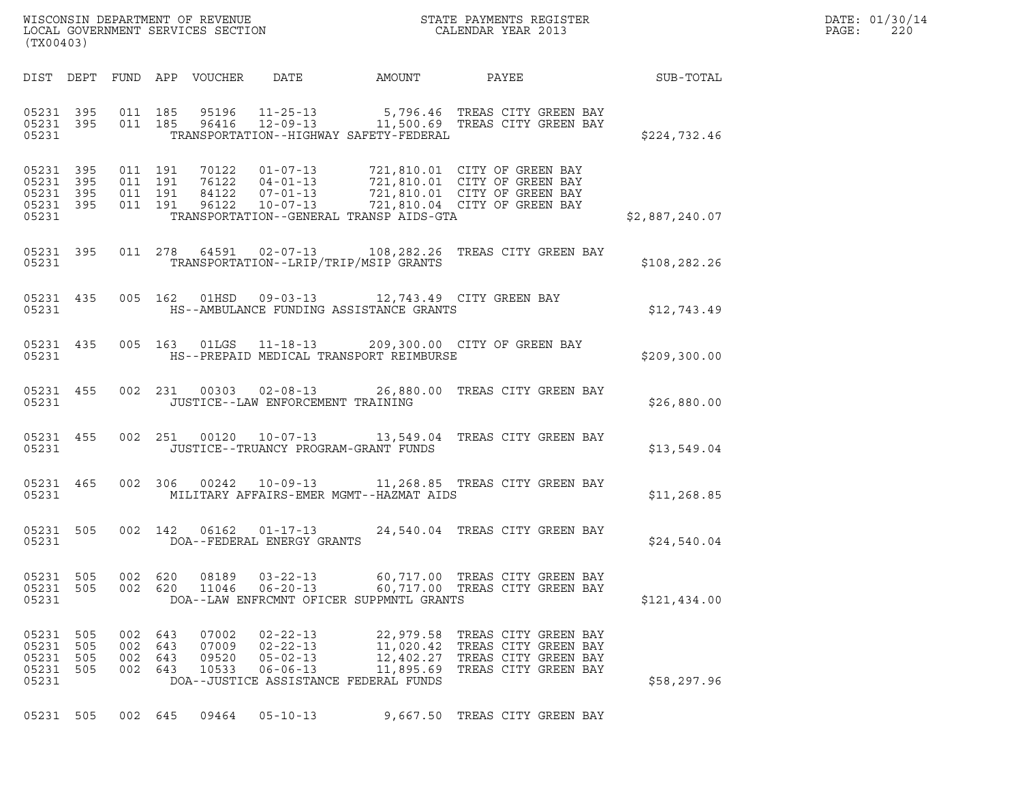| WISCONSIN DEPARTMENT OF REVENUE<br>LOCAL GOVERNMENT SERVICES SECTION<br>(TX00403) | STATE PAYMENTS REGISTER<br>CALENDAR YEAR 2013 | DATE: 01/30/14<br>PAGE:<br>220 |
|-----------------------------------------------------------------------------------|-----------------------------------------------|--------------------------------|

| (TX00403)                                                             |                          |                                                              |                                                                      |                                                                                           |                                                                                                                              |                |
|-----------------------------------------------------------------------|--------------------------|--------------------------------------------------------------|----------------------------------------------------------------------|-------------------------------------------------------------------------------------------|------------------------------------------------------------------------------------------------------------------------------|----------------|
| DIST DEPT                                                             | FUND                     | APP VOUCHER                                                  |                                                                      |                                                                                           | DATE AMOUNT PAYEE                                                                                                            | SUB-TOTAL      |
| 05231 395<br>05231 395<br>05231                                       | 011<br>011               | 185<br>95196<br>185                                          |                                                                      | TRANSPORTATION--HIGHWAY SAFETY-FEDERAL                                                    | 95196   11-25-13   5,796.46   TREAS CITY GREEN BAY<br>96416   12-09-13   11,500.69   TREAS CITY GREEN BAY                    | \$224,732.46   |
| 05231 395<br>05231<br>395<br>05231<br>395<br>05231<br>395<br>05231    | 011<br>011<br>011<br>011 | 191<br>70122<br>191<br>76122<br>84122<br>191<br>96122<br>191 | $01 - 07 - 13$<br>$04 - 01 - 13$<br>$07 - 01 - 13$<br>$10 - 07 - 13$ | TRANSPORTATION--GENERAL TRANSP AIDS-GTA                                                   | 721,810.01 CITY OF GREEN BAY<br>721,810.01 CITY OF GREEN BAY<br>721,810.01 CITY OF GREEN BAY<br>721,810.04 CITY OF GREEN BAY | \$2,887,240.07 |
| 05231 395<br>05231                                                    |                          | 011 278 64591                                                |                                                                      | TRANSPORTATION--LRIP/TRIP/MSIP GRANTS                                                     | 02-07-13 108,282.26 TREAS CITY GREEN BAY                                                                                     | \$108,282.26   |
| 05231 435<br>05231                                                    | 005                      | 162 01HSD                                                    |                                                                      | HS--AMBULANCE FUNDING ASSISTANCE GRANTS                                                   | 09-03-13 12,743.49 CITY GREEN BAY                                                                                            | \$12,743.49    |
| 05231 435<br>05231                                                    | 005                      | 163 01LGS                                                    |                                                                      | HS--PREPAID MEDICAL TRANSPORT REIMBURSE                                                   | 11-18-13 209,300.00 CITY OF GREEN BAY                                                                                        | \$209,300.00   |
| 05231 455<br>05231                                                    | 002                      | 231 00303                                                    | JUSTICE--LAW ENFORCEMENT TRAINING                                    |                                                                                           | 02-08-13 26,880.00 TREAS CITY GREEN BAY                                                                                      | \$26,880.00    |
| 05231 455<br>05231                                                    | 002                      | 251 00120                                                    |                                                                      | JUSTICE--TRUANCY PROGRAM-GRANT FUNDS                                                      | 10-07-13 13,549.04 TREAS CITY GREEN BAY                                                                                      | \$13,549.04    |
| 05231 465<br>05231                                                    | 002                      | 306<br>00242                                                 |                                                                      | MILITARY AFFAIRS-EMER MGMT--HAZMAT AIDS                                                   | 10-09-13 11,268.85 TREAS CITY GREEN BAY                                                                                      | \$11, 268.85   |
| 05231<br>505<br>05231                                                 | 002                      | 142<br>06162                                                 | $01 - 17 - 13$<br>DOA--FEDERAL ENERGY GRANTS                         |                                                                                           | 24,540.04 TREAS CITY GREEN BAY                                                                                               | \$24,540.04    |
| 05231<br>505<br>05231<br>505<br>05231                                 | 002<br>002               | 620<br>08189<br>620<br>11046                                 | $06 - 20 - 13$                                                       | DOA--LAW ENFRCMNT OFICER SUPPMNTL GRANTS                                                  | 03-22-13 60,717.00 TREAS CITY GREEN BAY<br>60,717.00 TREAS CITY GREEN BAY                                                    | \$121,434.00   |
| 05231<br>505<br>05231<br>505<br>05231<br>505<br>05231<br>505<br>05231 | 002<br>002<br>002<br>002 | 07002<br>643<br>643<br>07009<br>643<br>09520<br>643<br>10533 | $02 - 22 - 13$<br>$02 - 22 - 13$<br>$05 - 02 - 13$<br>$06 - 06 - 13$ | 22,979.58<br>11,020.42<br>12,402.27<br>11,895.69<br>DOA--JUSTICE ASSISTANCE FEDERAL FUNDS | TREAS CITY GREEN BAY<br>TREAS CITY GREEN BAY<br>TREAS CITY GREEN BAY<br>TREAS CITY GREEN BAY                                 | \$58,297.96    |
| 05231 505                                                             | 002 645                  | 09464                                                        | $05 - 10 - 13$                                                       | 9,667.50                                                                                  | TREAS CITY GREEN BAY                                                                                                         |                |

(TX00403)